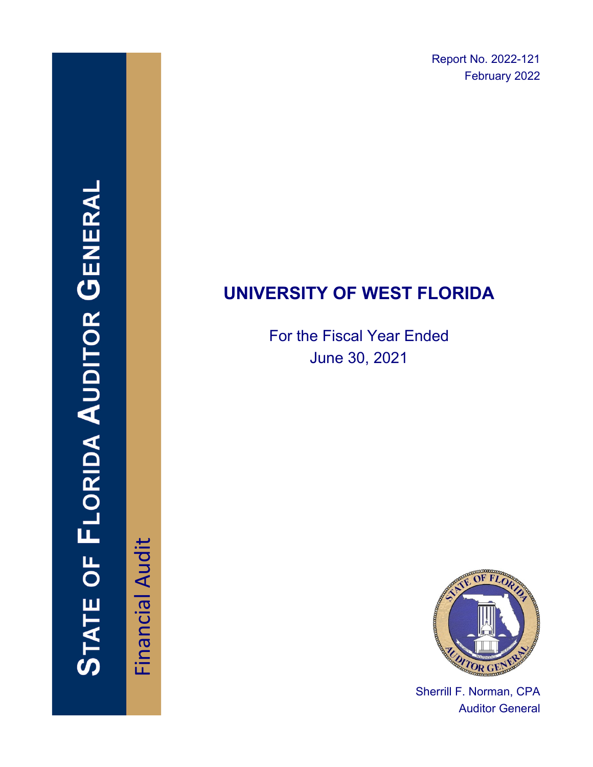Report No. 2022-121 February 2022

# **UNIVERSITY OF WEST FLORIDA**

For the Fiscal Year Ended June 30, 2021



Sherrill F. Norman, CPA Auditor General

Financial Audit Financial Audit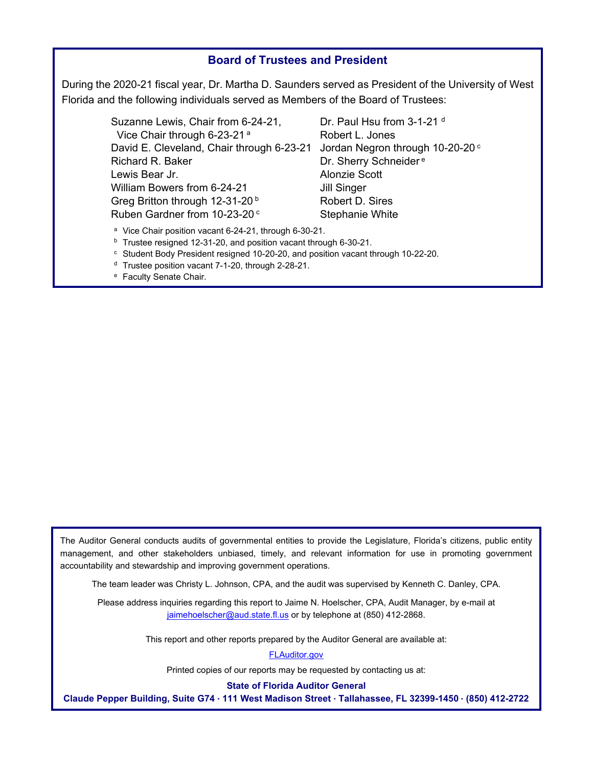#### **Board of Trustees and President**

During the 2020-21 fiscal year, Dr. Martha D. Saunders served as President of the University of West Florida and the following individuals served as Members of the Board of Trustees:

> Suzanne Lewis, Chair from 6-24-21, Dr. Paul Hsu from 3-1-21 d Vice Chair through  $6-23-21$  a Robert L. Jones David E. Cleveland, Chair through 6-23-21 Jordan Negron through 10-20-20<sup>c</sup> Richard R. Baker Dr. Sherry Schneider e Lewis Bear Jr. **Alonzie Scott** William Bowers from 6-24-21 Jill Singer Greg Britton through  $12-31-20<sup>b</sup>$  Robert D. Sires Ruben Gardner from 10-23-20 $\degree$  Stephanie White

- a Vice Chair position vacant 6-24-21, through 6-30-21.
- 
- b Trustee resigned 12-31-20, and position vacant through 6-30-21.<br>
c Student Body President resigned 10-20-20, and position vacant through 10-22-20.<br>
d Trustee position vacant 7-1-20, through 2-28-21.<br>
e Faculty Senate Ch
- 
- 

The Auditor General conducts audits of governmental entities to provide the Legislature, Florida's citizens, public entity management, and other stakeholders unbiased, timely, and relevant information for use in promoting government accountability and stewardship and improving government operations.

The team leader was Christy L. Johnson, CPA, and the audit was supervised by Kenneth C. Danley, CPA.

Please address inquiries regarding this report to Jaime N. Hoelscher, CPA, Audit Manager, by e-mail at jaimehoelscher@aud.state.fl.us or by telephone at (850) 412-2868.

This report and other reports prepared by the Auditor General are available at:

[FLAuditor.gov](http://flauditor.gov/) 

Printed copies of our reports may be requested by contacting us at:

**State of Florida Auditor General** 

**Claude Pepper Building, Suite G74 · 111 West Madison Street · Tallahassee, FL 32399-1450 · (850) 412-2722**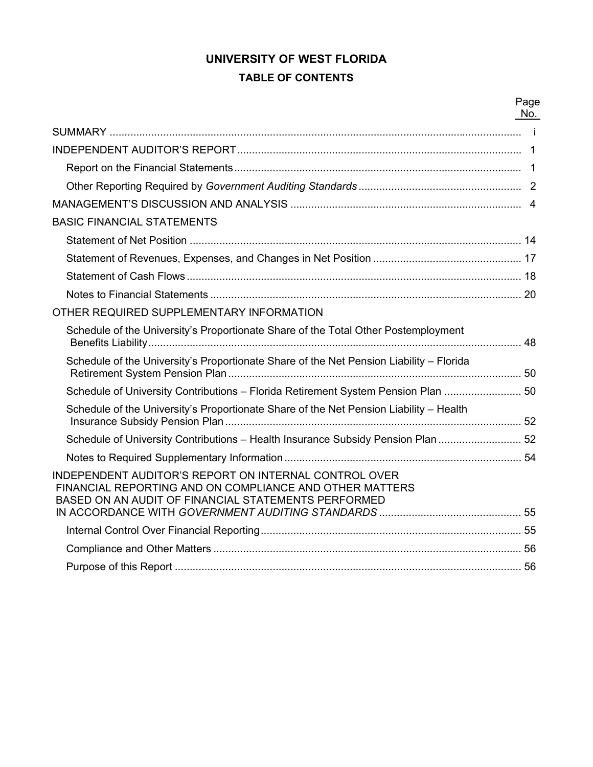## **UNIVERSITY OF WEST FLORIDA TABLE OF CONTENTS**

Page

|                                                                                                                                                                         | No. |
|-------------------------------------------------------------------------------------------------------------------------------------------------------------------------|-----|
|                                                                                                                                                                         |     |
|                                                                                                                                                                         |     |
|                                                                                                                                                                         |     |
|                                                                                                                                                                         |     |
|                                                                                                                                                                         |     |
| <b>BASIC FINANCIAL STATEMENTS</b>                                                                                                                                       |     |
|                                                                                                                                                                         |     |
|                                                                                                                                                                         |     |
|                                                                                                                                                                         |     |
|                                                                                                                                                                         |     |
| OTHER REQUIRED SUPPLEMENTARY INFORMATION                                                                                                                                |     |
| Schedule of the University's Proportionate Share of the Total Other Postemployment                                                                                      |     |
| Schedule of the University's Proportionate Share of the Net Pension Liability - Florida                                                                                 |     |
| Schedule of University Contributions - Florida Retirement System Pension Plan  50                                                                                       |     |
| Schedule of the University's Proportionate Share of the Net Pension Liability - Health                                                                                  |     |
| Schedule of University Contributions - Health Insurance Subsidy Pension Plan  52                                                                                        |     |
|                                                                                                                                                                         |     |
| INDEPENDENT AUDITOR'S REPORT ON INTERNAL CONTROL OVER<br>FINANCIAL REPORTING AND ON COMPLIANCE AND OTHER MATTERS<br>BASED ON AN AUDIT OF FINANCIAL STATEMENTS PERFORMED |     |
|                                                                                                                                                                         |     |
|                                                                                                                                                                         |     |
|                                                                                                                                                                         |     |
|                                                                                                                                                                         |     |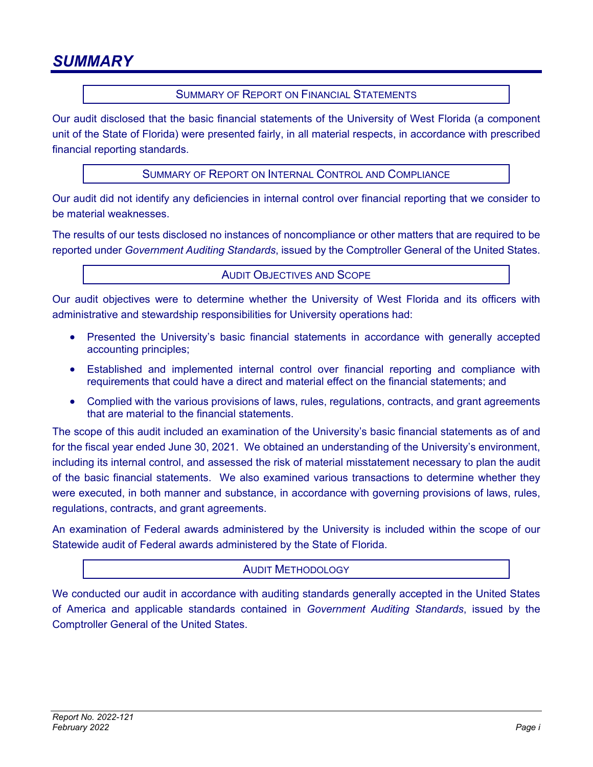#### SUMMARY OF REPORT ON FINANCIAL STATEMENTS

<span id="page-3-0"></span>Our audit disclosed that the basic financial statements of the University of West Florida (a component unit of the State of Florida) were presented fairly, in all material respects, in accordance with prescribed financial reporting standards.

SUMMARY OF REPORT ON INTERNAL CONTROL AND COMPLIANCE

Our audit did not identify any deficiencies in internal control over financial reporting that we consider to be material weaknesses.

The results of our tests disclosed no instances of noncompliance or other matters that are required to be reported under *Government Auditing Standards*, issued by the Comptroller General of the United States.

#### AUDIT OBJECTIVES AND SCOPE

Our audit objectives were to determine whether the University of West Florida and its officers with administrative and stewardship responsibilities for University operations had:

- Presented the University's basic financial statements in accordance with generally accepted accounting principles;
- Established and implemented internal control over financial reporting and compliance with requirements that could have a direct and material effect on the financial statements; and
- Complied with the various provisions of laws, rules, regulations, contracts, and grant agreements that are material to the financial statements.

The scope of this audit included an examination of the University's basic financial statements as of and for the fiscal year ended June 30, 2021. We obtained an understanding of the University's environment, including its internal control, and assessed the risk of material misstatement necessary to plan the audit of the basic financial statements. We also examined various transactions to determine whether they were executed, in both manner and substance, in accordance with governing provisions of laws, rules, regulations, contracts, and grant agreements.

An examination of Federal awards administered by the University is included within the scope of our Statewide audit of Federal awards administered by the State of Florida.

#### AUDIT METHODOLOGY

We conducted our audit in accordance with auditing standards generally accepted in the United States of America and applicable standards contained in *Government Auditing Standards*, issued by the Comptroller General of the United States.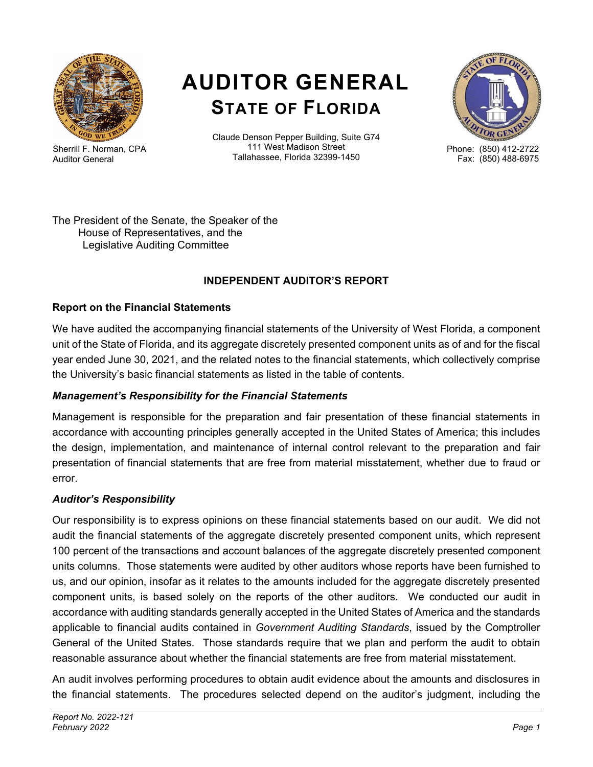<span id="page-4-0"></span>

Sherrill F. Norman, CPA Auditor General

# **AUDITOR GENERAL STATE OF FLORIDA**

Claude Denson Pepper Building, Suite G74 111 West Madison Street Tallahassee, Florida 32399-1450



Phone: (850) 412-2722 Fax: (850) 488-6975

The President of the Senate, the Speaker of the House of Representatives, and the Legislative Auditing Committee

## **INDEPENDENT AUDITOR'S REPORT**

### **Report on the Financial Statements**

We have audited the accompanying financial statements of the University of West Florida, a component unit of the State of Florida, and its aggregate discretely presented component units as of and for the fiscal year ended June 30, 2021, and the related notes to the financial statements, which collectively comprise the University's basic financial statements as listed in the table of contents.

#### *Management's Responsibility for the Financial Statements*

Management is responsible for the preparation and fair presentation of these financial statements in accordance with accounting principles generally accepted in the United States of America; this includes the design, implementation, and maintenance of internal control relevant to the preparation and fair presentation of financial statements that are free from material misstatement, whether due to fraud or error.

## *Auditor's Responsibility*

Our responsibility is to express opinions on these financial statements based on our audit. We did not audit the financial statements of the aggregate discretely presented component units, which represent 100 percent of the transactions and account balances of the aggregate discretely presented component units columns. Those statements were audited by other auditors whose reports have been furnished to us, and our opinion, insofar as it relates to the amounts included for the aggregate discretely presented component units, is based solely on the reports of the other auditors. We conducted our audit in accordance with auditing standards generally accepted in the United States of America and the standards applicable to financial audits contained in *Government Auditing Standards*, issued by the Comptroller General of the United States. Those standards require that we plan and perform the audit to obtain reasonable assurance about whether the financial statements are free from material misstatement.

An audit involves performing procedures to obtain audit evidence about the amounts and disclosures in the financial statements. The procedures selected depend on the auditor's judgment, including the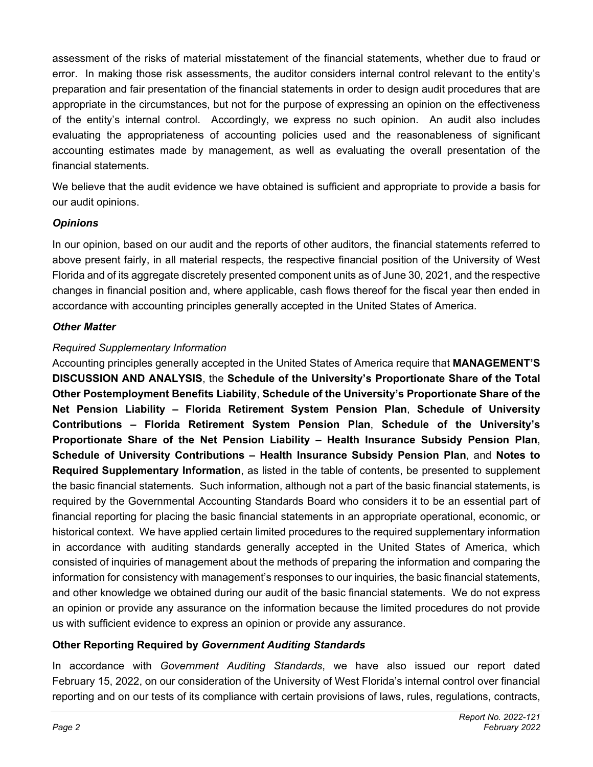<span id="page-5-0"></span>assessment of the risks of material misstatement of the financial statements, whether due to fraud or error. In making those risk assessments, the auditor considers internal control relevant to the entity's preparation and fair presentation of the financial statements in order to design audit procedures that are appropriate in the circumstances, but not for the purpose of expressing an opinion on the effectiveness of the entity's internal control. Accordingly, we express no such opinion. An audit also includes evaluating the appropriateness of accounting policies used and the reasonableness of significant accounting estimates made by management, as well as evaluating the overall presentation of the financial statements.

We believe that the audit evidence we have obtained is sufficient and appropriate to provide a basis for our audit opinions.

### *Opinions*

In our opinion, based on our audit and the reports of other auditors, the financial statements referred to above present fairly, in all material respects, the respective financial position of the University of West Florida and of its aggregate discretely presented component units as of June 30, 2021, and the respective changes in financial position and, where applicable, cash flows thereof for the fiscal year then ended in accordance with accounting principles generally accepted in the United States of America.

### *Other Matter*

### *Required Supplementary Information*

Accounting principles generally accepted in the United States of America require that **MANAGEMENT'S DISCUSSION AND ANALYSIS**, the **Schedule of the University's Proportionate Share of the Total Other Postemployment Benefits Liability**, **Schedule of the University's Proportionate Share of the Net Pension Liability – Florida Retirement System Pension Plan**, **Schedule of University Contributions – Florida Retirement System Pension Plan**, **Schedule of the University's Proportionate Share of the Net Pension Liability – Health Insurance Subsidy Pension Plan**, **Schedule of University Contributions – Health Insurance Subsidy Pension Plan**, and **Notes to Required Supplementary Information**, as listed in the table of contents, be presented to supplement the basic financial statements. Such information, although not a part of the basic financial statements, is required by the Governmental Accounting Standards Board who considers it to be an essential part of financial reporting for placing the basic financial statements in an appropriate operational, economic, or historical context. We have applied certain limited procedures to the required supplementary information in accordance with auditing standards generally accepted in the United States of America, which consisted of inquiries of management about the methods of preparing the information and comparing the information for consistency with management's responses to our inquiries, the basic financial statements, and other knowledge we obtained during our audit of the basic financial statements. We do not express an opinion or provide any assurance on the information because the limited procedures do not provide us with sufficient evidence to express an opinion or provide any assurance.

#### **Other Reporting Required by** *Government Auditing Standards*

In accordance with *Government Auditing Standards*, we have also issued our report dated February 15, 2022, on our consideration of the University of West Florida's internal control over financial reporting and on our tests of its compliance with certain provisions of laws, rules, regulations, contracts,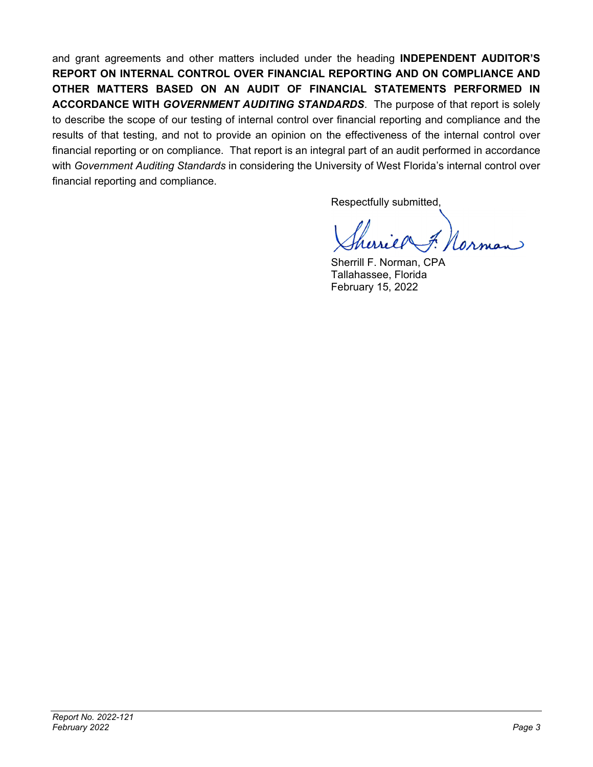and grant agreements and other matters included under the heading **INDEPENDENT AUDITOR'S REPORT ON INTERNAL CONTROL OVER FINANCIAL REPORTING AND ON COMPLIANCE AND OTHER MATTERS BASED ON AN AUDIT OF FINANCIAL STATEMENTS PERFORMED IN ACCORDANCE WITH** *GOVERNMENT AUDITING STANDARDS*. The purpose of that report is solely to describe the scope of our testing of internal control over financial reporting and compliance and the results of that testing, and not to provide an opinion on the effectiveness of the internal control over financial reporting or on compliance. That report is an integral part of an audit performed in accordance with *Government Auditing Standards* in considering the University of West Florida's internal control over financial reporting and compliance.

Respectfully submitted,

Sherrill F. Norman, CPA Tallahassee, Florida February 15, 2022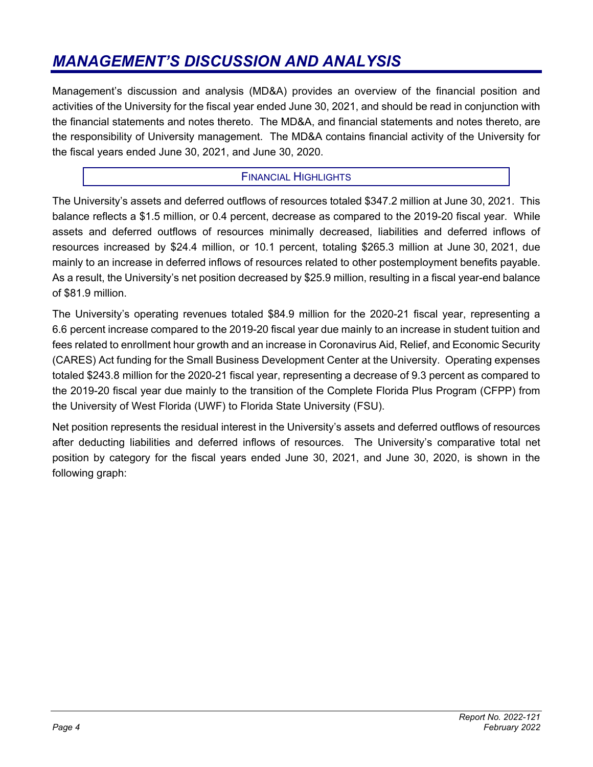## <span id="page-7-0"></span>*MANAGEMENT'S DISCUSSION AND ANALYSIS*

Management's discussion and analysis (MD&A) provides an overview of the financial position and activities of the University for the fiscal year ended June 30, 2021, and should be read in conjunction with the financial statements and notes thereto. The MD&A, and financial statements and notes thereto, are the responsibility of University management. The MD&A contains financial activity of the University for the fiscal years ended June 30, 2021, and June 30, 2020.

### FINANCIAL HIGHLIGHTS

The University's assets and deferred outflows of resources totaled \$347.2 million at June 30, 2021. This balance reflects a \$1.5 million, or 0.4 percent, decrease as compared to the 2019-20 fiscal year. While assets and deferred outflows of resources minimally decreased, liabilities and deferred inflows of resources increased by \$24.4 million, or 10.1 percent, totaling \$265.3 million at June 30, 2021, due mainly to an increase in deferred inflows of resources related to other postemployment benefits payable. As a result, the University's net position decreased by \$25.9 million, resulting in a fiscal year-end balance of \$81.9 million.

The University's operating revenues totaled \$84.9 million for the 2020-21 fiscal year, representing a 6.6 percent increase compared to the 2019-20 fiscal year due mainly to an increase in student tuition and fees related to enrollment hour growth and an increase in Coronavirus Aid, Relief, and Economic Security (CARES) Act funding for the Small Business Development Center at the University. Operating expenses totaled \$243.8 million for the 2020-21 fiscal year, representing a decrease of 9.3 percent as compared to the 2019-20 fiscal year due mainly to the transition of the Complete Florida Plus Program (CFPP) from the University of West Florida (UWF) to Florida State University (FSU).

Net position represents the residual interest in the University's assets and deferred outflows of resources after deducting liabilities and deferred inflows of resources. The University's comparative total net position by category for the fiscal years ended June 30, 2021, and June 30, 2020, is shown in the following graph: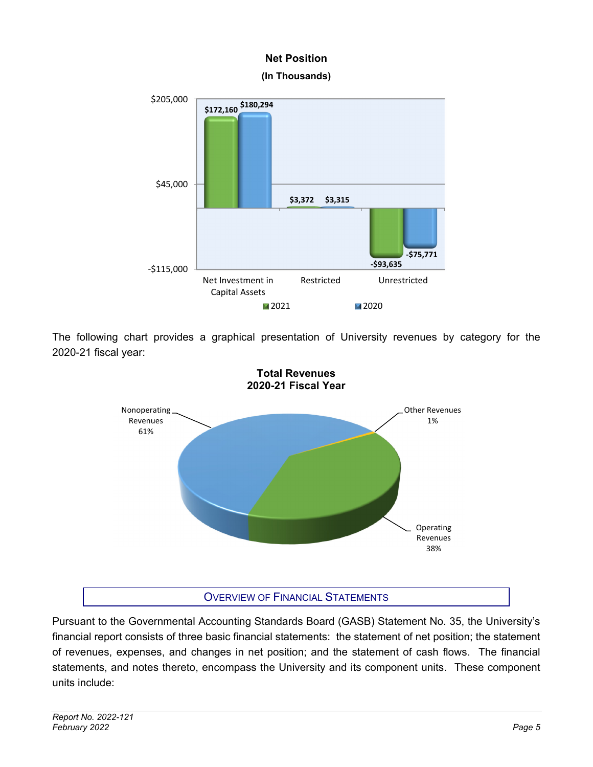## **Net Position (In Thousands)**



The following chart provides a graphical presentation of University revenues by category for the 2020-21 fiscal year:



Pursuant to the Governmental Accounting Standards Board (GASB) Statement No. 35, the University's financial report consists of three basic financial statements: the statement of net position; the statement of revenues, expenses, and changes in net position; and the statement of cash flows. The financial statements, and notes thereto, encompass the University and its component units. These component units include: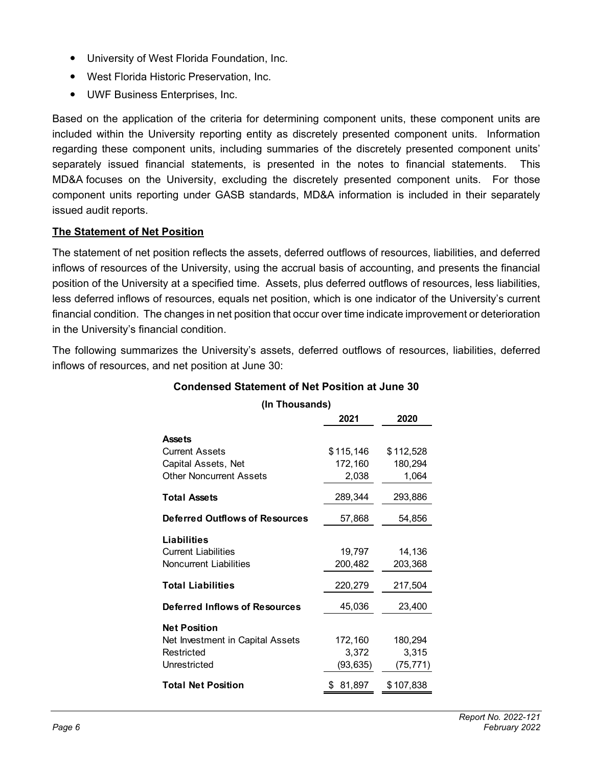- University of West Florida Foundation, Inc.
- West Florida Historic Preservation, Inc.
- UWF Business Enterprises, Inc.

Based on the application of the criteria for determining component units, these component units are included within the University reporting entity as discretely presented component units. Information regarding these component units, including summaries of the discretely presented component units' separately issued financial statements, is presented in the notes to financial statements. This MD&A focuses on the University, excluding the discretely presented component units. For those component units reporting under GASB standards, MD&A information is included in their separately issued audit reports.

#### **The Statement of Net Position**

The statement of net position reflects the assets, deferred outflows of resources, liabilities, and deferred inflows of resources of the University, using the accrual basis of accounting, and presents the financial position of the University at a specified time. Assets, plus deferred outflows of resources, less liabilities, less deferred inflows of resources, equals net position, which is one indicator of the University's current financial condition. The changes in net position that occur over time indicate improvement or deterioration in the University's financial condition.

The following summarizes the University's assets, deferred outflows of resources, liabilities, deferred inflows of resources, and net position at June 30:

| (III THUUSAHUS)                       |             |           |
|---------------------------------------|-------------|-----------|
|                                       | 2021        | 2020      |
| <b>Assets</b>                         |             |           |
| <b>Current Assets</b>                 | \$115,146   | \$112,528 |
| Capital Assets, Net                   | 172,160     | 180,294   |
| <b>Other Noncurrent Assets</b>        | 2,038       | 1,064     |
| <b>Total Assets</b>                   | 289,344     | 293,886   |
| <b>Deferred Outflows of Resources</b> | 57,868      | 54,856    |
| Liabilities                           |             |           |
| <b>Current Liabilities</b>            | 19,797      | 14,136    |
| <b>Noncurrent Liabilities</b>         | 200,482     | 203,368   |
| <b>Total Liabilities</b>              | 220,279     | 217,504   |
| Deferred Inflows of Resources         | 45,036      | 23,400    |
| <b>Net Position</b>                   |             |           |
| Net Investment in Capital Assets      | 172,160     | 180,294   |
| Restricted                            | 3,372       | 3,315     |
| Unrestricted                          | (93, 635)   | (75, 771) |
| <b>Total Net Position</b>             | 81,897<br>S | \$107,838 |
|                                       |             |           |

#### **(In Thousands)**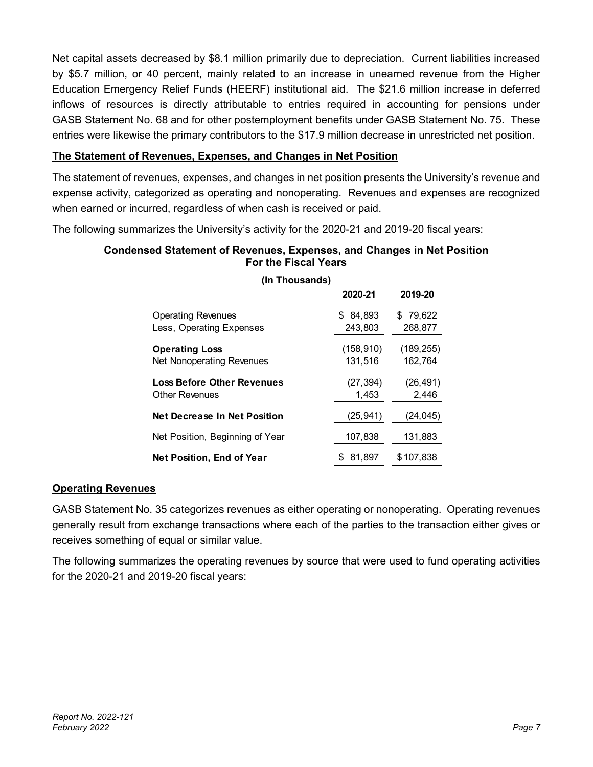Net capital assets decreased by \$8.1 million primarily due to depreciation. Current liabilities increased by \$5.7 million, or 40 percent, mainly related to an increase in unearned revenue from the Higher Education Emergency Relief Funds (HEERF) institutional aid. The \$21.6 million increase in deferred inflows of resources is directly attributable to entries required in accounting for pensions under GASB Statement No. 68 and for other postemployment benefits under GASB Statement No. 75. These entries were likewise the primary contributors to the \$17.9 million decrease in unrestricted net position.

#### **The Statement of Revenues, Expenses, and Changes in Net Position**

The statement of revenues, expenses, and changes in net position presents the University's revenue and expense activity, categorized as operating and nonoperating. Revenues and expenses are recognized when earned or incurred, regardless of when cash is received or paid.

The following summarizes the University's activity for the 2020-21 and 2019-20 fiscal years:

#### **Condensed Statement of Revenues, Expenses, and Changes in Net Position For the Fiscal Years**

|                                     | 2020-21      | 2019-20    |
|-------------------------------------|--------------|------------|
| <b>Operating Revenues</b>           | 84,893<br>S. | \$79,622   |
| Less, Operating Expenses            | 243.803      | 268,877    |
| <b>Operating Loss</b>               | (158, 910)   | (189, 255) |
| Net Nonoperating Revenues           | 131,516      | 162,764    |
| <b>Loss Before Other Revenues</b>   | (27, 394)    | (26, 491)  |
| <b>Other Revenues</b>               | 1,453        | 2,446      |
| <b>Net Decrease In Net Position</b> | (25, 941)    | (24, 045)  |
| Net Position, Beginning of Year     | 107,838      | 131,883    |
| <b>Net Position, End of Year</b>    | 81.897       | \$107.838  |

**(In Thousands)** 

#### **Operating Revenues**

GASB Statement No. 35 categorizes revenues as either operating or nonoperating. Operating revenues generally result from exchange transactions where each of the parties to the transaction either gives or receives something of equal or similar value.

The following summarizes the operating revenues by source that were used to fund operating activities for the 2020-21 and 2019-20 fiscal years: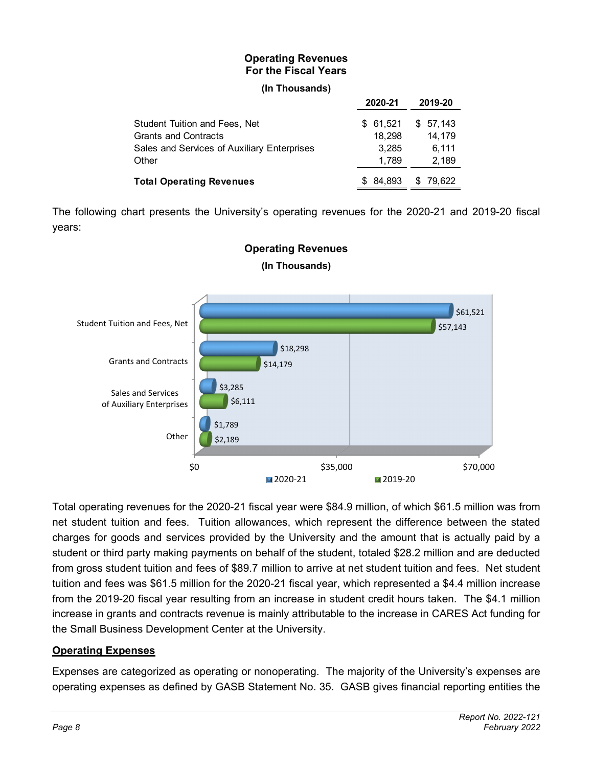#### **Operating Revenues For the Fiscal Years**

#### **(In Thousands)**

|                                             | 2020-21   | 2019-20  |
|---------------------------------------------|-----------|----------|
| Student Tuition and Fees, Net               | \$61,521  | \$57,143 |
| <b>Grants and Contracts</b>                 | 18,298    | 14,179   |
| Sales and Services of Auxiliary Enterprises | 3,285     | 6,111    |
| Other                                       | 1.789     | 2,189    |
| <b>Total Operating Revenues</b>             | \$ 84,893 | \$79,622 |

The following chart presents the University's operating revenues for the 2020-21 and 2019-20 fiscal years:



## **Operating Revenues**

**(In Thousands)** 

Total operating revenues for the 2020-21 fiscal year were \$84.9 million, of which \$61.5 million was from net student tuition and fees. Tuition allowances, which represent the difference between the stated charges for goods and services provided by the University and the amount that is actually paid by a student or third party making payments on behalf of the student, totaled \$28.2 million and are deducted from gross student tuition and fees of \$89.7 million to arrive at net student tuition and fees. Net student tuition and fees was \$61.5 million for the 2020-21 fiscal year, which represented a \$4.4 million increase from the 2019-20 fiscal year resulting from an increase in student credit hours taken. The \$4.1 million increase in grants and contracts revenue is mainly attributable to the increase in CARES Act funding for the Small Business Development Center at the University.

#### **Operating Expenses**

Expenses are categorized as operating or nonoperating. The majority of the University's expenses are operating expenses as defined by GASB Statement No. 35. GASB gives financial reporting entities the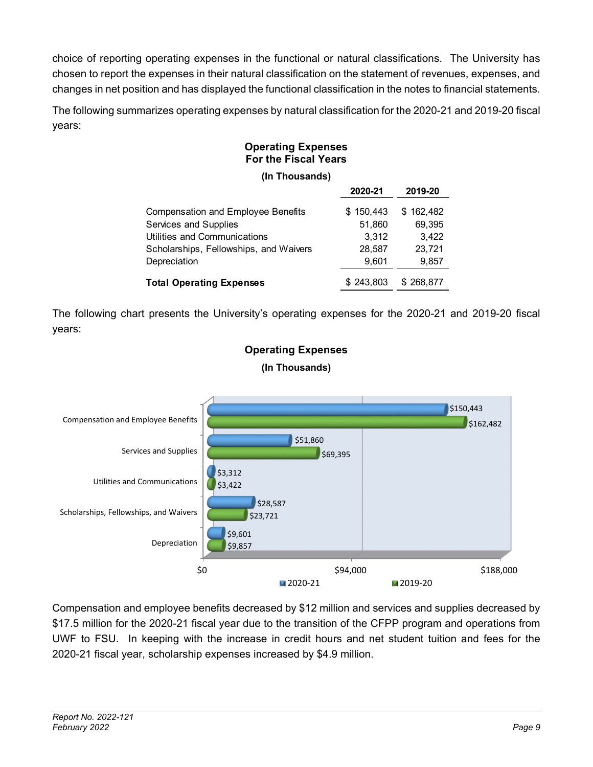choice of reporting operating expenses in the functional or natural classifications. The University has chosen to report the expenses in their natural classification on the statement of revenues, expenses, and changes in net position and has displayed the functional classification in the notes to financial statements.

The following summarizes operating expenses by natural classification for the 2020-21 and 2019-20 fiscal years:

## **Operating Expenses For the Fiscal Years**

## **(In Thousands) 2020-21 2019-20** Compensation and Employee Benefits  $$150,443$  \$162,482 Services and Supplies 69,395 Utilities and Communications  $3,312$  3,422 Scholarships, Fellowships, and Waivers 28,587 23,721 Depreciation 9,601 9,857 **Total Operating Expenses**  $$ 243,803 $ 268,877$

The following chart presents the University's operating expenses for the 2020-21 and 2019-20 fiscal years:



#### **Operating Expenses (In Thousands)**

Compensation and employee benefits decreased by \$12 million and services and supplies decreased by \$17.5 million for the 2020-21 fiscal year due to the transition of the CFPP program and operations from UWF to FSU. In keeping with the increase in credit hours and net student tuition and fees for the 2020-21 fiscal year, scholarship expenses increased by \$4.9 million.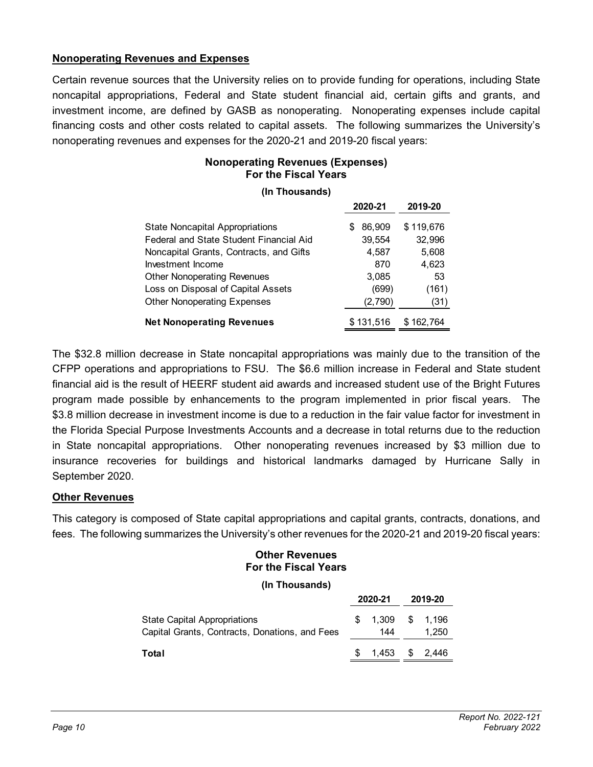#### **Nonoperating Revenues and Expenses**

Certain revenue sources that the University relies on to provide funding for operations, including State noncapital appropriations, Federal and State student financial aid, certain gifts and grants, and investment income, are defined by GASB as nonoperating. Nonoperating expenses include capital financing costs and other costs related to capital assets. The following summarizes the University's nonoperating revenues and expenses for the 2020-21 and 2019-20 fiscal years:

#### **Nonoperating Revenues (Expenses) For the Fiscal Years**

|                                         |   | 2020-21   | 2019-20   |
|-----------------------------------------|---|-----------|-----------|
| <b>State Noncapital Appropriations</b>  | S | 86,909    | \$119,676 |
| Federal and State Student Financial Aid |   | 39,554    | 32,996    |
| Noncapital Grants, Contracts, and Gifts |   | 4,587     | 5,608     |
| Investment Income                       |   | 870       | 4,623     |
| <b>Other Nonoperating Revenues</b>      |   | 3,085     | 53        |
| Loss on Disposal of Capital Assets      |   | (699)     | (161)     |
| <b>Other Nonoperating Expenses</b>      |   | (2,790)   | (31)      |
| <b>Net Nonoperating Revenues</b>        |   | \$131,516 | \$162.764 |

#### **(In Thousands)**

The \$32.8 million decrease in State noncapital appropriations was mainly due to the transition of the CFPP operations and appropriations to FSU. The \$6.6 million increase in Federal and State student financial aid is the result of HEERF student aid awards and increased student use of the Bright Futures program made possible by enhancements to the program implemented in prior fiscal years. The \$3.8 million decrease in investment income is due to a reduction in the fair value factor for investment in the Florida Special Purpose Investments Accounts and a decrease in total returns due to the reduction in State noncapital appropriations. Other nonoperating revenues increased by \$3 million due to insurance recoveries for buildings and historical landmarks damaged by Hurricane Sally in September 2020.

#### **Other Revenues**

This category is composed of State capital appropriations and capital grants, contracts, donations, and fees. The following summarizes the University's other revenues for the 2020-21 and 2019-20 fiscal years:

#### **Other Revenues For the Fiscal Years**

#### **(In Thousands)**

**2020-21 2019-20**

|                                                                                       | ZUZU-Z I |                          | 2019-20 |       |
|---------------------------------------------------------------------------------------|----------|--------------------------|---------|-------|
| <b>State Capital Appropriations</b><br>Capital Grants, Contracts, Donations, and Fees |          | \$ 1.309 \$ 1.196<br>144 |         | 1.250 |
| Total                                                                                 |          | 1,453 \$ 2,446           |         |       |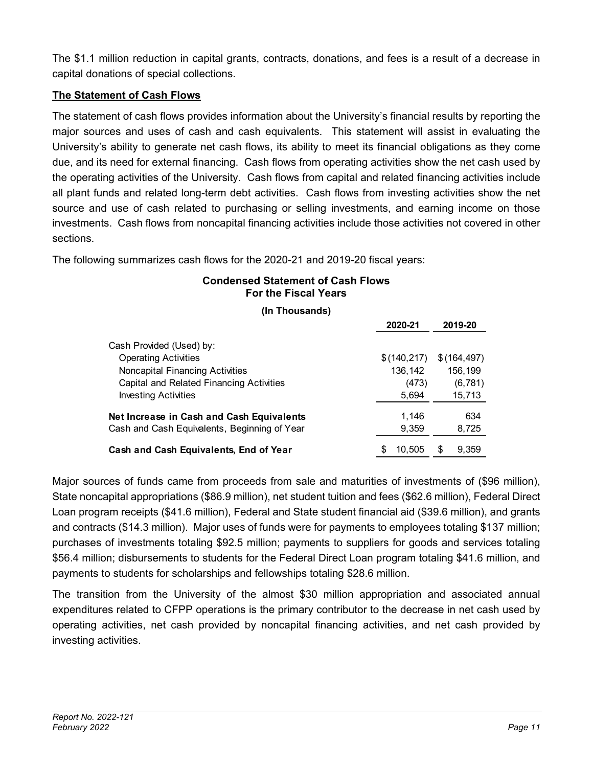The \$1.1 million reduction in capital grants, contracts, donations, and fees is a result of a decrease in capital donations of special collections.

## **The Statement of Cash Flows**

The statement of cash flows provides information about the University's financial results by reporting the major sources and uses of cash and cash equivalents. This statement will assist in evaluating the University's ability to generate net cash flows, its ability to meet its financial obligations as they come due, and its need for external financing. Cash flows from operating activities show the net cash used by the operating activities of the University. Cash flows from capital and related financing activities include all plant funds and related long-term debt activities. Cash flows from investing activities show the net source and use of cash related to purchasing or selling investments, and earning income on those investments. Cash flows from noncapital financing activities include those activities not covered in other sections.

The following summarizes cash flows for the 2020-21 and 2019-20 fiscal years:

|                                                 | 2020-21      | 2019-20     |
|-------------------------------------------------|--------------|-------------|
| Cash Provided (Used) by:                        |              |             |
| <b>Operating Activities</b>                     | \$(140,217)  | \$(164,497) |
| <b>Noncapital Financing Activities</b>          | 136,142      | 156,199     |
| <b>Capital and Related Financing Activities</b> | (473)        | (6, 781)    |
| <b>Investing Activities</b>                     | 5,694        | 15,713      |
| Net Increase in Cash and Cash Equivalents       | 1,146        | 634         |
| Cash and Cash Equivalents, Beginning of Year    | 9,359        | 8,725       |
| Cash and Cash Equivalents, End of Year          | 10.505<br>\$ | 9.359<br>S  |

#### **Condensed Statement of Cash Flows For the Fiscal Years**

**(In Thousands)** 

Major sources of funds came from proceeds from sale and maturities of investments of (\$96 million), State noncapital appropriations (\$86.9 million), net student tuition and fees (\$62.6 million), Federal Direct Loan program receipts (\$41.6 million), Federal and State student financial aid (\$39.6 million), and grants and contracts (\$14.3 million). Major uses of funds were for payments to employees totaling \$137 million; purchases of investments totaling \$92.5 million; payments to suppliers for goods and services totaling \$56.4 million; disbursements to students for the Federal Direct Loan program totaling \$41.6 million, and payments to students for scholarships and fellowships totaling \$28.6 million.

The transition from the University of the almost \$30 million appropriation and associated annual expenditures related to CFPP operations is the primary contributor to the decrease in net cash used by operating activities, net cash provided by noncapital financing activities, and net cash provided by investing activities.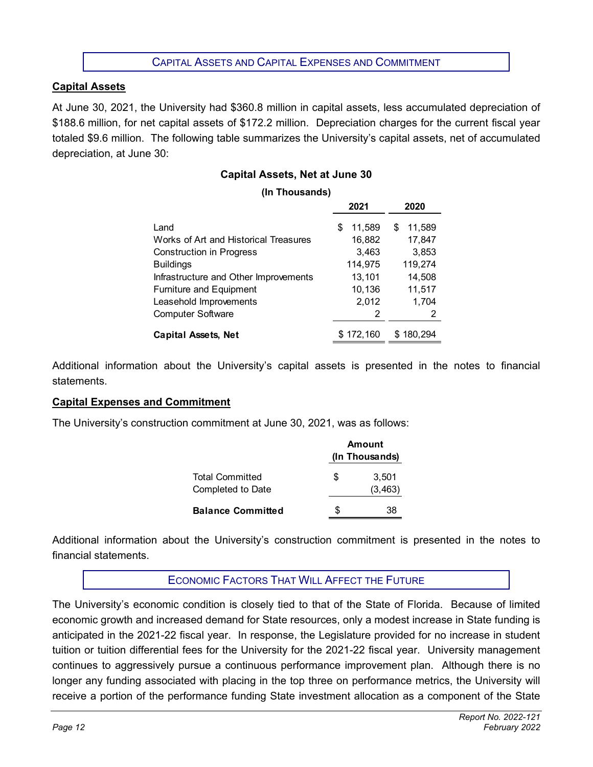#### CAPITAL ASSETS AND CAPITAL EXPENSES AND COMMITMENT

#### **Capital Assets**

At June 30, 2021, the University had \$360.8 million in capital assets, less accumulated depreciation of \$188.6 million, for net capital assets of \$172.2 million. Depreciation charges for the current fiscal year totaled \$9.6 million. The following table summarizes the University's capital assets, net of accumulated depreciation, at June 30:

#### **Capital Assets, Net at June 30**

#### **(In Thousands)**

|                                       | 2021        | 2020        |
|---------------------------------------|-------------|-------------|
| Land                                  | 11,589<br>S | 11,589<br>S |
| Works of Art and Historical Treasures | 16,882      | 17,847      |
| <b>Construction in Progress</b>       | 3,463       | 3,853       |
| <b>Buildings</b>                      | 114,975     | 119,274     |
| Infrastructure and Other Improvements | 13,101      | 14,508      |
| <b>Furniture and Equipment</b>        | 10,136      | 11,517      |
| Leasehold Improvements                | 2,012       | 1,704       |
| <b>Computer Software</b>              | 2           | 2           |
| <b>Capital Assets, Net</b>            | \$172,160   | \$180.294   |

Additional information about the University's capital assets is presented in the notes to financial statements.

#### **Capital Expenses and Commitment**

The University's construction commitment at June 30, 2021, was as follows:

|                                             | Amount<br>(In Thousands) |  |  |
|---------------------------------------------|--------------------------|--|--|
| <b>Total Committed</b><br>Completed to Date | \$<br>3,501<br>(3, 463)  |  |  |
| <b>Balance Committed</b>                    | 38                       |  |  |

Additional information about the University's construction commitment is presented in the notes to financial statements.

ECONOMIC FACTORS THAT WILL AFFECT THE FUTURE

The University's economic condition is closely tied to that of the State of Florida. Because of limited economic growth and increased demand for State resources, only a modest increase in State funding is anticipated in the 2021-22 fiscal year. In response, the Legislature provided for no increase in student tuition or tuition differential fees for the University for the 2021-22 fiscal year. University management continues to aggressively pursue a continuous performance improvement plan. Although there is no longer any funding associated with placing in the top three on performance metrics, the University will receive a portion of the performance funding State investment allocation as a component of the State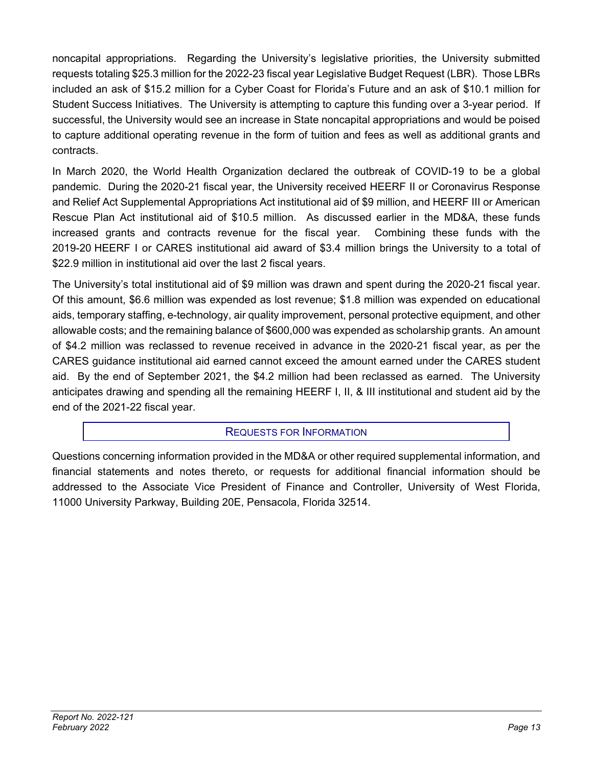noncapital appropriations. Regarding the University's legislative priorities, the University submitted requests totaling \$25.3 million for the 2022-23 fiscal year Legislative Budget Request (LBR). Those LBRs included an ask of \$15.2 million for a Cyber Coast for Florida's Future and an ask of \$10.1 million for Student Success Initiatives. The University is attempting to capture this funding over a 3-year period. If successful, the University would see an increase in State noncapital appropriations and would be poised to capture additional operating revenue in the form of tuition and fees as well as additional grants and contracts.

In March 2020, the World Health Organization declared the outbreak of COVID-19 to be a global pandemic. During the 2020-21 fiscal year, the University received HEERF II or Coronavirus Response and Relief Act Supplemental Appropriations Act institutional aid of \$9 million, and HEERF III or American Rescue Plan Act institutional aid of \$10.5 million. As discussed earlier in the MD&A, these funds increased grants and contracts revenue for the fiscal year. Combining these funds with the 2019-20 HEERF I or CARES institutional aid award of \$3.4 million brings the University to a total of \$22.9 million in institutional aid over the last 2 fiscal years.

The University's total institutional aid of \$9 million was drawn and spent during the 2020-21 fiscal year. Of this amount, \$6.6 million was expended as lost revenue; \$1.8 million was expended on educational aids, temporary staffing, e-technology, air quality improvement, personal protective equipment, and other allowable costs; and the remaining balance of \$600,000 was expended as scholarship grants. An amount of \$4.2 million was reclassed to revenue received in advance in the 2020-21 fiscal year, as per the CARES guidance institutional aid earned cannot exceed the amount earned under the CARES student aid. By the end of September 2021, the \$4.2 million had been reclassed as earned. The University anticipates drawing and spending all the remaining HEERF I, II, & III institutional and student aid by the end of the 2021-22 fiscal year.

## REQUESTS FOR INFORMATION

Questions concerning information provided in the MD&A or other required supplemental information, and financial statements and notes thereto, or requests for additional financial information should be addressed to the Associate Vice President of Finance and Controller, University of West Florida, 11000 University Parkway, Building 20E, Pensacola, Florida 32514.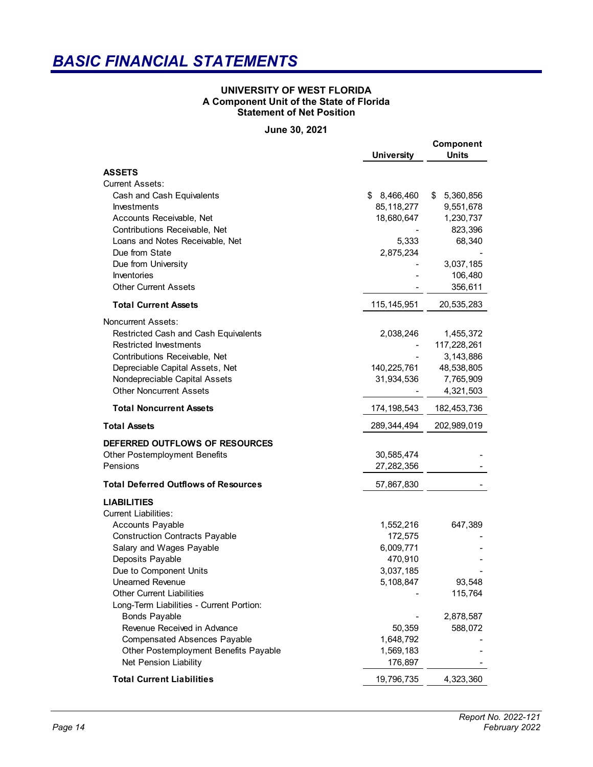## <span id="page-17-0"></span>*BASIC FINANCIAL STATEMENTS*

#### **UNIVERSITY OF WEST FLORIDA A Component Unit of the State of Florida Statement of Net Position**

**June 30, 2021** 

|                                                                  | <b>University</b>         | Component<br><b>Units</b> |
|------------------------------------------------------------------|---------------------------|---------------------------|
| <b>ASSETS</b>                                                    |                           |                           |
| <b>Current Assets:</b>                                           |                           |                           |
| Cash and Cash Equivalents                                        | \$8,466,460               | \$5,360,856               |
| <b>Investments</b>                                               | 85,118,277                | 9,551,678                 |
| Accounts Receivable, Net                                         | 18,680,647                | 1,230,737                 |
| Contributions Receivable, Net                                    |                           | 823,396                   |
| Loans and Notes Receivable, Net<br>Due from State                | 5,333                     | 68,340                    |
| Due from University                                              | 2,875,234                 |                           |
| <b>Inventories</b>                                               |                           | 3,037,185<br>106,480      |
| <b>Other Current Assets</b>                                      |                           | 356,611                   |
|                                                                  |                           |                           |
| <b>Total Current Assets</b>                                      | 115, 145, 951             | 20,535,283                |
| <b>Noncurrent Assets:</b>                                        |                           |                           |
| Restricted Cash and Cash Equivalents                             | 2,038,246                 | 1,455,372                 |
| Restricted Investments                                           |                           | 117,228,261               |
| Contributions Receivable, Net<br>Depreciable Capital Assets, Net |                           | 3,143,886                 |
| Nondepreciable Capital Assets                                    | 140,225,761<br>31,934,536 | 48,538,805<br>7,765,909   |
| <b>Other Noncurrent Assets</b>                                   |                           | 4,321,503                 |
| <b>Total Noncurrent Assets</b>                                   | 174, 198, 543             | 182,453,736               |
| <b>Total Assets</b>                                              | 289,344,494               | 202,989,019               |
| DEFERRED OUTFLOWS OF RESOURCES                                   |                           |                           |
| <b>Other Postemployment Benefits</b>                             | 30,585,474                |                           |
| Pensions                                                         | 27,282,356                |                           |
| <b>Total Deferred Outflows of Resources</b>                      | 57,867,830                |                           |
|                                                                  |                           |                           |
| <b>LIABILITIES</b><br><b>Current Liabilities:</b>                |                           |                           |
| <b>Accounts Payable</b>                                          | 1,552,216                 | 647,389                   |
| <b>Construction Contracts Payable</b>                            | 172,575                   |                           |
| Salary and Wages Payable                                         | 6,009,771                 |                           |
| Deposits Payable                                                 | 470,910                   |                           |
| Due to Component Units                                           | 3,037,185                 |                           |
| <b>Unearned Revenue</b>                                          | 5,108,847                 | 93,548                    |
| <b>Other Current Liabilities</b>                                 |                           | 115,764                   |
| Long-Term Liabilities - Current Portion:                         |                           |                           |
| <b>Bonds Payable</b>                                             |                           | 2,878,587                 |
| Revenue Received in Advance                                      | 50,359                    | 588,072                   |
| <b>Compensated Absences Payable</b>                              | 1,648,792                 |                           |
| Other Postemployment Benefits Payable                            | 1,569,183                 |                           |
| Net Pension Liability                                            | 176,897                   |                           |
| <b>Total Current Liabilities</b>                                 | 19,796,735                | 4,323,360                 |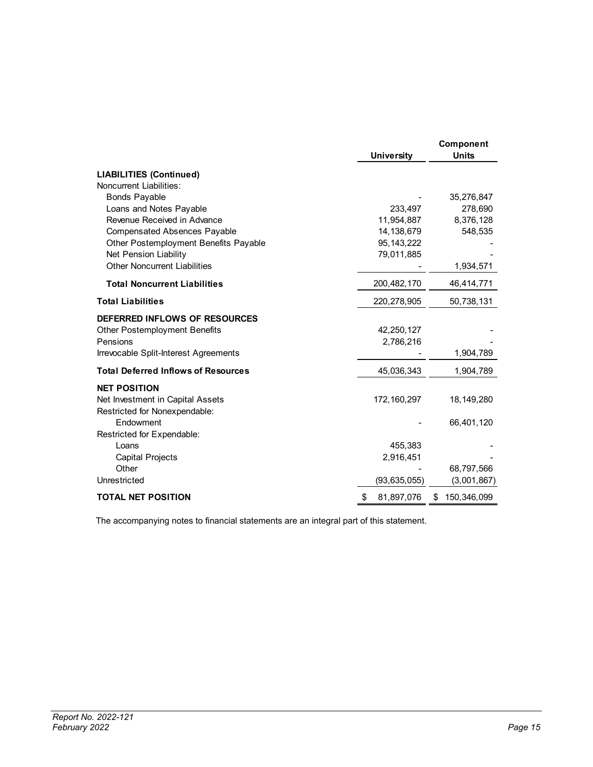|                                            |                   | Component         |
|--------------------------------------------|-------------------|-------------------|
|                                            | <b>University</b> | <b>Units</b>      |
| <b>LIABILITIES (Continued)</b>             |                   |                   |
| Noncurrent Liabilities:                    |                   |                   |
| <b>Bonds Payable</b>                       |                   | 35,276,847        |
| Loans and Notes Payable                    | 233,497           | 278,690           |
| Revenue Received in Advance                | 11,954,887        | 8,376,128         |
| <b>Compensated Absences Payable</b>        | 14, 138, 679      | 548,535           |
| Other Postemployment Benefits Payable      | 95, 143, 222      |                   |
| Net Pension Liability                      | 79,011,885        |                   |
| <b>Other Noncurrent Liabilities</b>        |                   | 1,934,571         |
| <b>Total Noncurrent Liabilities</b>        | 200,482,170       | 46,414,771        |
| <b>Total Liabilities</b>                   | 220,278,905       | 50,738,131        |
| DEFERRED INFLOWS OF RESOURCES              |                   |                   |
| <b>Other Postemployment Benefits</b>       | 42,250,127        |                   |
| Pensions                                   | 2,786,216         |                   |
| Irrevocable Split-Interest Agreements      |                   | 1,904,789         |
| <b>Total Deferred Inflows of Resources</b> | 45,036,343        | 1,904,789         |
| <b>NET POSITION</b>                        |                   |                   |
| Net Investment in Capital Assets           | 172, 160, 297     | 18, 149, 280      |
| Restricted for Nonexpendable:              |                   |                   |
| Endowment                                  |                   | 66,401,120        |
| Restricted for Expendable:                 |                   |                   |
| Loans                                      | 455,383           |                   |
| <b>Capital Projects</b>                    | 2,916,451         |                   |
| Other                                      |                   | 68,797,566        |
| Unrestricted                               | (93, 635, 055)    | (3,001,867)       |
| <b>TOTAL NET POSITION</b>                  | \$<br>81,897,076  | 150,346,099<br>\$ |

The accompanying notes to financial statements are an integral part of this statement.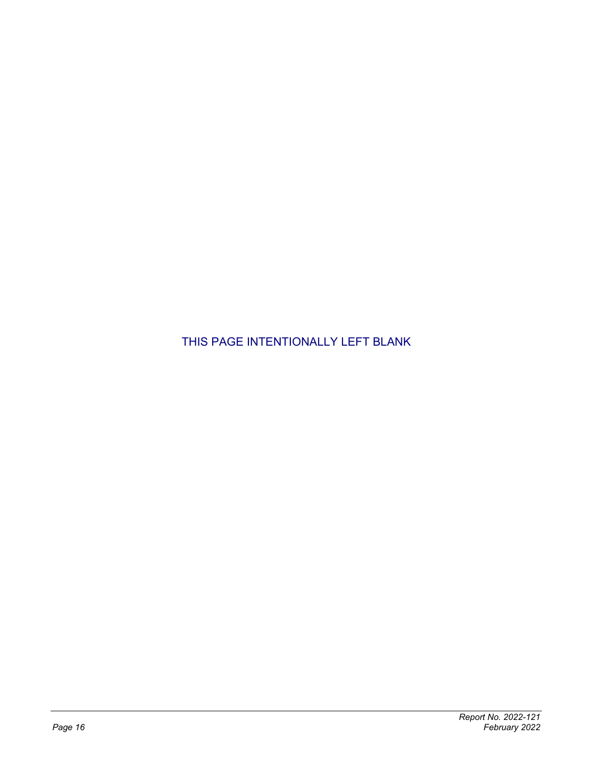THIS PAGE INTENTIONALLY LEFT BLANK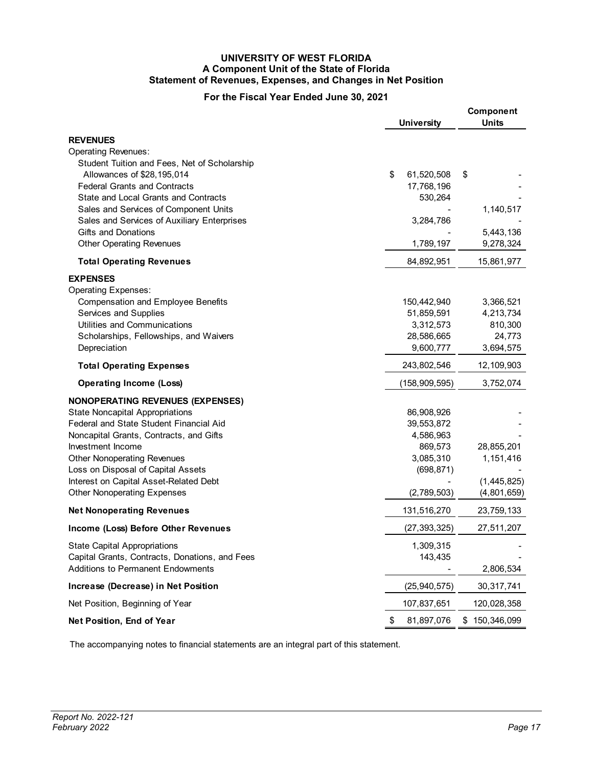#### **UNIVERSITY OF WEST FLORIDA A Component Unit of the State of Florida Statement of Revenues, Expenses, and Changes in Net Position**

#### **For the Fiscal Year Ended June 30, 2021**

<span id="page-20-0"></span>

|                                                                          | <b>University</b>       | Component<br><b>Units</b> |
|--------------------------------------------------------------------------|-------------------------|---------------------------|
|                                                                          |                         |                           |
| <b>REVENUES</b><br><b>Operating Revenues:</b>                            |                         |                           |
| Student Tuition and Fees, Net of Scholarship                             |                         |                           |
| Allowances of \$28,195,014                                               | \$<br>61,520,508        | \$                        |
| <b>Federal Grants and Contracts</b>                                      | 17,768,196              |                           |
| State and Local Grants and Contracts                                     | 530,264                 |                           |
| Sales and Services of Component Units                                    |                         | 1,140,517                 |
| Sales and Services of Auxiliary Enterprises<br>Gifts and Donations       | 3,284,786               | 5,443,136                 |
| <b>Other Operating Revenues</b>                                          | 1,789,197               | 9,278,324                 |
| <b>Total Operating Revenues</b>                                          | 84,892,951              | 15,861,977                |
| <b>EXPENSES</b>                                                          |                         |                           |
| <b>Operating Expenses:</b>                                               |                         |                           |
| <b>Compensation and Employee Benefits</b>                                | 150,442,940             | 3,366,521                 |
| Services and Supplies                                                    | 51,859,591              | 4,213,734                 |
| Utilities and Communications                                             | 3,312,573               | 810,300                   |
| Scholarships, Fellowships, and Waivers                                   | 28,586,665              | 24,773                    |
| Depreciation                                                             | 9,600,777               | 3,694,575                 |
| <b>Total Operating Expenses</b>                                          | 243,802,546             | 12, 109, 903              |
| <b>Operating Income (Loss)</b>                                           | (158, 909, 595)         | 3,752,074                 |
| <b>NONOPERATING REVENUES (EXPENSES)</b>                                  |                         |                           |
| <b>State Noncapital Appropriations</b>                                   | 86,908,926              |                           |
| Federal and State Student Financial Aid                                  | 39,553,872              |                           |
| Noncapital Grants, Contracts, and Gifts                                  | 4,586,963               |                           |
| Investment Income                                                        | 869,573                 | 28,855,201                |
| <b>Other Nonoperating Revenues</b><br>Loss on Disposal of Capital Assets | 3,085,310<br>(698, 871) | 1,151,416                 |
| Interest on Capital Asset-Related Debt                                   |                         | (1,445,825)               |
| <b>Other Nonoperating Expenses</b>                                       | (2,789,503)             | (4,801,659)               |
| <b>Net Nonoperating Revenues</b>                                         | 131,516,270             | 23,759,133                |
| Income (Loss) Before Other Revenues                                      | (27, 393, 325)          | 27,511,207                |
| <b>State Capital Appropriations</b>                                      | 1,309,315               |                           |
| Capital Grants, Contracts, Donations, and Fees                           | 143,435                 |                           |
| <b>Additions to Permanent Endowments</b>                                 |                         | 2,806,534                 |
| Increase (Decrease) in Net Position                                      | (25, 940, 575)          | 30,317,741                |
| Net Position, Beginning of Year                                          | 107,837,651             | 120,028,358               |
| Net Position, End of Year                                                | \$<br>81,897,076        | \$150,346,099             |

The accompanying notes to financial statements are an integral part of this statement.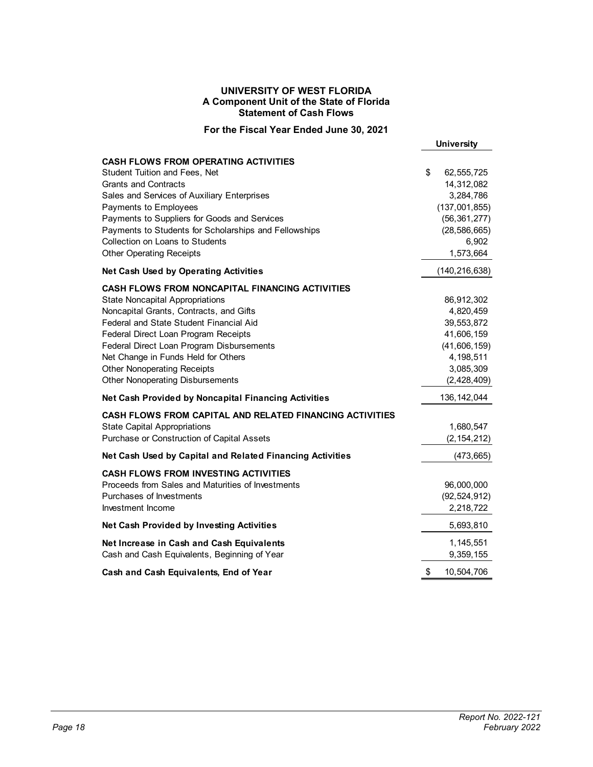#### **UNIVERSITY OF WEST FLORIDA A Component Unit of the State of Florida Statement of Cash Flows**

#### **For the Fiscal Year Ended June 30, 2021**

<span id="page-21-0"></span>

|                                                                              | <b>University</b> |
|------------------------------------------------------------------------------|-------------------|
| <b>CASH FLOWS FROM OPERATING ACTIVITIES</b><br>Student Tuition and Fees, Net | \$<br>62,555,725  |
| <b>Grants and Contracts</b>                                                  | 14,312,082        |
| Sales and Services of Auxiliary Enterprises                                  | 3,284,786         |
| Payments to Employees                                                        | (137,001,855)     |
| Payments to Suppliers for Goods and Services                                 | (56, 361, 277)    |
| Payments to Students for Scholarships and Fellowships                        | (28, 586, 665)    |
| Collection on Loans to Students                                              | 6,902             |
| <b>Other Operating Receipts</b>                                              | 1,573,664         |
| <b>Net Cash Used by Operating Activities</b>                                 | (140, 216, 638)   |
| <b>CASH FLOWS FROM NONCAPITAL FINANCING ACTIVITIES</b>                       |                   |
| <b>State Noncapital Appropriations</b>                                       | 86,912,302        |
| Noncapital Grants, Contracts, and Gifts                                      | 4,820,459         |
| Federal and State Student Financial Aid                                      | 39,553,872        |
| Federal Direct Loan Program Receipts                                         | 41,606,159        |
| Federal Direct Loan Program Disbursements                                    | (41, 606, 159)    |
| Net Change in Funds Held for Others                                          | 4,198,511         |
| <b>Other Nonoperating Receipts</b>                                           | 3,085,309         |
| <b>Other Nonoperating Disbursements</b>                                      | (2, 428, 409)     |
| Net Cash Provided by Noncapital Financing Activities                         | 136, 142, 044     |
| <b>CASH FLOWS FROM CAPITAL AND RELATED FINANCING ACTIVITIES</b>              |                   |
| <b>State Capital Appropriations</b>                                          | 1,680,547         |
| Purchase or Construction of Capital Assets                                   | (2, 154, 212)     |
| Net Cash Used by Capital and Related Financing Activities                    | (473, 665)        |
| <b>CASH FLOWS FROM INVESTING ACTIVITIES</b>                                  |                   |
| Proceeds from Sales and Maturities of Investments                            | 96,000,000        |
| Purchases of Investments                                                     | (92, 524, 912)    |
| Investment Income                                                            | 2,218,722         |
| <b>Net Cash Provided by Investing Activities</b>                             | 5,693,810         |
| Net Increase in Cash and Cash Equivalents                                    | 1,145,551         |
| Cash and Cash Equivalents, Beginning of Year                                 | 9,359,155         |
| Cash and Cash Equivalents, End of Year                                       | \$<br>10,504,706  |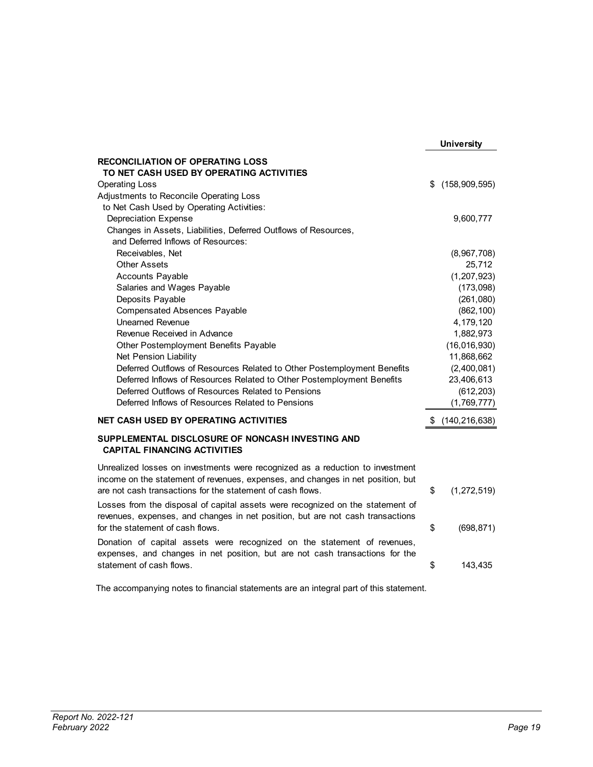|                                                                                                                                                                  |     | <b>University</b>         |
|------------------------------------------------------------------------------------------------------------------------------------------------------------------|-----|---------------------------|
| <b>RECONCILIATION OF OPERATING LOSS</b><br>TO NET CASH USED BY OPERATING ACTIVITIES                                                                              |     |                           |
| <b>Operating Loss</b>                                                                                                                                            | \$. | (158, 909, 595)           |
| Adjustments to Reconcile Operating Loss                                                                                                                          |     |                           |
| to Net Cash Used by Operating Activities:                                                                                                                        |     |                           |
| <b>Depreciation Expense</b>                                                                                                                                      |     | 9,600,777                 |
| Changes in Assets, Liabilities, Deferred Outflows of Resources,<br>and Deferred Inflows of Resources:                                                            |     |                           |
| Receivables, Net                                                                                                                                                 |     | (8,967,708)               |
| Other Assets                                                                                                                                                     |     | 25,712                    |
| <b>Accounts Payable</b>                                                                                                                                          |     | (1, 207, 923)             |
| Salaries and Wages Payable                                                                                                                                       |     | (173,098)                 |
| Deposits Payable                                                                                                                                                 |     | (261,080)                 |
| <b>Compensated Absences Payable</b>                                                                                                                              |     | (862, 100)                |
| Unearned Revenue                                                                                                                                                 |     | 4,179,120                 |
| Revenue Received in Advance                                                                                                                                      |     | 1,882,973                 |
| Other Postemployment Benefits Payable                                                                                                                            |     | (16,016,930)              |
| Net Pension Liability                                                                                                                                            |     | 11,868,662                |
| Deferred Outflows of Resources Related to Other Postemployment Benefits                                                                                          |     | (2,400,081)               |
| Deferred Inflows of Resources Related to Other Postemployment Benefits<br>Deferred Outflows of Resources Related to Pensions                                     |     | 23,406,613                |
| Deferred Inflows of Resources Related to Pensions                                                                                                                |     | (612, 203)<br>(1,769,777) |
|                                                                                                                                                                  |     |                           |
| <b>NET CASH USED BY OPERATING ACTIVITIES</b>                                                                                                                     |     | \$(140, 216, 638)         |
| SUPPLEMENTAL DISCLOSURE OF NONCASH INVESTING AND<br><b>CAPITAL FINANCING ACTIVITIES</b>                                                                          |     |                           |
| Unrealized losses on investments were recognized as a reduction to investment                                                                                    |     |                           |
| income on the statement of revenues, expenses, and changes in net position, but<br>are not cash transactions for the statement of cash flows.                    | \$  | (1, 272, 519)             |
| Losses from the disposal of capital assets were recognized on the statement of<br>revenues, expenses, and changes in net position, but are not cash transactions |     |                           |
| for the statement of cash flows.                                                                                                                                 | \$  | (698, 871)                |
| Donation of capital assets were recognized on the statement of revenues,<br>expenses, and changes in net position, but are not cash transactions for the         |     |                           |
| statement of cash flows.                                                                                                                                         | \$  | 143,435                   |

The accompanying notes to financial statements are an integral part of this statement.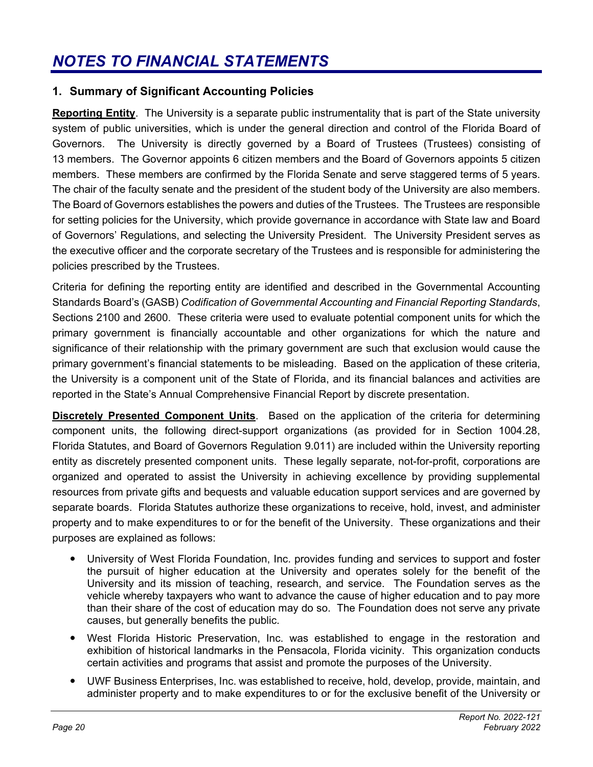## <span id="page-23-0"></span>*NOTES TO FINANCIAL STATEMENTS*

### **1. Summary of Significant Accounting Policies**

**Reporting Entity**. The University is a separate public instrumentality that is part of the State university system of public universities, which is under the general direction and control of the Florida Board of Governors. The University is directly governed by a Board of Trustees (Trustees) consisting of 13 members. The Governor appoints 6 citizen members and the Board of Governors appoints 5 citizen members. These members are confirmed by the Florida Senate and serve staggered terms of 5 years. The chair of the faculty senate and the president of the student body of the University are also members. The Board of Governors establishes the powers and duties of the Trustees. The Trustees are responsible for setting policies for the University, which provide governance in accordance with State law and Board of Governors' Regulations, and selecting the University President. The University President serves as the executive officer and the corporate secretary of the Trustees and is responsible for administering the policies prescribed by the Trustees.

Criteria for defining the reporting entity are identified and described in the Governmental Accounting Standards Board's (GASB) *Codification of Governmental Accounting and Financial Reporting Standards*, Sections 2100 and 2600. These criteria were used to evaluate potential component units for which the primary government is financially accountable and other organizations for which the nature and significance of their relationship with the primary government are such that exclusion would cause the primary government's financial statements to be misleading. Based on the application of these criteria, the University is a component unit of the State of Florida, and its financial balances and activities are reported in the State's Annual Comprehensive Financial Report by discrete presentation.

**Discretely Presented Component Units**. Based on the application of the criteria for determining component units, the following direct-support organizations (as provided for in Section 1004.28, Florida Statutes, and Board of Governors Regulation 9.011) are included within the University reporting entity as discretely presented component units. These legally separate, not-for-profit, corporations are organized and operated to assist the University in achieving excellence by providing supplemental resources from private gifts and bequests and valuable education support services and are governed by separate boards. Florida Statutes authorize these organizations to receive, hold, invest, and administer property and to make expenditures to or for the benefit of the University. These organizations and their purposes are explained as follows:

- University of West Florida Foundation, Inc. provides funding and services to support and foster the pursuit of higher education at the University and operates solely for the benefit of the University and its mission of teaching, research, and service. The Foundation serves as the vehicle whereby taxpayers who want to advance the cause of higher education and to pay more than their share of the cost of education may do so. The Foundation does not serve any private causes, but generally benefits the public.
- West Florida Historic Preservation, Inc. was established to engage in the restoration and exhibition of historical landmarks in the Pensacola, Florida vicinity. This organization conducts certain activities and programs that assist and promote the purposes of the University.
- UWF Business Enterprises, Inc. was established to receive, hold, develop, provide, maintain, and administer property and to make expenditures to or for the exclusive benefit of the University or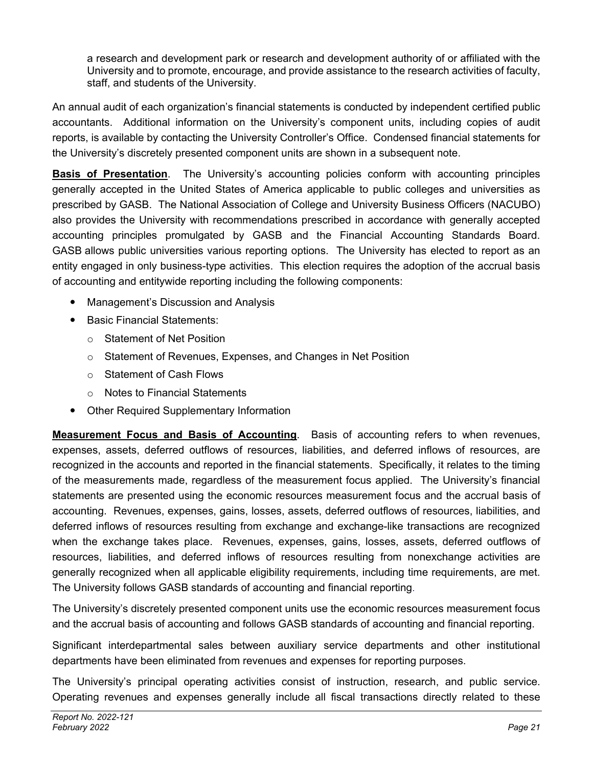a research and development park or research and development authority of or affiliated with the University and to promote, encourage, and provide assistance to the research activities of faculty, staff, and students of the University.

An annual audit of each organization's financial statements is conducted by independent certified public accountants. Additional information on the University's component units, including copies of audit reports, is available by contacting the University Controller's Office. Condensed financial statements for the University's discretely presented component units are shown in a subsequent note.

**Basis of Presentation**. The University's accounting policies conform with accounting principles generally accepted in the United States of America applicable to public colleges and universities as prescribed by GASB. The National Association of College and University Business Officers (NACUBO) also provides the University with recommendations prescribed in accordance with generally accepted accounting principles promulgated by GASB and the Financial Accounting Standards Board. GASB allows public universities various reporting options. The University has elected to report as an entity engaged in only business-type activities. This election requires the adoption of the accrual basis of accounting and entitywide reporting including the following components:

- Management's Discussion and Analysis
- Basic Financial Statements:
	- o Statement of Net Position
	- o Statement of Revenues, Expenses, and Changes in Net Position
	- o Statement of Cash Flows
	- o Notes to Financial Statements
- Other Required Supplementary Information

**Measurement Focus and Basis of Accounting**. Basis of accounting refers to when revenues, expenses, assets, deferred outflows of resources, liabilities, and deferred inflows of resources, are recognized in the accounts and reported in the financial statements. Specifically, it relates to the timing of the measurements made, regardless of the measurement focus applied. The University's financial statements are presented using the economic resources measurement focus and the accrual basis of accounting. Revenues, expenses, gains, losses, assets, deferred outflows of resources, liabilities, and deferred inflows of resources resulting from exchange and exchange-like transactions are recognized when the exchange takes place. Revenues, expenses, gains, losses, assets, deferred outflows of resources, liabilities, and deferred inflows of resources resulting from nonexchange activities are generally recognized when all applicable eligibility requirements, including time requirements, are met. The University follows GASB standards of accounting and financial reporting.

The University's discretely presented component units use the economic resources measurement focus and the accrual basis of accounting and follows GASB standards of accounting and financial reporting.

Significant interdepartmental sales between auxiliary service departments and other institutional departments have been eliminated from revenues and expenses for reporting purposes.

The University's principal operating activities consist of instruction, research, and public service. Operating revenues and expenses generally include all fiscal transactions directly related to these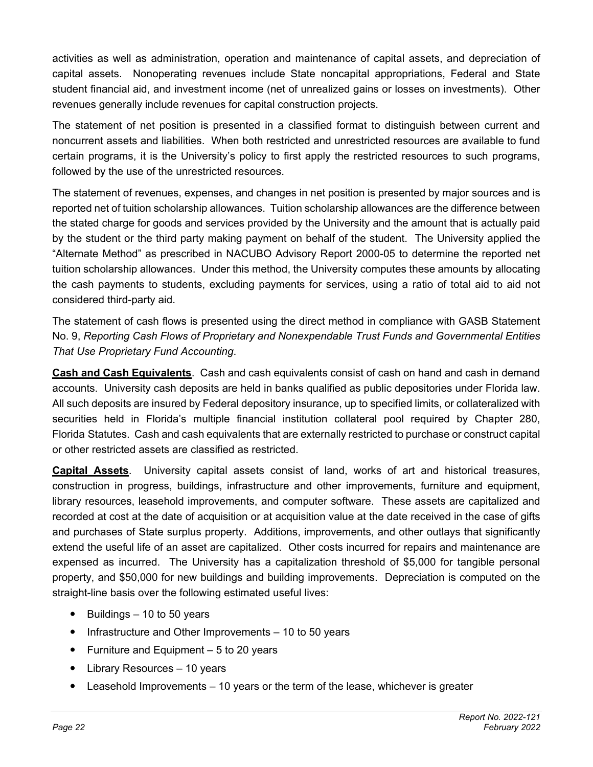activities as well as administration, operation and maintenance of capital assets, and depreciation of capital assets. Nonoperating revenues include State noncapital appropriations, Federal and State student financial aid, and investment income (net of unrealized gains or losses on investments). Other revenues generally include revenues for capital construction projects.

The statement of net position is presented in a classified format to distinguish between current and noncurrent assets and liabilities. When both restricted and unrestricted resources are available to fund certain programs, it is the University's policy to first apply the restricted resources to such programs, followed by the use of the unrestricted resources.

The statement of revenues, expenses, and changes in net position is presented by major sources and is reported net of tuition scholarship allowances. Tuition scholarship allowances are the difference between the stated charge for goods and services provided by the University and the amount that is actually paid by the student or the third party making payment on behalf of the student. The University applied the "Alternate Method" as prescribed in NACUBO Advisory Report 2000-05 to determine the reported net tuition scholarship allowances. Under this method, the University computes these amounts by allocating the cash payments to students, excluding payments for services, using a ratio of total aid to aid not considered third-party aid.

The statement of cash flows is presented using the direct method in compliance with GASB Statement No. 9, *Reporting Cash Flows of Proprietary and Nonexpendable Trust Funds and Governmental Entities That Use Proprietary Fund Accounting*.

**Cash and Cash Equivalents**. Cash and cash equivalents consist of cash on hand and cash in demand accounts. University cash deposits are held in banks qualified as public depositories under Florida law. All such deposits are insured by Federal depository insurance, up to specified limits, or collateralized with securities held in Florida's multiple financial institution collateral pool required by Chapter 280, Florida Statutes. Cash and cash equivalents that are externally restricted to purchase or construct capital or other restricted assets are classified as restricted.

**Capital Assets**. University capital assets consist of land, works of art and historical treasures, construction in progress, buildings, infrastructure and other improvements, furniture and equipment, library resources, leasehold improvements, and computer software. These assets are capitalized and recorded at cost at the date of acquisition or at acquisition value at the date received in the case of gifts and purchases of State surplus property. Additions, improvements, and other outlays that significantly extend the useful life of an asset are capitalized. Other costs incurred for repairs and maintenance are expensed as incurred. The University has a capitalization threshold of \$5,000 for tangible personal property, and \$50,000 for new buildings and building improvements. Depreciation is computed on the straight-line basis over the following estimated useful lives:

- $\bullet$  Buildings 10 to 50 years
- $\bullet$  Infrastructure and Other Improvements  $-10$  to 50 years
- Furniture and Equipment  $-5$  to 20 years
- Library Resources 10 years
- Leasehold Improvements 10 years or the term of the lease, whichever is greater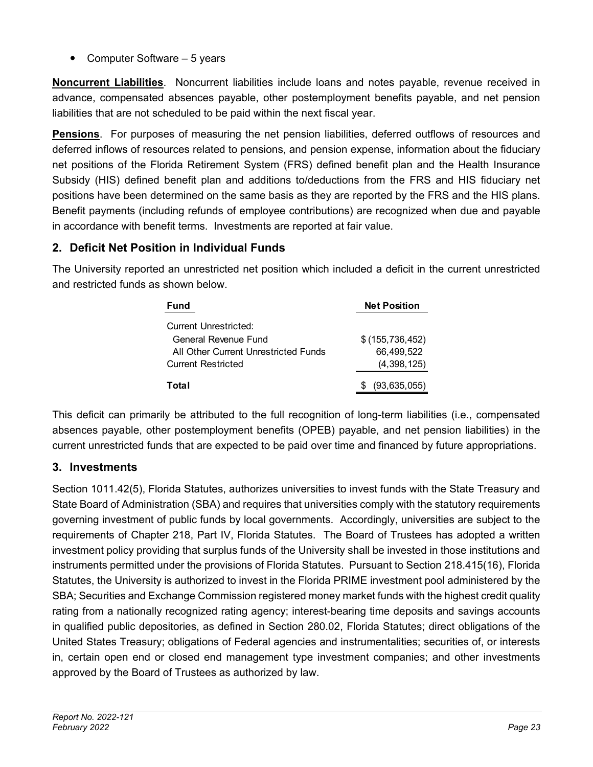• Computer Software – 5 years

**Noncurrent Liabilities**. Noncurrent liabilities include loans and notes payable, revenue received in advance, compensated absences payable, other postemployment benefits payable, and net pension liabilities that are not scheduled to be paid within the next fiscal year.

**Pensions**. For purposes of measuring the net pension liabilities, deferred outflows of resources and deferred inflows of resources related to pensions, and pension expense, information about the fiduciary net positions of the Florida Retirement System (FRS) defined benefit plan and the Health Insurance Subsidy (HIS) defined benefit plan and additions to/deductions from the FRS and HIS fiduciary net positions have been determined on the same basis as they are reported by the FRS and the HIS plans. Benefit payments (including refunds of employee contributions) are recognized when due and payable in accordance with benefit terms. Investments are reported at fair value.

## **2. Deficit Net Position in Individual Funds**

The University reported an unrestricted net position which included a deficit in the current unrestricted and restricted funds as shown below.

| Fund                                 | <b>Net Position</b> |
|--------------------------------------|---------------------|
| Current Unrestricted:                |                     |
| General Revenue Fund                 | \$(155, 736, 452)   |
| All Other Current Unrestricted Funds | 66,499,522          |
| Current Restricted                   | (4,398,125)         |
| Total                                | (93, 635, 055)      |

This deficit can primarily be attributed to the full recognition of long-term liabilities (i.e., compensated absences payable, other postemployment benefits (OPEB) payable, and net pension liabilities) in the current unrestricted funds that are expected to be paid over time and financed by future appropriations.

## **3. Investments**

Section 1011.42(5), Florida Statutes, authorizes universities to invest funds with the State Treasury and State Board of Administration (SBA) and requires that universities comply with the statutory requirements governing investment of public funds by local governments. Accordingly, universities are subject to the requirements of Chapter 218, Part IV, Florida Statutes. The Board of Trustees has adopted a written investment policy providing that surplus funds of the University shall be invested in those institutions and instruments permitted under the provisions of Florida Statutes. Pursuant to Section 218.415(16), Florida Statutes, the University is authorized to invest in the Florida PRIME investment pool administered by the SBA; Securities and Exchange Commission registered money market funds with the highest credit quality rating from a nationally recognized rating agency; interest-bearing time deposits and savings accounts in qualified public depositories, as defined in Section 280.02, Florida Statutes; direct obligations of the United States Treasury; obligations of Federal agencies and instrumentalities; securities of, or interests in, certain open end or closed end management type investment companies; and other investments approved by the Board of Trustees as authorized by law.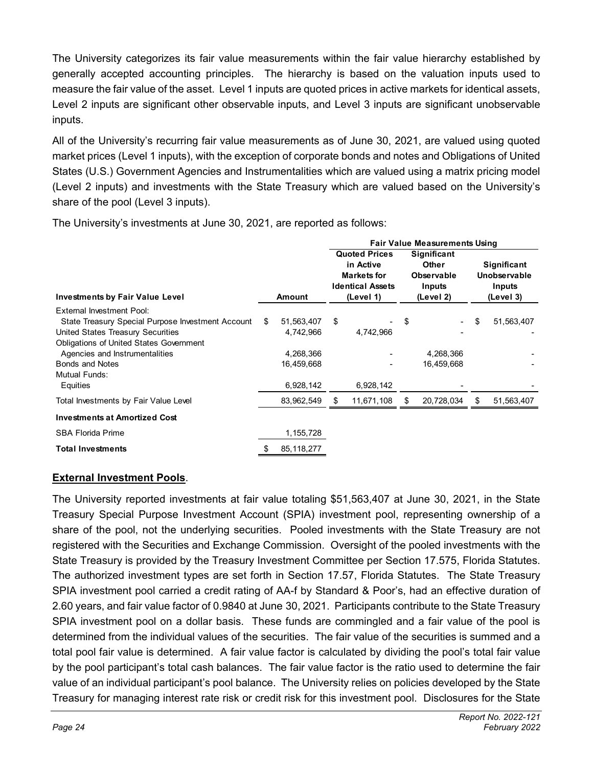The University categorizes its fair value measurements within the fair value hierarchy established by generally accepted accounting principles. The hierarchy is based on the valuation inputs used to measure the fair value of the asset. Level 1 inputs are quoted prices in active markets for identical assets, Level 2 inputs are significant other observable inputs, and Level 3 inputs are significant unobservable inputs.

All of the University's recurring fair value measurements as of June 30, 2021, are valued using quoted market prices (Level 1 inputs), with the exception of corporate bonds and notes and Obligations of United States (U.S.) Government Agencies and Instrumentalities which are valued using a matrix pricing model (Level 2 inputs) and investments with the State Treasury which are valued based on the University's share of the pool (Level 3 inputs).

|                                                   |                  | <b>Fair Value Measurements Using</b> |                         |    |                    |    |                    |
|---------------------------------------------------|------------------|--------------------------------------|-------------------------|----|--------------------|----|--------------------|
|                                                   |                  |                                      | <b>Quoted Prices</b>    |    | <b>Significant</b> |    |                    |
|                                                   |                  |                                      | in Active               |    | <b>Other</b>       |    | <b>Significant</b> |
|                                                   |                  |                                      | <b>Markets for</b>      |    | <b>Observable</b>  |    | Unobservable       |
|                                                   |                  |                                      | <b>Identical Assets</b> |    | Inputs             |    | Inputs             |
| <b>Investments by Fair Value Level</b>            | <b>Amount</b>    |                                      | (Level 1)               |    | (Level 2)          |    | (Level 3)          |
| External Investment Pool:                         |                  |                                      |                         |    |                    |    |                    |
| State Treasury Special Purpose Investment Account | \$<br>51,563,407 | \$                                   |                         | \$ |                    | \$ | 51,563,407         |
| United States Treasury Securities                 | 4,742,966        |                                      | 4,742,966               |    |                    |    |                    |
| <b>Obligations of United States Government</b>    |                  |                                      |                         |    |                    |    |                    |
| Agencies and Instrumentalities                    | 4,268,366        |                                      |                         |    | 4,268,366          |    |                    |
| <b>Bonds and Notes</b>                            | 16,459,668       |                                      |                         |    | 16,459,668         |    |                    |
| <b>Mutual Funds:</b>                              |                  |                                      |                         |    |                    |    |                    |
| Equities                                          | 6,928,142        |                                      | 6,928,142               |    |                    |    |                    |
| Total Investments by Fair Value Level             | 83,962,549       | S                                    | 11,671,108              | S  | 20,728,034         |    | 51,563,407         |
| <b>Investments at Amortized Cost</b>              |                  |                                      |                         |    |                    |    |                    |
| <b>SBA Florida Prime</b>                          | 1,155,728        |                                      |                         |    |                    |    |                    |
| <b>Total Investments</b>                          | 85, 118, 277     |                                      |                         |    |                    |    |                    |

The University's investments at June 30, 2021, are reported as follows:

#### **External Investment Pools**.

The University reported investments at fair value totaling \$51,563,407 at June 30, 2021, in the State Treasury Special Purpose Investment Account (SPIA) investment pool, representing ownership of a share of the pool, not the underlying securities. Pooled investments with the State Treasury are not registered with the Securities and Exchange Commission. Oversight of the pooled investments with the State Treasury is provided by the Treasury Investment Committee per Section 17.575, Florida Statutes. The authorized investment types are set forth in Section 17.57, Florida Statutes. The State Treasury SPIA investment pool carried a credit rating of AA-f by Standard & Poor's, had an effective duration of 2.60 years, and fair value factor of 0.9840 at June 30, 2021. Participants contribute to the State Treasury SPIA investment pool on a dollar basis. These funds are commingled and a fair value of the pool is determined from the individual values of the securities. The fair value of the securities is summed and a total pool fair value is determined. A fair value factor is calculated by dividing the pool's total fair value by the pool participant's total cash balances. The fair value factor is the ratio used to determine the fair value of an individual participant's pool balance. The University relies on policies developed by the State Treasury for managing interest rate risk or credit risk for this investment pool. Disclosures for the State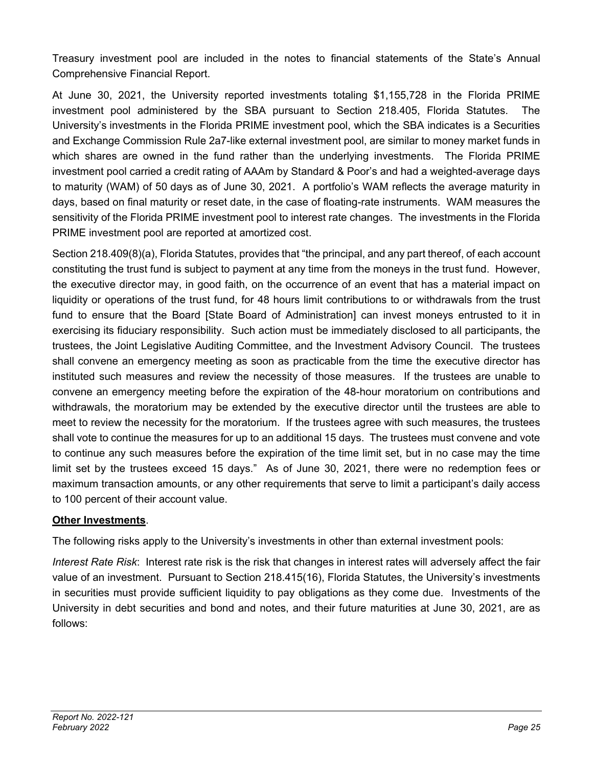Treasury investment pool are included in the notes to financial statements of the State's Annual Comprehensive Financial Report.

At June 30, 2021, the University reported investments totaling \$1,155,728 in the Florida PRIME investment pool administered by the SBA pursuant to Section 218.405, Florida Statutes. The University's investments in the Florida PRIME investment pool, which the SBA indicates is a Securities and Exchange Commission Rule 2a7-like external investment pool, are similar to money market funds in which shares are owned in the fund rather than the underlying investments. The Florida PRIME investment pool carried a credit rating of AAAm by Standard & Poor's and had a weighted-average days to maturity (WAM) of 50 days as of June 30, 2021. A portfolio's WAM reflects the average maturity in days, based on final maturity or reset date, in the case of floating-rate instruments. WAM measures the sensitivity of the Florida PRIME investment pool to interest rate changes. The investments in the Florida PRIME investment pool are reported at amortized cost.

Section 218.409(8)(a), Florida Statutes, provides that "the principal, and any part thereof, of each account constituting the trust fund is subject to payment at any time from the moneys in the trust fund. However, the executive director may, in good faith, on the occurrence of an event that has a material impact on liquidity or operations of the trust fund, for 48 hours limit contributions to or withdrawals from the trust fund to ensure that the Board [State Board of Administration] can invest moneys entrusted to it in exercising its fiduciary responsibility. Such action must be immediately disclosed to all participants, the trustees, the Joint Legislative Auditing Committee, and the Investment Advisory Council. The trustees shall convene an emergency meeting as soon as practicable from the time the executive director has instituted such measures and review the necessity of those measures. If the trustees are unable to convene an emergency meeting before the expiration of the 48-hour moratorium on contributions and withdrawals, the moratorium may be extended by the executive director until the trustees are able to meet to review the necessity for the moratorium. If the trustees agree with such measures, the trustees shall vote to continue the measures for up to an additional 15 days. The trustees must convene and vote to continue any such measures before the expiration of the time limit set, but in no case may the time limit set by the trustees exceed 15 days." As of June 30, 2021, there were no redemption fees or maximum transaction amounts, or any other requirements that serve to limit a participant's daily access to 100 percent of their account value.

## **Other Investments**.

The following risks apply to the University's investments in other than external investment pools:

*Interest Rate Risk*: Interest rate risk is the risk that changes in interest rates will adversely affect the fair value of an investment. Pursuant to Section 218.415(16), Florida Statutes, the University's investments in securities must provide sufficient liquidity to pay obligations as they come due. Investments of the University in debt securities and bond and notes, and their future maturities at June 30, 2021, are as follows: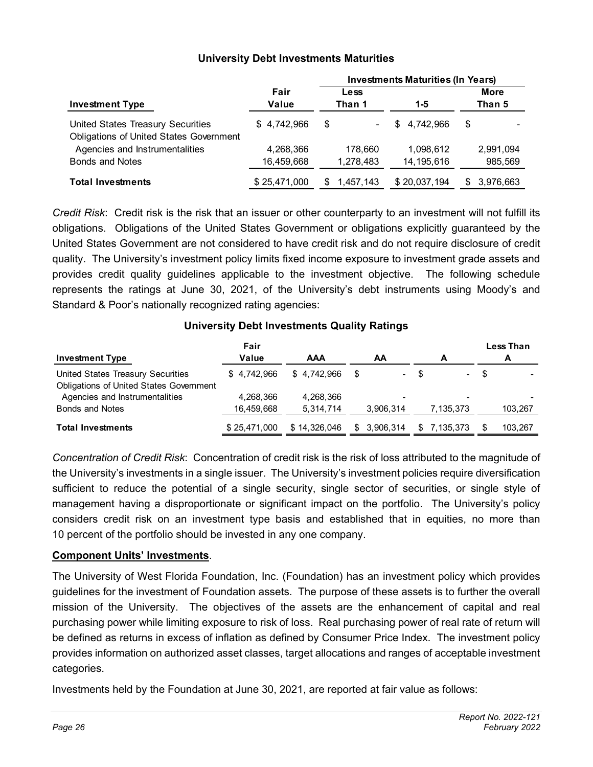|                                                                                     |                      | <b>Investments Maturities (In Years)</b> |              |                       |  |  |  |
|-------------------------------------------------------------------------------------|----------------------|------------------------------------------|--------------|-----------------------|--|--|--|
| <b>Investment Type</b>                                                              | Fair<br><b>Value</b> | <b>Less</b><br>Than 1                    | 1-5          | <b>More</b><br>Than 5 |  |  |  |
| United States Treasury Securities<br><b>Obligations of United States Government</b> | \$4,742,966          | \$<br>٠                                  | \$4,742,966  | \$                    |  |  |  |
| Agencies and Instrumentalities                                                      | 4,268,366            | 178.660                                  | 1.098.612    | 2.991.094             |  |  |  |
| <b>Bonds and Notes</b>                                                              | 16,459,668           | 1,278,483                                | 14, 195, 616 | 985,569               |  |  |  |
| <b>Total Investments</b>                                                            | \$25,471,000         | 1,457,143<br>\$.                         | \$20,037,194 | 3,976,663<br>\$.      |  |  |  |

#### **University Debt Investments Maturities**

*Credit Risk*: Credit risk is the risk that an issuer or other counterparty to an investment will not fulfill its obligations. Obligations of the United States Government or obligations explicitly guaranteed by the United States Government are not considered to have credit risk and do not require disclosure of credit quality. The University's investment policy limits fixed income exposure to investment grade assets and provides credit quality guidelines applicable to the investment objective. The following schedule represents the ratings at June 30, 2021, of the University's debt instruments using Moody's and Standard & Poor's nationally recognized rating agencies:

| <b>Investment Type</b>                                                              | Fair<br>Value | AAA          | AA                       |                    | <b>Less Than</b><br>A |
|-------------------------------------------------------------------------------------|---------------|--------------|--------------------------|--------------------|-----------------------|
| United States Treasury Securities<br><b>Obligations of United States Government</b> | \$4.742.966   | \$4.742.966  | $\overline{\phantom{a}}$ | - \$<br>$\sim$ $-$ | S                     |
| Agencies and Instrumentalities                                                      | 4.268.366     | 4.268.366    |                          |                    |                       |
| <b>Bonds and Notes</b>                                                              | 16,459,668    | 5,314,714    | 3.906.314                | 7.135.373          | 103,267               |
| <b>Total Investments</b>                                                            | \$25.471.000  | \$14.326.046 | \$3.906.314              | 7.135.373          | 103.267               |

#### **University Debt Investments Quality Ratings**

*Concentration of Credit Risk*: Concentration of credit risk is the risk of loss attributed to the magnitude of the University's investments in a single issuer. The University's investment policies require diversification sufficient to reduce the potential of a single security, single sector of securities, or single style of management having a disproportionate or significant impact on the portfolio. The University's policy considers credit risk on an investment type basis and established that in equities, no more than 10 percent of the portfolio should be invested in any one company.

#### **Component Units' Investments**.

The University of West Florida Foundation, Inc. (Foundation) has an investment policy which provides guidelines for the investment of Foundation assets. The purpose of these assets is to further the overall mission of the University. The objectives of the assets are the enhancement of capital and real purchasing power while limiting exposure to risk of loss. Real purchasing power of real rate of return will be defined as returns in excess of inflation as defined by Consumer Price Index. The investment policy provides information on authorized asset classes, target allocations and ranges of acceptable investment categories.

Investments held by the Foundation at June 30, 2021, are reported at fair value as follows: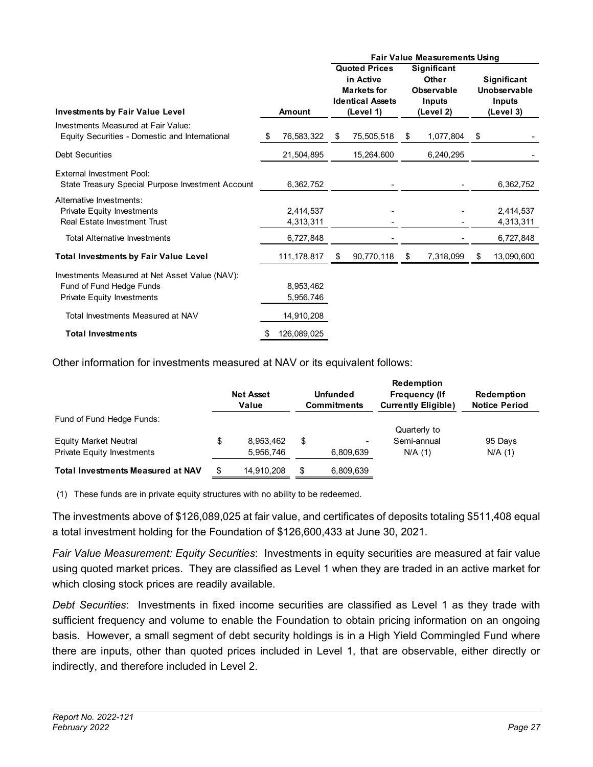|                                                                                                                 |   |                        | <b>Fair Value Measurements Using</b> |                                                                                                 |    |                                                                         |                                                           |                        |
|-----------------------------------------------------------------------------------------------------------------|---|------------------------|--------------------------------------|-------------------------------------------------------------------------------------------------|----|-------------------------------------------------------------------------|-----------------------------------------------------------|------------------------|
| <b>Investments by Fair Value Level</b>                                                                          |   | Amount                 |                                      | <b>Quoted Prices</b><br>in Active<br><b>Markets for</b><br><b>Identical Assets</b><br>(Level 1) |    | Significant<br>Other<br><b>Observable</b><br><b>Inputs</b><br>(Level 2) | Significant<br>Unobservable<br><b>Inputs</b><br>(Level 3) |                        |
| Investments Measured at Fair Value:<br>Equity Securities - Domestic and International                           | S | 76,583,322             | \$                                   | 75,505,518                                                                                      | \$ | 1,077,804                                                               | \$                                                        |                        |
| <b>Debt Securities</b>                                                                                          |   | 21,504,895             |                                      | 15.264.600                                                                                      |    | 6,240,295                                                               |                                                           |                        |
| <b>External Investment Pool:</b><br>State Treasury Special Purpose Investment Account                           |   | 6,362,752              |                                      |                                                                                                 |    |                                                                         |                                                           | 6,362,752              |
| Alternative Investments:<br><b>Private Equity Investments</b><br><b>Real Estate Investment Trust</b>            |   | 2,414,537<br>4,313,311 |                                      |                                                                                                 |    |                                                                         |                                                           | 2,414,537<br>4,313,311 |
| <b>Total Alternative Investments</b>                                                                            |   | 6,727,848              |                                      |                                                                                                 |    |                                                                         |                                                           | 6,727,848              |
| <b>Total Investments by Fair Value Level</b>                                                                    |   | 111, 178, 817          | S                                    | 90,770,118                                                                                      | \$ | 7,318,099                                                               | S                                                         | 13,090,600             |
| Investments Measured at Net Asset Value (NAV):<br>Fund of Fund Hedge Funds<br><b>Private Equity Investments</b> |   | 8,953,462<br>5,956,746 |                                      |                                                                                                 |    |                                                                         |                                                           |                        |
| Total Investments Measured at NAV                                                                               |   | 14,910,208             |                                      |                                                                                                 |    |                                                                         |                                                           |                        |
| <b>Total Investments</b>                                                                                        | S | 126,089,025            |                                      |                                                                                                 |    |                                                                         |                                                           |                        |

Other information for investments measured at NAV or its equivalent follows:

|                                          |                           |                                       | <b>Redemption</b>                                  |                                           |
|------------------------------------------|---------------------------|---------------------------------------|----------------------------------------------------|-------------------------------------------|
|                                          | <b>Net Asset</b><br>Value | <b>Unfunded</b><br><b>Commitments</b> | <b>Frequency (If</b><br><b>Currently Eligible)</b> | <b>Redemption</b><br><b>Notice Period</b> |
| Fund of Fund Hedge Funds:                |                           |                                       | Quarterly to                                       |                                           |
| <b>Equity Market Neutral</b>             | \$<br>8,953,462           | \$<br>$\blacksquare$                  | Semi-annual                                        | 95 Days                                   |
| <b>Private Equity Investments</b>        | 5,956,746                 | 6,809,639                             | N/A(1)                                             | N/A(1)                                    |
| <b>Total Investments Measured at NAV</b> | 14,910,208                | \$<br>6,809,639                       |                                                    |                                           |

(1) These funds are in private equity structures with no ability to be redeemed.

The investments above of \$126,089,025 at fair value, and certificates of deposits totaling \$511,408 equal a total investment holding for the Foundation of \$126,600,433 at June 30, 2021.

*Fair Value Measurement: Equity Securities*: Investments in equity securities are measured at fair value using quoted market prices. They are classified as Level 1 when they are traded in an active market for which closing stock prices are readily available.

*Debt Securities*: Investments in fixed income securities are classified as Level 1 as they trade with sufficient frequency and volume to enable the Foundation to obtain pricing information on an ongoing basis. However, a small segment of debt security holdings is in a High Yield Commingled Fund where there are inputs, other than quoted prices included in Level 1, that are observable, either directly or indirectly, and therefore included in Level 2.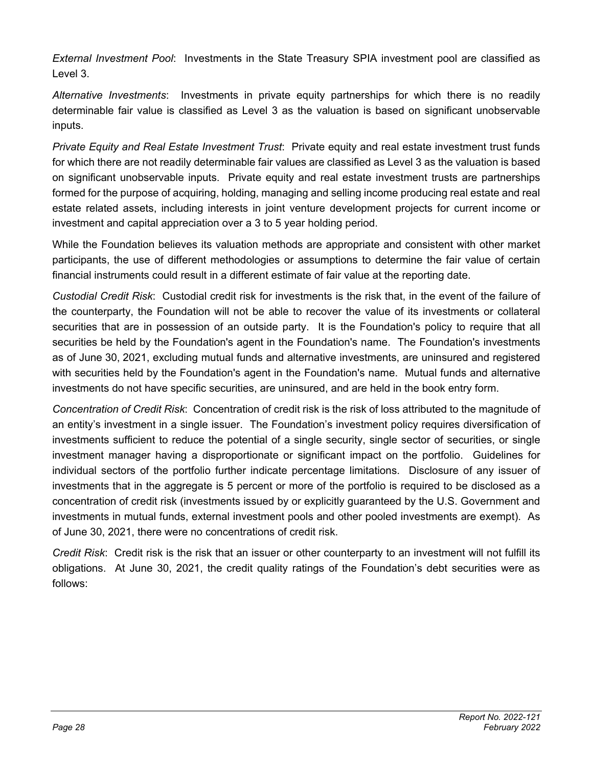*External Investment Pool*: Investments in the State Treasury SPIA investment pool are classified as Level 3.

*Alternative Investments*: Investments in private equity partnerships for which there is no readily determinable fair value is classified as Level 3 as the valuation is based on significant unobservable inputs.

*Private Equity and Real Estate Investment Trust*: Private equity and real estate investment trust funds for which there are not readily determinable fair values are classified as Level 3 as the valuation is based on significant unobservable inputs. Private equity and real estate investment trusts are partnerships formed for the purpose of acquiring, holding, managing and selling income producing real estate and real estate related assets, including interests in joint venture development projects for current income or investment and capital appreciation over a 3 to 5 year holding period.

While the Foundation believes its valuation methods are appropriate and consistent with other market participants, the use of different methodologies or assumptions to determine the fair value of certain financial instruments could result in a different estimate of fair value at the reporting date.

*Custodial Credit Risk*: Custodial credit risk for investments is the risk that, in the event of the failure of the counterparty, the Foundation will not be able to recover the value of its investments or collateral securities that are in possession of an outside party. It is the Foundation's policy to require that all securities be held by the Foundation's agent in the Foundation's name. The Foundation's investments as of June 30, 2021, excluding mutual funds and alternative investments, are uninsured and registered with securities held by the Foundation's agent in the Foundation's name. Mutual funds and alternative investments do not have specific securities, are uninsured, and are held in the book entry form.

*Concentration of Credit Risk*: Concentration of credit risk is the risk of loss attributed to the magnitude of an entity's investment in a single issuer. The Foundation's investment policy requires diversification of investments sufficient to reduce the potential of a single security, single sector of securities, or single investment manager having a disproportionate or significant impact on the portfolio. Guidelines for individual sectors of the portfolio further indicate percentage limitations. Disclosure of any issuer of investments that in the aggregate is 5 percent or more of the portfolio is required to be disclosed as a concentration of credit risk (investments issued by or explicitly guaranteed by the U.S. Government and investments in mutual funds, external investment pools and other pooled investments are exempt). As of June 30, 2021, there were no concentrations of credit risk.

*Credit Risk*: Credit risk is the risk that an issuer or other counterparty to an investment will not fulfill its obligations. At June 30, 2021, the credit quality ratings of the Foundation's debt securities were as follows: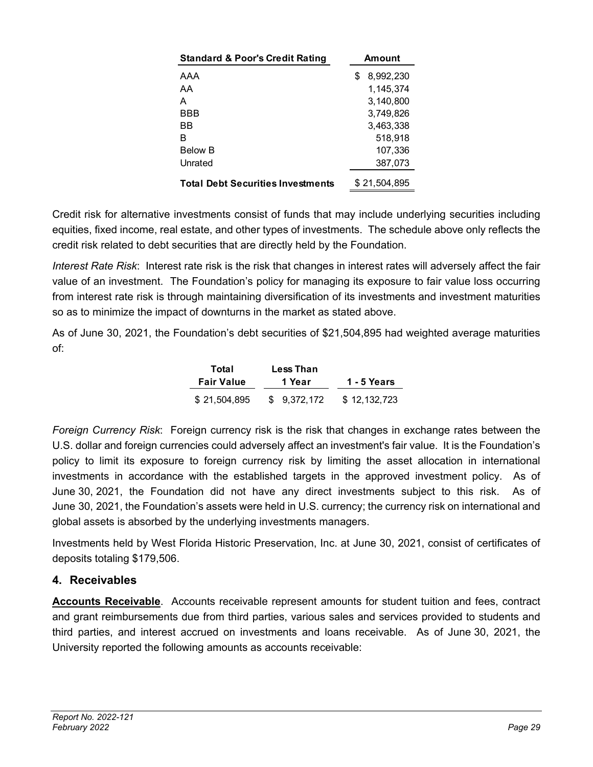| <b>Standard &amp; Poor's Credit Rating</b> | <b>Amount</b> |              |  |  |
|--------------------------------------------|---------------|--------------|--|--|
| AAA                                        | \$            | 8,992,230    |  |  |
| AA                                         |               | 1,145,374    |  |  |
| А                                          |               | 3,140,800    |  |  |
| BBB                                        |               | 3,749,826    |  |  |
| ΒB                                         |               | 3,463,338    |  |  |
| в                                          |               | 518,918      |  |  |
| <b>Below B</b>                             |               | 107,336      |  |  |
| Unrated                                    |               | 387,073      |  |  |
| <b>Total Debt Securities Investments</b>   |               | \$21,504,895 |  |  |

Credit risk for alternative investments consist of funds that may include underlying securities including equities, fixed income, real estate, and other types of investments. The schedule above only reflects the credit risk related to debt securities that are directly held by the Foundation.

*Interest Rate Risk*: Interest rate risk is the risk that changes in interest rates will adversely affect the fair value of an investment. The Foundation's policy for managing its exposure to fair value loss occurring from interest rate risk is through maintaining diversification of its investments and investment maturities so as to minimize the impact of downturns in the market as stated above.

As of June 30, 2021, the Foundation's debt securities of \$21,504,895 had weighted average maturities of:

| Total             | Less Than    |              |
|-------------------|--------------|--------------|
| <b>Fair Value</b> | 1 Year       | 1 - 5 Years  |
| \$21,504,895      | \$ 9.372.172 | \$12,132,723 |

*Foreign Currency Risk*: Foreign currency risk is the risk that changes in exchange rates between the U.S. dollar and foreign currencies could adversely affect an investment's fair value. It is the Foundation's policy to limit its exposure to foreign currency risk by limiting the asset allocation in international investments in accordance with the established targets in the approved investment policy. As of June 30, 2021, the Foundation did not have any direct investments subject to this risk. As of June 30, 2021, the Foundation's assets were held in U.S. currency; the currency risk on international and global assets is absorbed by the underlying investments managers.

Investments held by West Florida Historic Preservation, Inc. at June 30, 2021, consist of certificates of deposits totaling \$179,506.

## **4. Receivables**

**Accounts Receivable**. Accounts receivable represent amounts for student tuition and fees, contract and grant reimbursements due from third parties, various sales and services provided to students and third parties, and interest accrued on investments and loans receivable. As of June 30, 2021, the University reported the following amounts as accounts receivable: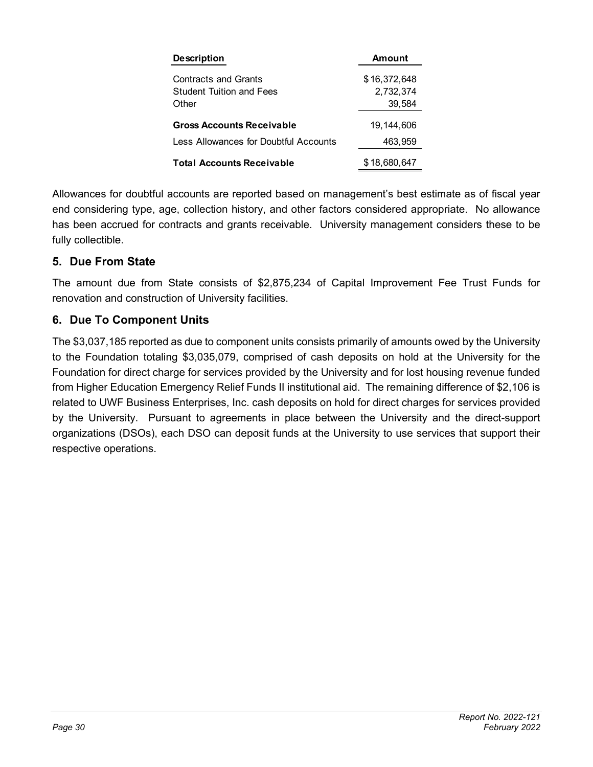| <b>Description</b>                       | <b>Amount</b>       |
|------------------------------------------|---------------------|
| <b>Contracts and Grants</b>              | \$16,372,648        |
| <b>Student Tuition and Fees</b><br>Other | 2,732,374<br>39,584 |
| <b>Gross Accounts Receivable</b>         | 19.144.606          |
| Less Allowances for Doubtful Accounts    | 463,959             |
| <b>Total Accounts Receivable</b>         | \$18,680,647        |

Allowances for doubtful accounts are reported based on management's best estimate as of fiscal year end considering type, age, collection history, and other factors considered appropriate. No allowance has been accrued for contracts and grants receivable. University management considers these to be fully collectible.

## **5. Due From State**

The amount due from State consists of \$2,875,234 of Capital Improvement Fee Trust Funds for renovation and construction of University facilities.

## **6. Due To Component Units**

The \$3,037,185 reported as due to component units consists primarily of amounts owed by the University to the Foundation totaling \$3,035,079, comprised of cash deposits on hold at the University for the Foundation for direct charge for services provided by the University and for lost housing revenue funded from Higher Education Emergency Relief Funds II institutional aid. The remaining difference of \$2,106 is related to UWF Business Enterprises, Inc. cash deposits on hold for direct charges for services provided by the University. Pursuant to agreements in place between the University and the direct-support organizations (DSOs), each DSO can deposit funds at the University to use services that support their respective operations.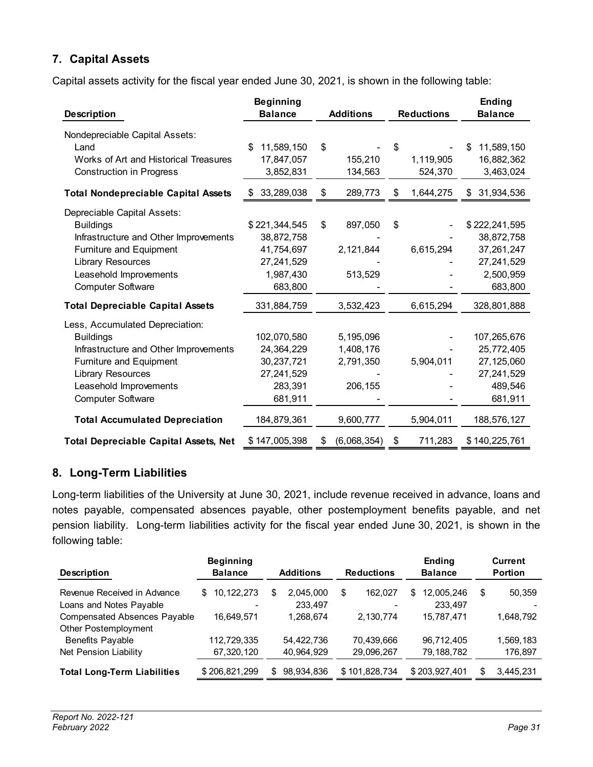## **7. Capital Assets**

Capital assets activity for the fiscal year ended June 30, 2021, is shown in the following table:

| <b>Description</b>                           | <b>Beginning</b><br><b>Balance</b> | <b>Additions</b>  | <b>Reductions</b> | <b>Ending</b><br><b>Balance</b> |
|----------------------------------------------|------------------------------------|-------------------|-------------------|---------------------------------|
|                                              |                                    |                   |                   |                                 |
| Nondepreciable Capital Assets:               |                                    |                   |                   |                                 |
| Land                                         | 11,589,150<br>\$                   | \$                | \$                | 11,589,150                      |
| Works of Art and Historical Treasures        | 17,847,057                         | 155,210           | 1,119,905         | 16,882,362                      |
| <b>Construction in Progress</b>              | 3,852,831                          | 134,563           | 524,370           | 3,463,024                       |
| <b>Total Nondepreciable Capital Assets</b>   | 33,289,038<br>\$                   | \$<br>289,773     | \$<br>1,644,275   | 31,934,536<br>\$                |
| Depreciable Capital Assets:                  |                                    |                   |                   |                                 |
| <b>Buildings</b>                             | \$221,344,545                      | \$<br>897,050     | \$                | \$222,241,595                   |
| Infrastructure and Other Improvements        | 38,872,758                         |                   |                   | 38,872,758                      |
| <b>Furniture and Equipment</b>               | 41,754,697                         | 2,121,844         | 6,615,294         | 37,261,247                      |
| <b>Library Resources</b>                     | 27,241,529                         |                   |                   | 27,241,529                      |
| Leasehold Improvements                       | 1,987,430                          | 513,529           |                   | 2,500,959                       |
| <b>Computer Software</b>                     | 683,800                            |                   |                   | 683,800                         |
| <b>Total Depreciable Capital Assets</b>      | 331,884,759                        | 3,532,423         | 6,615,294         | 328,801,888                     |
| Less, Accumulated Depreciation:              |                                    |                   |                   |                                 |
| <b>Buildings</b>                             | 102,070,580                        | 5,195,096         |                   | 107,265,676                     |
| Infrastructure and Other Improvements        | 24,364,229                         | 1,408,176         |                   | 25,772,405                      |
| Furniture and Equipment                      | 30,237,721                         | 2,791,350         | 5,904,011         | 27,125,060                      |
| <b>Library Resources</b>                     | 27,241,529                         |                   |                   | 27,241,529                      |
| Leasehold Improvements                       | 283,391                            | 206,155           |                   | 489,546                         |
| <b>Computer Software</b>                     | 681,911                            |                   |                   | 681,911                         |
| <b>Total Accumulated Depreciation</b>        | 184,879,361                        | 9,600,777         | 5,904,011         | 188,576,127                     |
| <b>Total Depreciable Capital Assets, Net</b> | \$147,005,398                      | \$<br>(6,068,354) | \$<br>711,283     | \$140,225,761                   |

## **8. Long-Term Liabilities**

Long-term liabilities of the University at June 30, 2021, include revenue received in advance, loans and notes payable, compensated absences payable, other postemployment benefits payable, and net pension liability. Long-term liabilities activity for the fiscal year ended June 30, 2021, is shown in the following table:

| <b>Description</b>                                             | <b>Beginning</b><br><b>Balance</b> | <b>Additions</b>     | <b>Reductions</b> | <b>Ending</b><br><b>Balance</b> | Current<br><b>Portion</b> |
|----------------------------------------------------------------|------------------------------------|----------------------|-------------------|---------------------------------|---------------------------|
| Revenue Received in Advance                                    | 10, 122, 273<br>S.                 | 2.045.000<br>S       | \$<br>162,027     | 12,005,246<br>S.                | \$<br>50,359              |
| Loans and Notes Payable<br><b>Compensated Absences Payable</b> | 16,649,571                         | 233.497<br>1,268,674 | ٠<br>2,130,774    | 233.497<br>15,787,471           | 1,648,792                 |
| Other Postemployment                                           |                                    |                      |                   |                                 |                           |
| <b>Benefits Payable</b>                                        | 112,729,335                        | 54,422,736           | 70.439.666        | 96.712.405                      | 1,569,183                 |
| Net Pension Liability                                          | 67,320,120                         | 40,964,929           | 29,096,267        | 79,188,782                      | 176,897                   |
| <b>Total Long-Term Liabilities</b>                             | \$206,821,299                      | 98,934,836<br>S      | \$101,828,734     | \$203,927,401                   | 3.445.231<br>\$.          |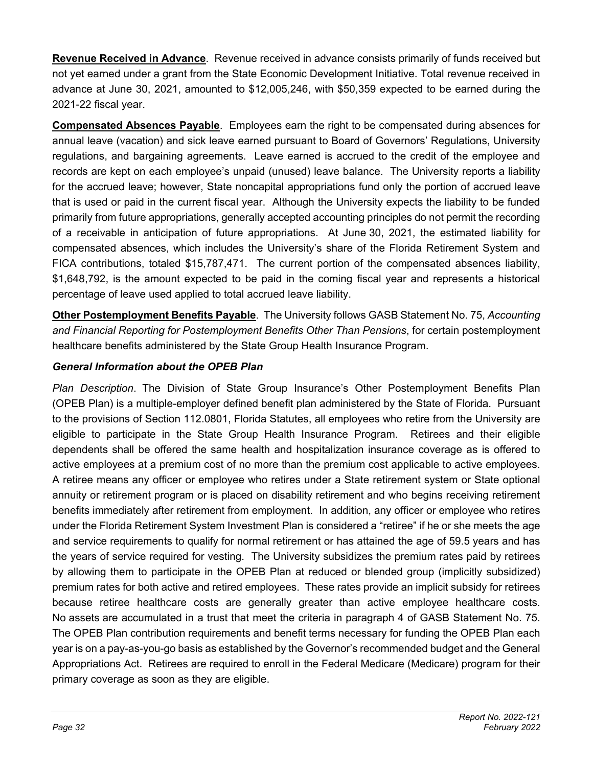**Revenue Received in Advance**. Revenue received in advance consists primarily of funds received but not yet earned under a grant from the State Economic Development Initiative. Total revenue received in advance at June 30, 2021, amounted to \$12,005,246, with \$50,359 expected to be earned during the 2021-22 fiscal year.

**Compensated Absences Payable**. Employees earn the right to be compensated during absences for annual leave (vacation) and sick leave earned pursuant to Board of Governors' Regulations, University regulations, and bargaining agreements. Leave earned is accrued to the credit of the employee and records are kept on each employee's unpaid (unused) leave balance. The University reports a liability for the accrued leave; however, State noncapital appropriations fund only the portion of accrued leave that is used or paid in the current fiscal year. Although the University expects the liability to be funded primarily from future appropriations, generally accepted accounting principles do not permit the recording of a receivable in anticipation of future appropriations. At June 30, 2021, the estimated liability for compensated absences, which includes the University's share of the Florida Retirement System and FICA contributions, totaled \$15,787,471. The current portion of the compensated absences liability, \$1,648,792, is the amount expected to be paid in the coming fiscal year and represents a historical percentage of leave used applied to total accrued leave liability.

**Other Postemployment Benefits Payable**. The University follows GASB Statement No. 75, *Accounting and Financial Reporting for Postemployment Benefits Other Than Pensions*, for certain postemployment healthcare benefits administered by the State Group Health Insurance Program.

## *General Information about the OPEB Plan*

*Plan Description*. The Division of State Group Insurance's Other Postemployment Benefits Plan (OPEB Plan) is a multiple-employer defined benefit plan administered by the State of Florida. Pursuant to the provisions of Section 112.0801, Florida Statutes, all employees who retire from the University are eligible to participate in the State Group Health Insurance Program. Retirees and their eligible dependents shall be offered the same health and hospitalization insurance coverage as is offered to active employees at a premium cost of no more than the premium cost applicable to active employees. A retiree means any officer or employee who retires under a State retirement system or State optional annuity or retirement program or is placed on disability retirement and who begins receiving retirement benefits immediately after retirement from employment. In addition, any officer or employee who retires under the Florida Retirement System Investment Plan is considered a "retiree" if he or she meets the age and service requirements to qualify for normal retirement or has attained the age of 59.5 years and has the years of service required for vesting. The University subsidizes the premium rates paid by retirees by allowing them to participate in the OPEB Plan at reduced or blended group (implicitly subsidized) premium rates for both active and retired employees. These rates provide an implicit subsidy for retirees because retiree healthcare costs are generally greater than active employee healthcare costs. No assets are accumulated in a trust that meet the criteria in paragraph 4 of GASB Statement No. 75. The OPEB Plan contribution requirements and benefit terms necessary for funding the OPEB Plan each year is on a pay-as-you-go basis as established by the Governor's recommended budget and the General Appropriations Act. Retirees are required to enroll in the Federal Medicare (Medicare) program for their primary coverage as soon as they are eligible.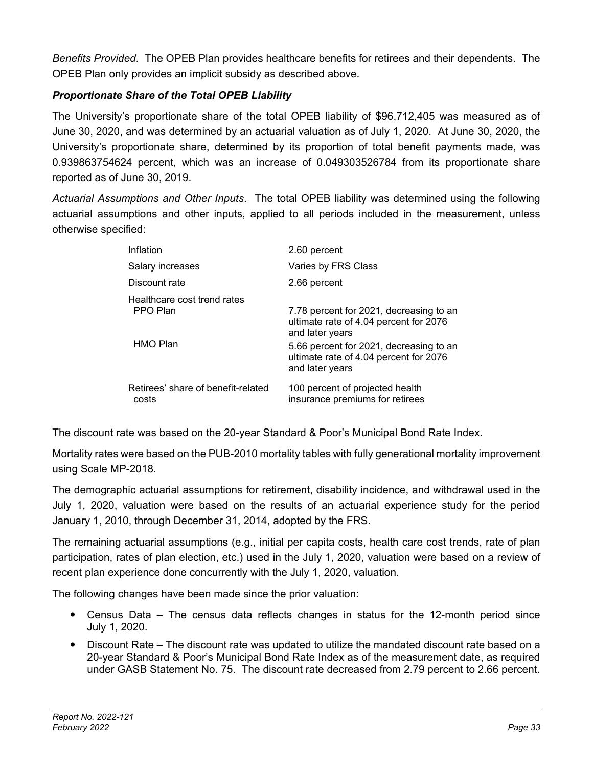*Benefits Provided*. The OPEB Plan provides healthcare benefits for retirees and their dependents. The OPEB Plan only provides an implicit subsidy as described above.

### *Proportionate Share of the Total OPEB Liability*

The University's proportionate share of the total OPEB liability of \$96,712,405 was measured as of June 30, 2020, and was determined by an actuarial valuation as of July 1, 2020. At June 30, 2020, the University's proportionate share, determined by its proportion of total benefit payments made, was 0.939863754624 percent, which was an increase of 0.049303526784 from its proportionate share reported as of June 30, 2019.

*Actuarial Assumptions and Other Inputs*. The total OPEB liability was determined using the following actuarial assumptions and other inputs, applied to all periods included in the measurement, unless otherwise specified:

| Inflation                                                  | 2.60 percent                                                                                                                                                                                                 |
|------------------------------------------------------------|--------------------------------------------------------------------------------------------------------------------------------------------------------------------------------------------------------------|
| Salary increases                                           | Varies by FRS Class                                                                                                                                                                                          |
| Discount rate                                              | 2.66 percent                                                                                                                                                                                                 |
| Healthcare cost trend rates<br>PPO Plan<br><b>HMO Plan</b> | 7.78 percent for 2021, decreasing to an<br>ultimate rate of 4.04 percent for 2076<br>and later years<br>5.66 percent for 2021, decreasing to an<br>ultimate rate of 4.04 percent for 2076<br>and later years |
| Retirees' share of benefit-related<br>costs                | 100 percent of projected health<br>insurance premiums for retirees                                                                                                                                           |

The discount rate was based on the 20-year Standard & Poor's Municipal Bond Rate Index.

Mortality rates were based on the PUB-2010 mortality tables with fully generational mortality improvement using Scale MP-2018.

The demographic actuarial assumptions for retirement, disability incidence, and withdrawal used in the July 1, 2020, valuation were based on the results of an actuarial experience study for the period January 1, 2010, through December 31, 2014, adopted by the FRS.

The remaining actuarial assumptions (e.g., initial per capita costs, health care cost trends, rate of plan participation, rates of plan election, etc.) used in the July 1, 2020, valuation were based on a review of recent plan experience done concurrently with the July 1, 2020, valuation.

The following changes have been made since the prior valuation:

- Census Data The census data reflects changes in status for the 12-month period since July 1, 2020.
- Discount Rate The discount rate was updated to utilize the mandated discount rate based on a 20-year Standard & Poor's Municipal Bond Rate Index as of the measurement date, as required under GASB Statement No. 75. The discount rate decreased from 2.79 percent to 2.66 percent.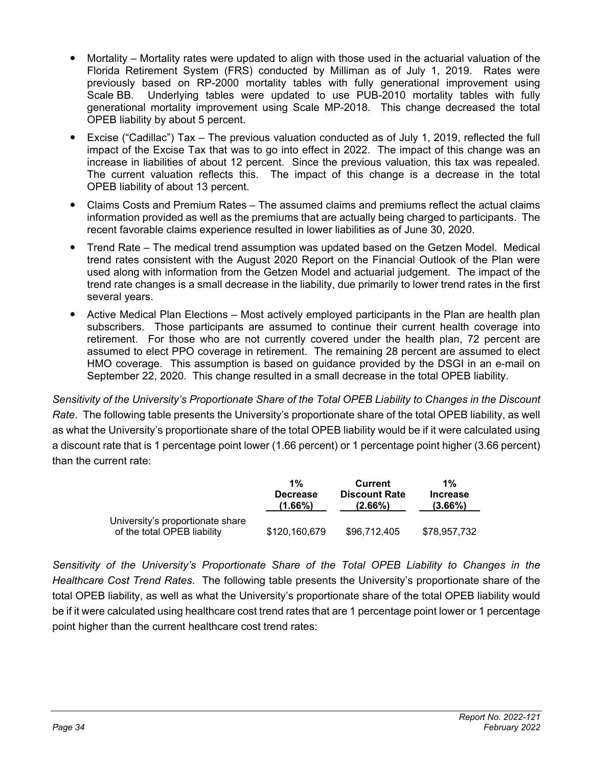- Mortality Mortality rates were updated to align with those used in the actuarial valuation of the Florida Retirement System (FRS) conducted by Milliman as of July 1, 2019. Rates were previously based on RP-2000 mortality tables with fully generational improvement using Scale BB. Underlying tables were updated to use PUB-2010 mortality tables with fully generational mortality improvement using Scale MP-2018. This change decreased the total OPEB liability by about 5 percent.
- Excise ("Cadillac") Tax The previous valuation conducted as of July 1, 2019, reflected the full impact of the Excise Tax that was to go into effect in 2022. The impact of this change was an increase in liabilities of about 12 percent. Since the previous valuation, this tax was repealed. The current valuation reflects this. The impact of this change is a decrease in the total OPEB liability of about 13 percent.
- Claims Costs and Premium Rates The assumed claims and premiums reflect the actual claims information provided as well as the premiums that are actually being charged to participants. The recent favorable claims experience resulted in lower liabilities as of June 30, 2020.
- Trend Rate The medical trend assumption was updated based on the Getzen Model. Medical trend rates consistent with the August 2020 Report on the Financial Outlook of the Plan were used along with information from the Getzen Model and actuarial judgement. The impact of the trend rate changes is a small decrease in the liability, due primarily to lower trend rates in the first several years.
- Active Medical Plan Elections Most actively employed participants in the Plan are health plan subscribers. Those participants are assumed to continue their current health coverage into retirement. For those who are not currently covered under the health plan, 72 percent are assumed to elect PPO coverage in retirement. The remaining 28 percent are assumed to elect HMO coverage. This assumption is based on guidance provided by the DSGI in an e-mail on September 22, 2020. This change resulted in a small decrease in the total OPEB liability.

*Sensitivity of the University's Proportionate Share of the Total OPEB Liability to Changes in the Discount Rate*. The following table presents the University's proportionate share of the total OPEB liability, as well as what the University's proportionate share of the total OPEB liability would be if it were calculated using a discount rate that is 1 percentage point lower (1.66 percent) or 1 percentage point higher (3.66 percent) than the current rate:

|                                                                 | 1%              | Current              | 1%              |
|-----------------------------------------------------------------|-----------------|----------------------|-----------------|
|                                                                 | <b>Decrease</b> | <b>Discount Rate</b> | <b>Increase</b> |
|                                                                 | $(1.66\%)$      | $(2.66\%)$           | $(3.66\%)$      |
| University's proportionate share<br>of the total OPEB liability | \$120,160,679   | \$96,712,405         | \$78,957,732    |

*Sensitivity of the University's Proportionate Share of the Total OPEB Liability to Changes in the Healthcare Cost Trend Rates*. The following table presents the University's proportionate share of the total OPEB liability, as well as what the University's proportionate share of the total OPEB liability would be if it were calculated using healthcare cost trend rates that are 1 percentage point lower or 1 percentage point higher than the current healthcare cost trend rates: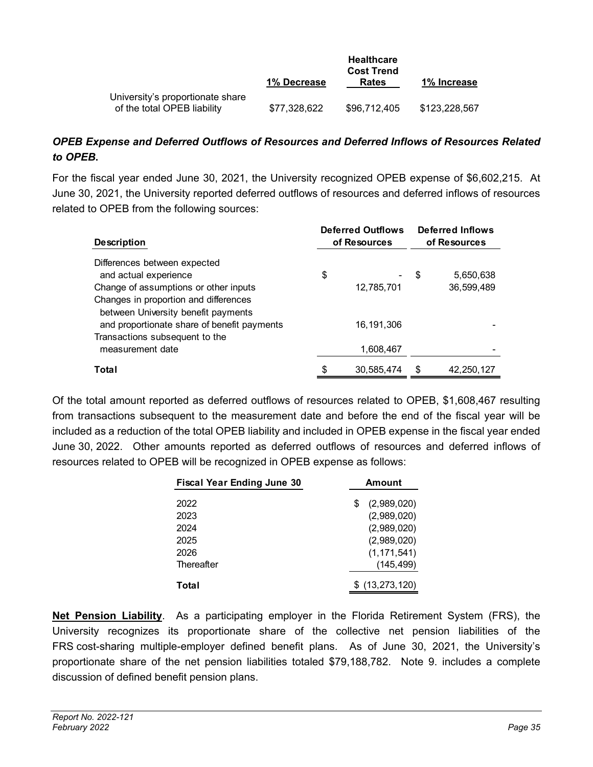|                                                                 | 1% Decrease  | <b>Healthcare</b><br><b>Cost Trend</b><br><b>Rates</b> | 1% Increase   |
|-----------------------------------------------------------------|--------------|--------------------------------------------------------|---------------|
| University's proportionate share<br>of the total OPEB liability | \$77.328.622 | \$96,712,405                                           | \$123,228,567 |

## *OPEB Expense and Deferred Outflows of Resources and Deferred Inflows of Resources Related to OPEB***.**

For the fiscal year ended June 30, 2021, the University recognized OPEB expense of \$6,602,215. At June 30, 2021, the University reported deferred outflows of resources and deferred inflows of resources related to OPEB from the following sources:

| <b>Description</b>                                                           | <b>Deferred Outflows</b><br>of Resources |     | <b>Deferred Inflows</b><br>of Resources |
|------------------------------------------------------------------------------|------------------------------------------|-----|-----------------------------------------|
| Differences between expected                                                 |                                          |     |                                         |
| and actual experience                                                        | \$                                       | \$  | 5,650,638                               |
| Change of assumptions or other inputs                                        | 12,785,701                               |     | 36,599,489                              |
| Changes in proportion and differences<br>between University benefit payments |                                          |     |                                         |
| and proportionate share of benefit payments                                  | 16, 191, 306                             |     |                                         |
| Transactions subsequent to the                                               |                                          |     |                                         |
| measurement date                                                             | 1,608,467                                |     |                                         |
| Total                                                                        | \$<br>30,585,474                         | \$. | 42.250.127                              |

Of the total amount reported as deferred outflows of resources related to OPEB, \$1,608,467 resulting from transactions subsequent to the measurement date and before the end of the fiscal year will be included as a reduction of the total OPEB liability and included in OPEB expense in the fiscal year ended June 30, 2022. Other amounts reported as deferred outflows of resources and deferred inflows of resources related to OPEB will be recognized in OPEB expense as follows:

| <b>Fiscal Year Ending June 30</b> |  | <b>Amount</b>    |
|-----------------------------------|--|------------------|
| 2022                              |  |                  |
|                                   |  | (2,989,020)      |
| 2023                              |  | (2,989,020)      |
| 2024                              |  | (2,989,020)      |
| 2025                              |  | (2,989,020)      |
| 2026                              |  | (1, 171, 541)    |
| Thereafter                        |  | (145, 499)       |
| Total                             |  | \$(13, 273, 120) |

**Net Pension Liability**. As a participating employer in the Florida Retirement System (FRS), the University recognizes its proportionate share of the collective net pension liabilities of the FRS cost-sharing multiple-employer defined benefit plans. As of June 30, 2021, the University's proportionate share of the net pension liabilities totaled \$79,188,782. Note 9. includes a complete discussion of defined benefit pension plans.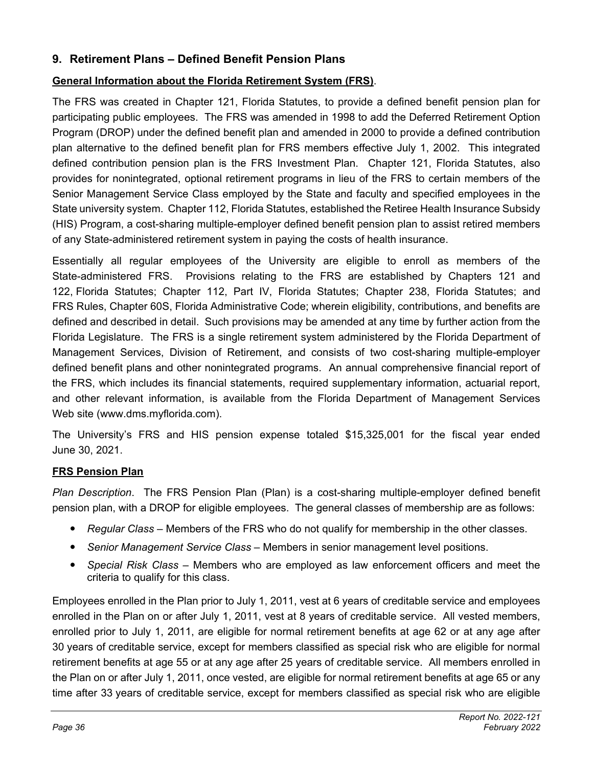## **9. Retirement Plans – Defined Benefit Pension Plans**

### **General Information about the Florida Retirement System (FRS)**.

The FRS was created in Chapter 121, Florida Statutes, to provide a defined benefit pension plan for participating public employees. The FRS was amended in 1998 to add the Deferred Retirement Option Program (DROP) under the defined benefit plan and amended in 2000 to provide a defined contribution plan alternative to the defined benefit plan for FRS members effective July 1, 2002. This integrated defined contribution pension plan is the FRS Investment Plan. Chapter 121, Florida Statutes, also provides for nonintegrated, optional retirement programs in lieu of the FRS to certain members of the Senior Management Service Class employed by the State and faculty and specified employees in the State university system. Chapter 112, Florida Statutes, established the Retiree Health Insurance Subsidy (HIS) Program, a cost-sharing multiple-employer defined benefit pension plan to assist retired members of any State-administered retirement system in paying the costs of health insurance.

Essentially all regular employees of the University are eligible to enroll as members of the State-administered FRS. Provisions relating to the FRS are established by Chapters 121 and 122, Florida Statutes; Chapter 112, Part IV, Florida Statutes; Chapter 238, Florida Statutes; and FRS Rules, Chapter 60S, Florida Administrative Code; wherein eligibility, contributions, and benefits are defined and described in detail. Such provisions may be amended at any time by further action from the Florida Legislature. The FRS is a single retirement system administered by the Florida Department of Management Services, Division of Retirement, and consists of two cost-sharing multiple-employer defined benefit plans and other nonintegrated programs. An annual comprehensive financial report of the FRS, which includes its financial statements, required supplementary information, actuarial report, and other relevant information, is available from the Florida Department of Management Services Web site (www.dms.myflorida.com).

The University's FRS and HIS pension expense totaled \$15,325,001 for the fiscal year ended June 30, 2021.

#### **FRS Pension Plan**

*Plan Description*. The FRS Pension Plan (Plan) is a cost-sharing multiple-employer defined benefit pension plan, with a DROP for eligible employees. The general classes of membership are as follows:

- *Regular Class* Members of the FRS who do not qualify for membership in the other classes.
- *Senior Management Service Class* Members in senior management level positions.
- *Special Risk Class* Members who are employed as law enforcement officers and meet the criteria to qualify for this class.

Employees enrolled in the Plan prior to July 1, 2011, vest at 6 years of creditable service and employees enrolled in the Plan on or after July 1, 2011, vest at 8 years of creditable service. All vested members, enrolled prior to July 1, 2011, are eligible for normal retirement benefits at age 62 or at any age after 30 years of creditable service, except for members classified as special risk who are eligible for normal retirement benefits at age 55 or at any age after 25 years of creditable service. All members enrolled in the Plan on or after July 1, 2011, once vested, are eligible for normal retirement benefits at age 65 or any time after 33 years of creditable service, except for members classified as special risk who are eligible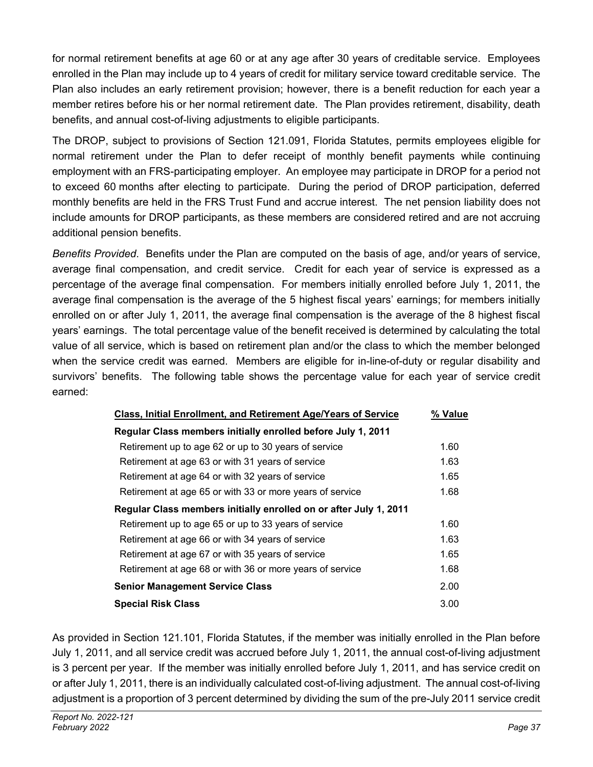for normal retirement benefits at age 60 or at any age after 30 years of creditable service. Employees enrolled in the Plan may include up to 4 years of credit for military service toward creditable service. The Plan also includes an early retirement provision; however, there is a benefit reduction for each year a member retires before his or her normal retirement date. The Plan provides retirement, disability, death benefits, and annual cost-of-living adjustments to eligible participants.

The DROP, subject to provisions of Section 121.091, Florida Statutes, permits employees eligible for normal retirement under the Plan to defer receipt of monthly benefit payments while continuing employment with an FRS-participating employer. An employee may participate in DROP for a period not to exceed 60 months after electing to participate. During the period of DROP participation, deferred monthly benefits are held in the FRS Trust Fund and accrue interest. The net pension liability does not include amounts for DROP participants, as these members are considered retired and are not accruing additional pension benefits.

*Benefits Provided*. Benefits under the Plan are computed on the basis of age, and/or years of service, average final compensation, and credit service. Credit for each year of service is expressed as a percentage of the average final compensation. For members initially enrolled before July 1, 2011, the average final compensation is the average of the 5 highest fiscal years' earnings; for members initially enrolled on or after July 1, 2011, the average final compensation is the average of the 8 highest fiscal years' earnings. The total percentage value of the benefit received is determined by calculating the total value of all service, which is based on retirement plan and/or the class to which the member belonged when the service credit was earned. Members are eligible for in-line-of-duty or regular disability and survivors' benefits. The following table shows the percentage value for each year of service credit earned:

| Class, Initial Enrollment, and Retirement Age/Years of Service    | % Value |
|-------------------------------------------------------------------|---------|
| Regular Class members initially enrolled before July 1, 2011      |         |
| Retirement up to age 62 or up to 30 years of service              | 1.60    |
| Retirement at age 63 or with 31 years of service                  | 1.63    |
| Retirement at age 64 or with 32 years of service                  | 1.65    |
| Retirement at age 65 or with 33 or more years of service          | 1.68    |
| Regular Class members initially enrolled on or after July 1, 2011 |         |
| Retirement up to age 65 or up to 33 years of service              | 1.60    |
| Retirement at age 66 or with 34 years of service                  | 1.63    |
| Retirement at age 67 or with 35 years of service                  | 1.65    |
| Retirement at age 68 or with 36 or more years of service          | 1.68    |
| <b>Senior Management Service Class</b>                            | 2.00    |
| <b>Special Risk Class</b>                                         | 3.00    |

As provided in Section 121.101, Florida Statutes, if the member was initially enrolled in the Plan before July 1, 2011, and all service credit was accrued before July 1, 2011, the annual cost-of-living adjustment is 3 percent per year. If the member was initially enrolled before July 1, 2011, and has service credit on or after July 1, 2011, there is an individually calculated cost-of-living adjustment. The annual cost-of-living adjustment is a proportion of 3 percent determined by dividing the sum of the pre-July 2011 service credit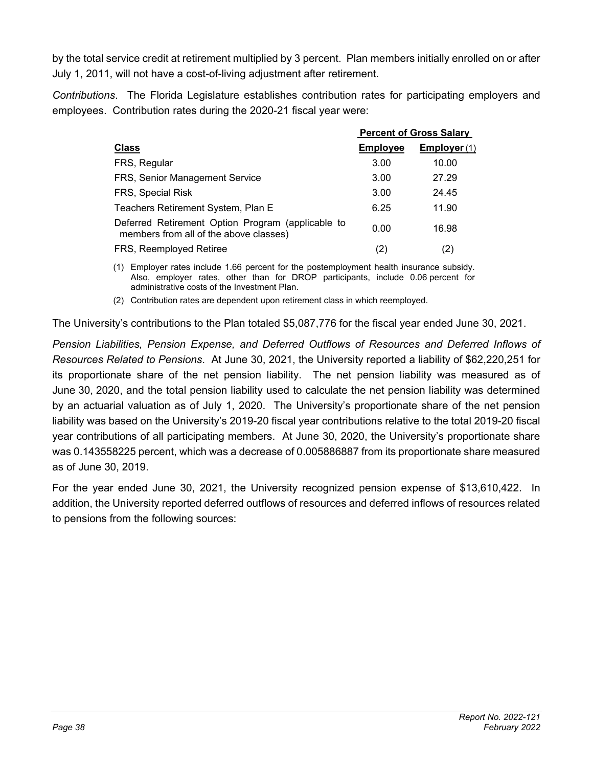by the total service credit at retirement multiplied by 3 percent. Plan members initially enrolled on or after July 1, 2011, will not have a cost-of-living adjustment after retirement.

*Contributions*. The Florida Legislature establishes contribution rates for participating employers and employees. Contribution rates during the 2020-21 fiscal year were:

|                                                                                             |                 | <b>Percent of Gross Salary</b> |
|---------------------------------------------------------------------------------------------|-----------------|--------------------------------|
| <b>Class</b>                                                                                | <b>Employee</b> | Employer (1)                   |
| FRS, Regular                                                                                | 3.00            | 10.00                          |
| FRS, Senior Management Service                                                              | 3.00            | 27.29                          |
| FRS, Special Risk                                                                           | 3.00            | 24.45                          |
| Teachers Retirement System, Plan E                                                          | 6.25            | 11.90                          |
| Deferred Retirement Option Program (applicable to<br>members from all of the above classes) | 0.00            | 16.98                          |
| FRS, Reemployed Retiree                                                                     | (2)             | (2)                            |

(1) Employer rates include 1.66 percent for the postemployment health insurance subsidy. Also, employer rates, other than for DROP participants, include 0.06 percent for administrative costs of the Investment Plan.

(2) Contribution rates are dependent upon retirement class in which reemployed.

The University's contributions to the Plan totaled \$5,087,776 for the fiscal year ended June 30, 2021.

*Pension Liabilities, Pension Expense, and Deferred Outflows of Resources and Deferred Inflows of Resources Related to Pensions*. At June 30, 2021, the University reported a liability of \$62,220,251 for its proportionate share of the net pension liability. The net pension liability was measured as of June 30, 2020, and the total pension liability used to calculate the net pension liability was determined by an actuarial valuation as of July 1, 2020. The University's proportionate share of the net pension liability was based on the University's 2019-20 fiscal year contributions relative to the total 2019-20 fiscal year contributions of all participating members. At June 30, 2020, the University's proportionate share was 0.143558225 percent, which was a decrease of 0.005886887 from its proportionate share measured as of June 30, 2019.

For the year ended June 30, 2021, the University recognized pension expense of \$13,610,422. In addition, the University reported deferred outflows of resources and deferred inflows of resources related to pensions from the following sources: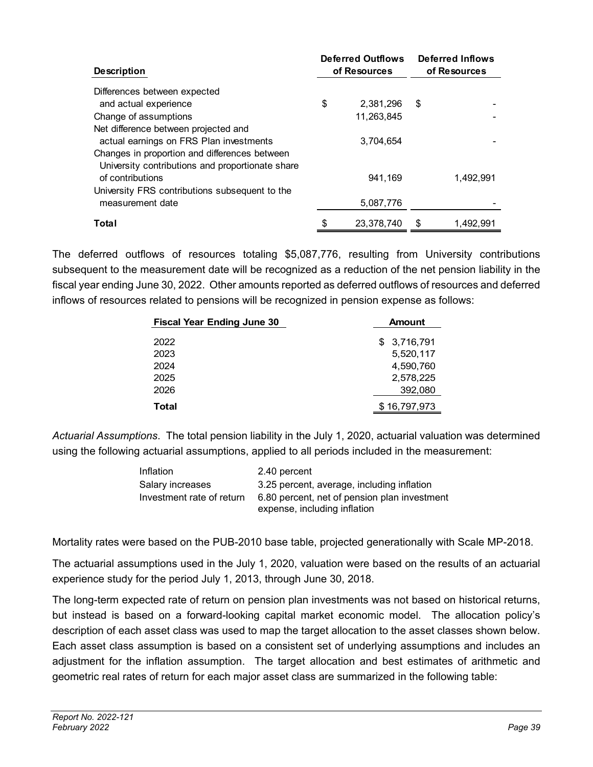| <b>Description</b>                                                                                | <b>Deferred Outflows</b><br>of Resources |    | <b>Deferred Inflows</b><br>of Resources |
|---------------------------------------------------------------------------------------------------|------------------------------------------|----|-----------------------------------------|
| Differences between expected                                                                      |                                          |    |                                         |
| and actual experience                                                                             | \$<br>2,381,296                          | \$ |                                         |
| Change of assumptions                                                                             | 11,263,845                               |    |                                         |
| Net difference between projected and                                                              |                                          |    |                                         |
| actual earnings on FRS Plan investments                                                           | 3.704.654                                |    |                                         |
| Changes in proportion and differences between<br>University contributions and proportionate share |                                          |    |                                         |
| of contributions                                                                                  | 941.169                                  |    | 1.492.991                               |
| University FRS contributions subsequent to the                                                    |                                          |    |                                         |
| measurement date                                                                                  | 5,087,776                                |    |                                         |
| Total                                                                                             | \$<br>23,378,740                         | S  | 1,492,991                               |

The deferred outflows of resources totaling \$5,087,776, resulting from University contributions subsequent to the measurement date will be recognized as a reduction of the net pension liability in the fiscal year ending June 30, 2022. Other amounts reported as deferred outflows of resources and deferred inflows of resources related to pensions will be recognized in pension expense as follows:

| <b>Fiscal Year Ending June 30</b> | <b>Amount</b> |
|-----------------------------------|---------------|
| 2022                              | \$3,716,791   |
| 2023                              | 5,520,117     |
| 2024                              | 4,590,760     |
| 2025                              | 2,578,225     |
| 2026                              | 392,080       |
| Total                             | \$16,797,973  |

*Actuarial Assumptions*. The total pension liability in the July 1, 2020, actuarial valuation was determined using the following actuarial assumptions, applied to all periods included in the measurement:

| Inflation                 | 2.40 percent                                                                 |
|---------------------------|------------------------------------------------------------------------------|
| Salary increases          | 3.25 percent, average, including inflation                                   |
| Investment rate of return | 6.80 percent, net of pension plan investment<br>expense, including inflation |

Mortality rates were based on the PUB-2010 base table, projected generationally with Scale MP-2018.

The actuarial assumptions used in the July 1, 2020, valuation were based on the results of an actuarial experience study for the period July 1, 2013, through June 30, 2018.

The long-term expected rate of return on pension plan investments was not based on historical returns, but instead is based on a forward-looking capital market economic model. The allocation policy's description of each asset class was used to map the target allocation to the asset classes shown below. Each asset class assumption is based on a consistent set of underlying assumptions and includes an adjustment for the inflation assumption. The target allocation and best estimates of arithmetic and geometric real rates of return for each major asset class are summarized in the following table: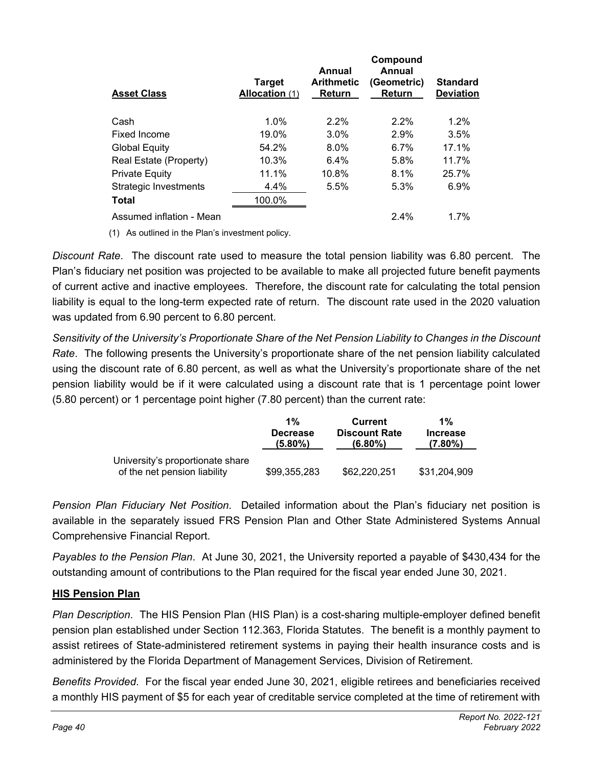| Asset Class              | <b>Target</b><br>Allocation (1) | Annual<br><b>Arithmetic</b><br><b>Return</b> | Compound<br>Annual<br>(Geometric)<br>Return | <b>Standard</b><br><b>Deviation</b> |
|--------------------------|---------------------------------|----------------------------------------------|---------------------------------------------|-------------------------------------|
| Cash                     | 1.0%                            | 2.2%                                         | 2.2%                                        | 1.2%                                |
| Fixed Income             | 19.0%                           | $3.0\%$                                      | 2.9%                                        | 3.5%                                |
| <b>Global Equity</b>     | 54.2%                           | 8.0%                                         | 6.7%                                        | 17.1%                               |
| Real Estate (Property)   | 10.3%                           | 6.4%                                         | 5.8%                                        | 11.7%                               |
| <b>Private Equity</b>    | 11.1%                           | 10.8%                                        | 8.1%                                        | 25.7%                               |
| Strategic Investments    | 4.4%                            | 5.5%                                         | 5.3%                                        | 6.9%                                |
| Total                    | 100.0%                          |                                              |                                             |                                     |
| Assumed inflation - Mean |                                 |                                              | 2.4%                                        | 1.7%                                |
|                          |                                 |                                              |                                             |                                     |

(1) As outlined in the Plan's investment policy.

*Discount Rate*. The discount rate used to measure the total pension liability was 6.80 percent. The Plan's fiduciary net position was projected to be available to make all projected future benefit payments of current active and inactive employees. Therefore, the discount rate for calculating the total pension liability is equal to the long-term expected rate of return. The discount rate used in the 2020 valuation was updated from 6.90 percent to 6.80 percent.

*Sensitivity of the University's Proportionate Share of the Net Pension Liability to Changes in the Discount Rate*. The following presents the University's proportionate share of the net pension liability calculated using the discount rate of 6.80 percent, as well as what the University's proportionate share of the net pension liability would be if it were calculated using a discount rate that is 1 percentage point lower (5.80 percent) or 1 percentage point higher (7.80 percent) than the current rate:

|                                  | 1%<br><b>Decrease</b><br>$(5.80\%)$ | <b>Current</b><br><b>Discount Rate</b><br>$(6.80\%)$ | $1\%$<br><b>Increase</b><br>$(7.80\%)$ |
|----------------------------------|-------------------------------------|------------------------------------------------------|----------------------------------------|
| University's proportionate share |                                     |                                                      |                                        |
| of the net pension liability     | \$99,355,283                        | \$62,220,251                                         | \$31,204,909                           |

*Pension Plan Fiduciary Net Position*. Detailed information about the Plan's fiduciary net position is available in the separately issued FRS Pension Plan and Other State Administered Systems Annual Comprehensive Financial Report.

*Payables to the Pension Plan*. At June 30, 2021, the University reported a payable of \$430,434 for the outstanding amount of contributions to the Plan required for the fiscal year ended June 30, 2021.

## **HIS Pension Plan**

*Plan Description*. The HIS Pension Plan (HIS Plan) is a cost-sharing multiple-employer defined benefit pension plan established under Section 112.363, Florida Statutes. The benefit is a monthly payment to assist retirees of State-administered retirement systems in paying their health insurance costs and is administered by the Florida Department of Management Services, Division of Retirement.

*Benefits Provided*. For the fiscal year ended June 30, 2021, eligible retirees and beneficiaries received a monthly HIS payment of \$5 for each year of creditable service completed at the time of retirement with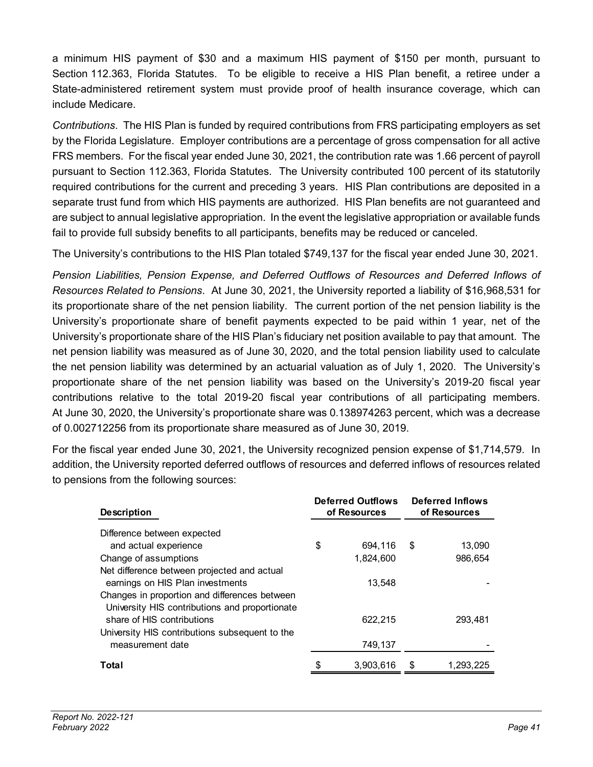a minimum HIS payment of \$30 and a maximum HIS payment of \$150 per month, pursuant to Section 112.363, Florida Statutes. To be eligible to receive a HIS Plan benefit, a retiree under a State-administered retirement system must provide proof of health insurance coverage, which can include Medicare.

*Contributions*. The HIS Plan is funded by required contributions from FRS participating employers as set by the Florida Legislature. Employer contributions are a percentage of gross compensation for all active FRS members. For the fiscal year ended June 30, 2021, the contribution rate was 1.66 percent of payroll pursuant to Section 112.363, Florida Statutes. The University contributed 100 percent of its statutorily required contributions for the current and preceding 3 years. HIS Plan contributions are deposited in a separate trust fund from which HIS payments are authorized. HIS Plan benefits are not guaranteed and are subject to annual legislative appropriation. In the event the legislative appropriation or available funds fail to provide full subsidy benefits to all participants, benefits may be reduced or canceled.

The University's contributions to the HIS Plan totaled \$749,137 for the fiscal year ended June 30, 2021.

*Pension Liabilities, Pension Expense, and Deferred Outflows of Resources and Deferred Inflows of Resources Related to Pensions*. At June 30, 2021, the University reported a liability of \$16,968,531 for its proportionate share of the net pension liability. The current portion of the net pension liability is the University's proportionate share of benefit payments expected to be paid within 1 year, net of the University's proportionate share of the HIS Plan's fiduciary net position available to pay that amount. The net pension liability was measured as of June 30, 2020, and the total pension liability used to calculate the net pension liability was determined by an actuarial valuation as of July 1, 2020. The University's proportionate share of the net pension liability was based on the University's 2019-20 fiscal year contributions relative to the total 2019-20 fiscal year contributions of all participating members. At June 30, 2020, the University's proportionate share was 0.138974263 percent, which was a decrease of 0.002712256 from its proportionate share measured as of June 30, 2019.

For the fiscal year ended June 30, 2021, the University recognized pension expense of \$1,714,579. In addition, the University reported deferred outflows of resources and deferred inflows of resources related to pensions from the following sources:

| <b>Description</b>                                                                              |    | <b>Deferred Outflows</b><br>of Resources | <b>Deferred Inflows</b><br>of Resources |           |  |  |
|-------------------------------------------------------------------------------------------------|----|------------------------------------------|-----------------------------------------|-----------|--|--|
| Difference between expected                                                                     |    |                                          |                                         |           |  |  |
| and actual experience                                                                           | \$ | 694.116                                  | \$                                      | 13.090    |  |  |
| Change of assumptions                                                                           |    | 1,824,600                                |                                         | 986,654   |  |  |
| Net difference between projected and actual<br>earnings on HIS Plan investments                 |    | 13.548                                   |                                         |           |  |  |
| Changes in proportion and differences between<br>University HIS contributions and proportionate |    |                                          |                                         |           |  |  |
| share of HIS contributions                                                                      |    | 622,215                                  |                                         | 293,481   |  |  |
| University HIS contributions subsequent to the<br>measurement date                              |    | 749,137                                  |                                         |           |  |  |
| Total                                                                                           | ፍ  | 3,903,616                                |                                         | 1,293,225 |  |  |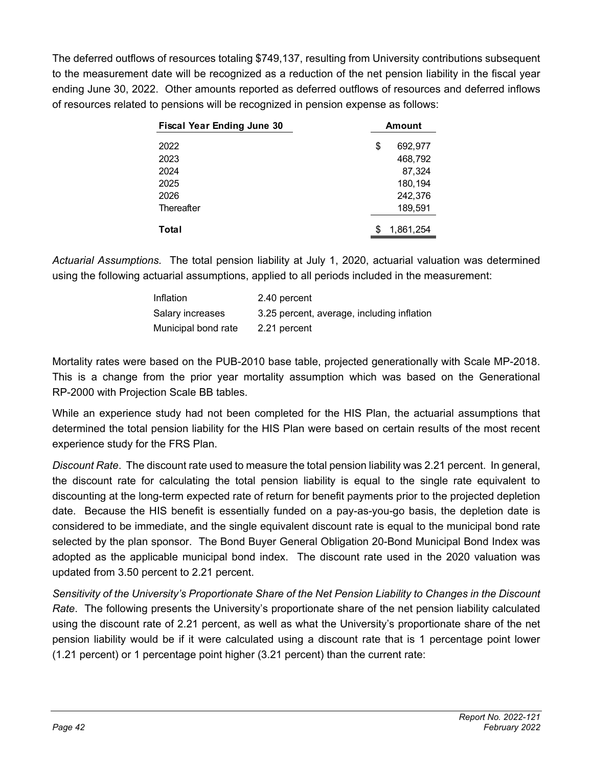The deferred outflows of resources totaling \$749,137, resulting from University contributions subsequent to the measurement date will be recognized as a reduction of the net pension liability in the fiscal year ending June 30, 2022. Other amounts reported as deferred outflows of resources and deferred inflows of resources related to pensions will be recognized in pension expense as follows:

| <b>Fiscal Year Ending June 30</b> | <b>Amount</b>  |
|-----------------------------------|----------------|
| 2022                              | \$<br>692,977  |
| 2023                              | 468,792        |
| 2024                              | 87,324         |
| 2025                              | 180,194        |
| 2026                              | 242,376        |
| Thereafter                        | 189,591        |
| Total                             | 1,861,254<br>S |

*Actuarial Assumptions.* The total pension liability at July 1, 2020, actuarial valuation was determined using the following actuarial assumptions, applied to all periods included in the measurement:

| Inflation           | 2.40 percent                               |
|---------------------|--------------------------------------------|
| Salary increases    | 3.25 percent, average, including inflation |
| Municipal bond rate | 2.21 percent                               |

Mortality rates were based on the PUB-2010 base table, projected generationally with Scale MP-2018. This is a change from the prior year mortality assumption which was based on the Generational RP-2000 with Projection Scale BB tables.

While an experience study had not been completed for the HIS Plan, the actuarial assumptions that determined the total pension liability for the HIS Plan were based on certain results of the most recent experience study for the FRS Plan.

*Discount Rate*. The discount rate used to measure the total pension liability was 2.21 percent. In general, the discount rate for calculating the total pension liability is equal to the single rate equivalent to discounting at the long-term expected rate of return for benefit payments prior to the projected depletion date. Because the HIS benefit is essentially funded on a pay-as-you-go basis, the depletion date is considered to be immediate, and the single equivalent discount rate is equal to the municipal bond rate selected by the plan sponsor. The Bond Buyer General Obligation 20-Bond Municipal Bond Index was adopted as the applicable municipal bond index. The discount rate used in the 2020 valuation was updated from 3.50 percent to 2.21 percent.

*Sensitivity of the University's Proportionate Share of the Net Pension Liability to Changes in the Discount Rate*. The following presents the University's proportionate share of the net pension liability calculated using the discount rate of 2.21 percent, as well as what the University's proportionate share of the net pension liability would be if it were calculated using a discount rate that is 1 percentage point lower (1.21 percent) or 1 percentage point higher (3.21 percent) than the current rate: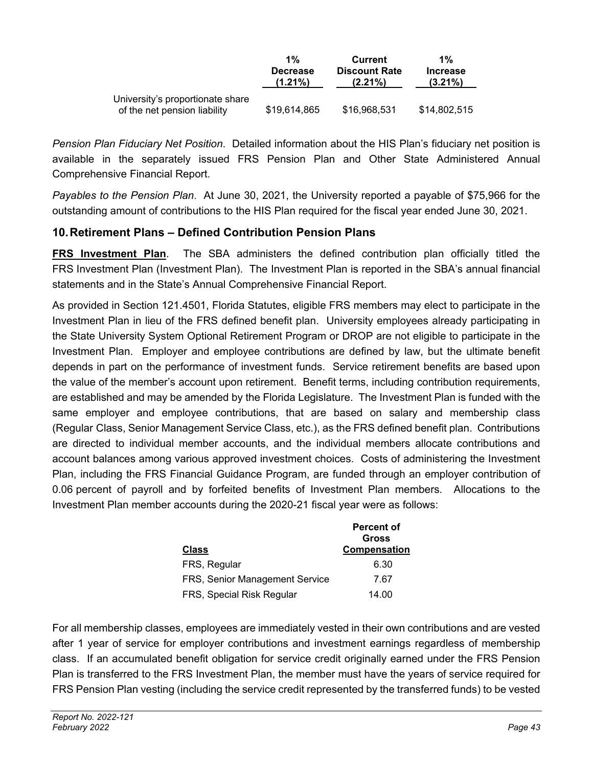|                                                                  | 1%                            | <b>Current</b>                     | $1\%$                         |
|------------------------------------------------------------------|-------------------------------|------------------------------------|-------------------------------|
|                                                                  | <b>Decrease</b><br>$(1.21\%)$ | <b>Discount Rate</b><br>$(2.21\%)$ | <b>Increase</b><br>$(3.21\%)$ |
| University's proportionate share<br>of the net pension liability | \$19,614,865                  | \$16,968,531                       | \$14,802,515                  |

*Pension Plan Fiduciary Net Position*. Detailed information about the HIS Plan's fiduciary net position is available in the separately issued FRS Pension Plan and Other State Administered Annual Comprehensive Financial Report.

*Payables to the Pension Plan*. At June 30, 2021, the University reported a payable of \$75,966 for the outstanding amount of contributions to the HIS Plan required for the fiscal year ended June 30, 2021.

## **10. Retirement Plans – Defined Contribution Pension Plans**

**FRS Investment Plan**. The SBA administers the defined contribution plan officially titled the FRS Investment Plan (Investment Plan). The Investment Plan is reported in the SBA's annual financial statements and in the State's Annual Comprehensive Financial Report.

As provided in Section 121.4501, Florida Statutes, eligible FRS members may elect to participate in the Investment Plan in lieu of the FRS defined benefit plan. University employees already participating in the State University System Optional Retirement Program or DROP are not eligible to participate in the Investment Plan. Employer and employee contributions are defined by law, but the ultimate benefit depends in part on the performance of investment funds. Service retirement benefits are based upon the value of the member's account upon retirement. Benefit terms, including contribution requirements, are established and may be amended by the Florida Legislature. The Investment Plan is funded with the same employer and employee contributions, that are based on salary and membership class (Regular Class, Senior Management Service Class, etc.), as the FRS defined benefit plan. Contributions are directed to individual member accounts, and the individual members allocate contributions and account balances among various approved investment choices. Costs of administering the Investment Plan, including the FRS Financial Guidance Program, are funded through an employer contribution of 0.06 percent of payroll and by forfeited benefits of Investment Plan members. Allocations to the Investment Plan member accounts during the 2020-21 fiscal year were as follows:

| Class                                 | <b>Percent of</b><br>Gross<br>Compensation |
|---------------------------------------|--------------------------------------------|
| FRS, Regular                          | 6.30                                       |
| <b>FRS, Senior Management Service</b> | 7.67                                       |
| FRS, Special Risk Regular             | 14.00                                      |

For all membership classes, employees are immediately vested in their own contributions and are vested after 1 year of service for employer contributions and investment earnings regardless of membership class. If an accumulated benefit obligation for service credit originally earned under the FRS Pension Plan is transferred to the FRS Investment Plan, the member must have the years of service required for FRS Pension Plan vesting (including the service credit represented by the transferred funds) to be vested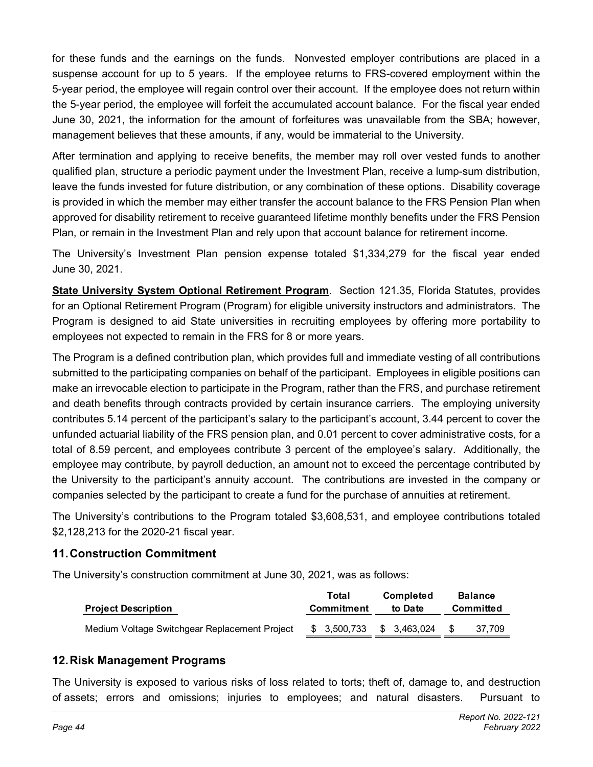for these funds and the earnings on the funds. Nonvested employer contributions are placed in a suspense account for up to 5 years. If the employee returns to FRS-covered employment within the 5-year period, the employee will regain control over their account. If the employee does not return within the 5-year period, the employee will forfeit the accumulated account balance. For the fiscal year ended June 30, 2021, the information for the amount of forfeitures was unavailable from the SBA; however, management believes that these amounts, if any, would be immaterial to the University.

After termination and applying to receive benefits, the member may roll over vested funds to another qualified plan, structure a periodic payment under the Investment Plan, receive a lump-sum distribution, leave the funds invested for future distribution, or any combination of these options. Disability coverage is provided in which the member may either transfer the account balance to the FRS Pension Plan when approved for disability retirement to receive guaranteed lifetime monthly benefits under the FRS Pension Plan, or remain in the Investment Plan and rely upon that account balance for retirement income.

The University's Investment Plan pension expense totaled \$1,334,279 for the fiscal year ended June 30, 2021.

**State University System Optional Retirement Program**. Section 121.35, Florida Statutes, provides for an Optional Retirement Program (Program) for eligible university instructors and administrators. The Program is designed to aid State universities in recruiting employees by offering more portability to employees not expected to remain in the FRS for 8 or more years.

The Program is a defined contribution plan, which provides full and immediate vesting of all contributions submitted to the participating companies on behalf of the participant. Employees in eligible positions can make an irrevocable election to participate in the Program, rather than the FRS, and purchase retirement and death benefits through contracts provided by certain insurance carriers. The employing university contributes 5.14 percent of the participant's salary to the participant's account, 3.44 percent to cover the unfunded actuarial liability of the FRS pension plan, and 0.01 percent to cover administrative costs, for a total of 8.59 percent, and employees contribute 3 percent of the employee's salary. Additionally, the employee may contribute, by payroll deduction, an amount not to exceed the percentage contributed by the University to the participant's annuity account. The contributions are invested in the company or companies selected by the participant to create a fund for the purchase of annuities at retirement.

The University's contributions to the Program totaled \$3,608,531, and employee contributions totaled \$2,128,213 for the 2020-21 fiscal year.

## **11. Construction Commitment**

The University's construction commitment at June 30, 2021, was as follows:

| <b>Project Description</b>                    | Total       | Completed   | <b>Balance</b> |  |  |
|-----------------------------------------------|-------------|-------------|----------------|--|--|
|                                               | Commitment  | to Date     | Committed      |  |  |
| Medium Voltage Switchgear Replacement Project | \$3.500.733 | \$3,463,024 | 37.709         |  |  |

## **12. Risk Management Programs**

The University is exposed to various risks of loss related to torts; theft of, damage to, and destruction of assets; errors and omissions; injuries to employees; and natural disasters. Pursuant to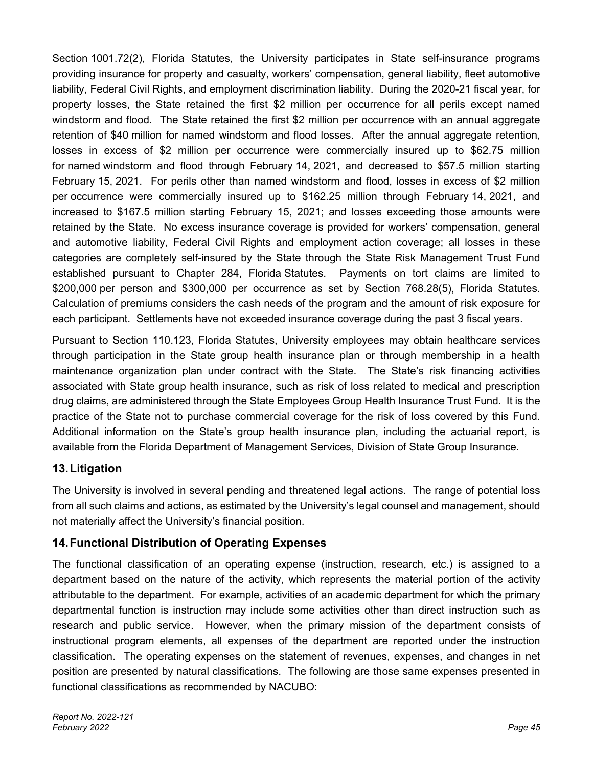Section 1001.72(2), Florida Statutes, the University participates in State self-insurance programs providing insurance for property and casualty, workers' compensation, general liability, fleet automotive liability, Federal Civil Rights, and employment discrimination liability. During the 2020-21 fiscal year, for property losses, the State retained the first \$2 million per occurrence for all perils except named windstorm and flood. The State retained the first \$2 million per occurrence with an annual aggregate retention of \$40 million for named windstorm and flood losses. After the annual aggregate retention, losses in excess of \$2 million per occurrence were commercially insured up to \$62.75 million for named windstorm and flood through February 14, 2021, and decreased to \$57.5 million starting February 15, 2021. For perils other than named windstorm and flood, losses in excess of \$2 million per occurrence were commercially insured up to \$162.25 million through February 14, 2021, and increased to \$167.5 million starting February 15, 2021; and losses exceeding those amounts were retained by the State. No excess insurance coverage is provided for workers' compensation, general and automotive liability, Federal Civil Rights and employment action coverage; all losses in these categories are completely self-insured by the State through the State Risk Management Trust Fund established pursuant to Chapter 284, Florida Statutes. Payments on tort claims are limited to \$200,000 per person and \$300,000 per occurrence as set by Section 768.28(5), Florida Statutes. Calculation of premiums considers the cash needs of the program and the amount of risk exposure for each participant. Settlements have not exceeded insurance coverage during the past 3 fiscal years.

Pursuant to Section 110.123, Florida Statutes, University employees may obtain healthcare services through participation in the State group health insurance plan or through membership in a health maintenance organization plan under contract with the State. The State's risk financing activities associated with State group health insurance, such as risk of loss related to medical and prescription drug claims, are administered through the State Employees Group Health Insurance Trust Fund. It is the practice of the State not to purchase commercial coverage for the risk of loss covered by this Fund. Additional information on the State's group health insurance plan, including the actuarial report, is available from the Florida Department of Management Services, Division of State Group Insurance.

## **13. Litigation**

The University is involved in several pending and threatened legal actions. The range of potential loss from all such claims and actions, as estimated by the University's legal counsel and management, should not materially affect the University's financial position.

## **14. Functional Distribution of Operating Expenses**

The functional classification of an operating expense (instruction, research, etc.) is assigned to a department based on the nature of the activity, which represents the material portion of the activity attributable to the department. For example, activities of an academic department for which the primary departmental function is instruction may include some activities other than direct instruction such as research and public service. However, when the primary mission of the department consists of instructional program elements, all expenses of the department are reported under the instruction classification. The operating expenses on the statement of revenues, expenses, and changes in net position are presented by natural classifications. The following are those same expenses presented in functional classifications as recommended by NACUBO: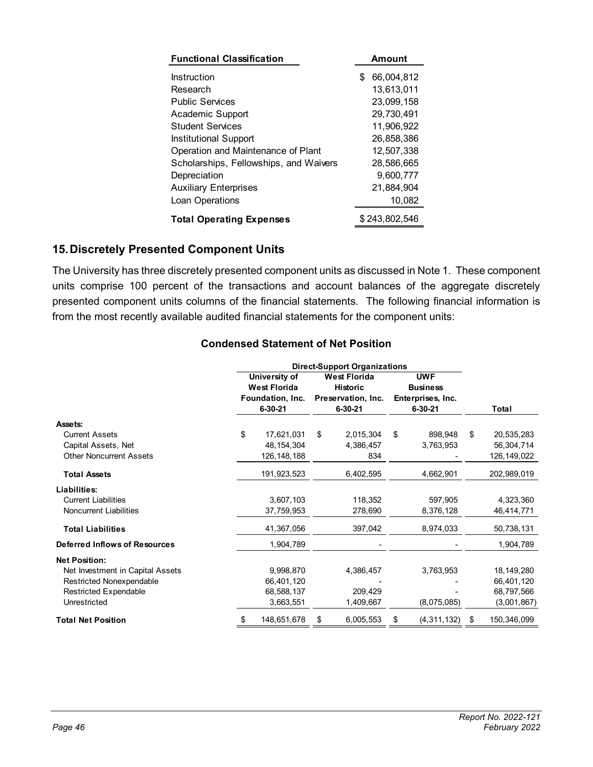| <b>Functional Classification</b>       | <b>Amount</b>    |  |  |  |
|----------------------------------------|------------------|--|--|--|
| Instruction                            | \$<br>66.004.812 |  |  |  |
| Research                               | 13.613.011       |  |  |  |
| <b>Public Services</b>                 | 23,099,158       |  |  |  |
| Academic Support                       | 29,730,491       |  |  |  |
| <b>Student Services</b>                | 11,906,922       |  |  |  |
| Institutional Support                  | 26,858,386       |  |  |  |
| Operation and Maintenance of Plant     | 12.507.338       |  |  |  |
| Scholarships, Fellowships, and Waivers | 28,586,665       |  |  |  |
| Depreciation                           | 9,600,777        |  |  |  |
| <b>Auxiliary Enterprises</b>           | 21.884.904       |  |  |  |
| Loan Operations                        | 10,082           |  |  |  |
| <b>Total Operating Expenses</b>        | \$243.802.546    |  |  |  |

#### **15. Discretely Presented Component Units**

The University has three discretely presented component units as discussed in Note 1. These component units comprise 100 percent of the transactions and account balances of the aggregate discretely presented component units columns of the financial statements. The following financial information is from the most recently available audited financial statements for the component units:

|                                  |                                      | <b>Direct-Support Organizations</b> |    |                                        |    |                               |                   |
|----------------------------------|--------------------------------------|-------------------------------------|----|----------------------------------------|----|-------------------------------|-------------------|
|                                  | University of<br><b>West Florida</b> |                                     |    | <b>West Florida</b><br><b>Historic</b> |    | <b>UWF</b><br><b>Business</b> |                   |
|                                  |                                      | Foundation, Inc.<br>6-30-21         |    | Preservation, Inc.<br>6-30-21          |    | Enterprises, Inc.<br>6-30-21  | Total             |
| Assets:                          |                                      |                                     |    |                                        |    |                               |                   |
| <b>Current Assets</b>            | \$                                   | 17,621,031                          | \$ | 2,015,304                              | \$ | 898,948                       | \$<br>20,535,283  |
| Capital Assets, Net              |                                      | 48, 154, 304                        |    | 4,386,457                              |    | 3,763,953                     | 56,304,714        |
| <b>Other Noncurrent Assets</b>   |                                      | 126, 148, 188                       |    | 834                                    |    |                               | 126, 149, 022     |
| <b>Total Assets</b>              |                                      | 191,923,523                         |    | 6,402,595                              |    | 4,662,901                     | 202,989,019       |
| Liabilities:                     |                                      |                                     |    |                                        |    |                               |                   |
| <b>Current Liabilities</b>       |                                      | 3,607,103                           |    | 118,352                                |    | 597,905                       | 4,323,360         |
| <b>Noncurrent Liabilities</b>    |                                      | 37,759,953                          |    | 278.690                                |    | 8,376,128                     | 46.414.771        |
| <b>Total Liabilities</b>         |                                      | 41,367,056                          |    | 397,042                                |    | 8,974,033                     | 50,738,131        |
| Deferred Inflows of Resources    |                                      | 1,904,789                           |    |                                        |    |                               | 1,904,789         |
| <b>Net Position:</b>             |                                      |                                     |    |                                        |    |                               |                   |
| Net Investment in Capital Assets |                                      | 9,998,870                           |    | 4,386,457                              |    | 3,763,953                     | 18, 149, 280      |
| <b>Restricted Nonexpendable</b>  |                                      | 66,401,120                          |    |                                        |    |                               | 66,401,120        |
| <b>Restricted Expendable</b>     |                                      | 68,588,137                          |    | 209,429                                |    |                               | 68,797,566        |
| Unrestricted                     |                                      | 3,663,551                           |    | 1,409,667                              |    | (8,075,085)                   | (3,001,867)       |
| <b>Total Net Position</b>        | \$                                   | 148,651,678                         | S  | 6,005,553                              | S  | (4, 311, 132)                 | \$<br>150,346,099 |

#### **Condensed Statement of Net Position**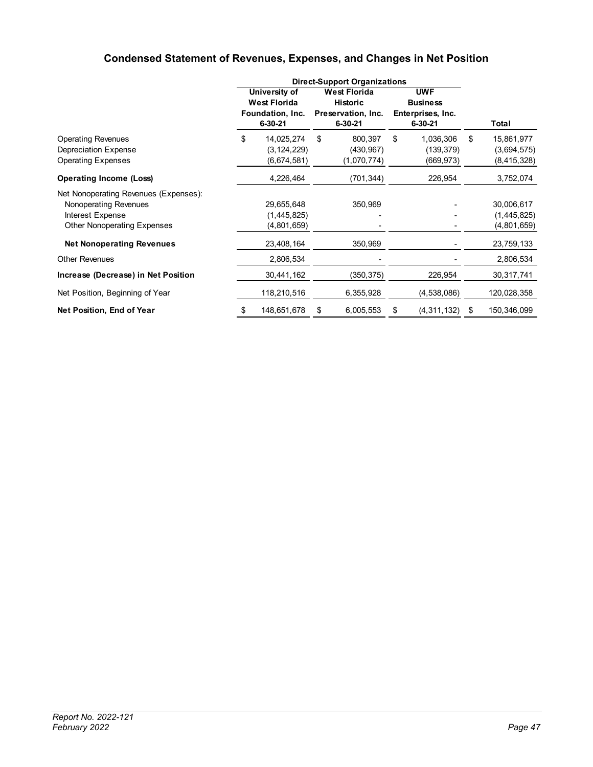## **Condensed Statement of Revenues, Expenses, and Changes in Net Position**

|                                                                                                                          |    | <b>Direct-Support Organizations</b>                                 |    |                                                                               |    |                                                               |                                                  |
|--------------------------------------------------------------------------------------------------------------------------|----|---------------------------------------------------------------------|----|-------------------------------------------------------------------------------|----|---------------------------------------------------------------|--------------------------------------------------|
|                                                                                                                          |    | University of<br><b>West Florida</b><br>Foundation, Inc.<br>6-30-21 |    | <b>West Florida</b><br><b>Historic</b><br>Preservation, Inc.<br>$6 - 30 - 21$ |    | <b>UWF</b><br><b>Business</b><br>Enterprises, Inc.<br>6-30-21 | Total                                            |
| <b>Operating Revenues</b><br>Depreciation Expense<br><b>Operating Expenses</b>                                           | \$ | 14,025,274<br>(3, 124, 229)<br>(6,674,581)                          | \$ | 800,397<br>(430, 967)<br>(1,070,774)                                          | \$ | 1,036,306<br>(139, 379)<br>(669,973)                          | \$<br>15,861,977<br>(3,694,575)<br>(8, 415, 328) |
| <b>Operating Income (Loss)</b>                                                                                           |    | 4,226,464                                                           |    | (701, 344)                                                                    |    | 226,954                                                       | 3,752,074                                        |
| Net Nonoperating Revenues (Expenses):<br>Nonoperating Revenues<br>Interest Expense<br><b>Other Nonoperating Expenses</b> |    | 29,655,648<br>(1,445,825)<br>(4,801,659)                            |    | 350,969                                                                       |    |                                                               | 30,006,617<br>(1,445,825)<br>(4,801,659)         |
| <b>Net Nonoperating Revenues</b>                                                                                         |    | 23,408,164                                                          |    | 350,969                                                                       |    |                                                               | 23,759,133                                       |
| <b>Other Revenues</b>                                                                                                    |    | 2,806,534                                                           |    |                                                                               |    |                                                               | 2,806,534                                        |
| Increase (Decrease) in Net Position                                                                                      |    | 30,441,162                                                          |    | (350, 375)                                                                    |    | 226,954                                                       | 30,317,741                                       |
| Net Position, Beginning of Year                                                                                          |    | 118,210,516                                                         |    | 6,355,928                                                                     |    | (4,538,086)                                                   | 120,028,358                                      |
| Net Position, End of Year                                                                                                | S  | 148,651,678                                                         | \$ | 6,005,553                                                                     | \$ | (4, 311, 132)                                                 | \$<br>150,346,099                                |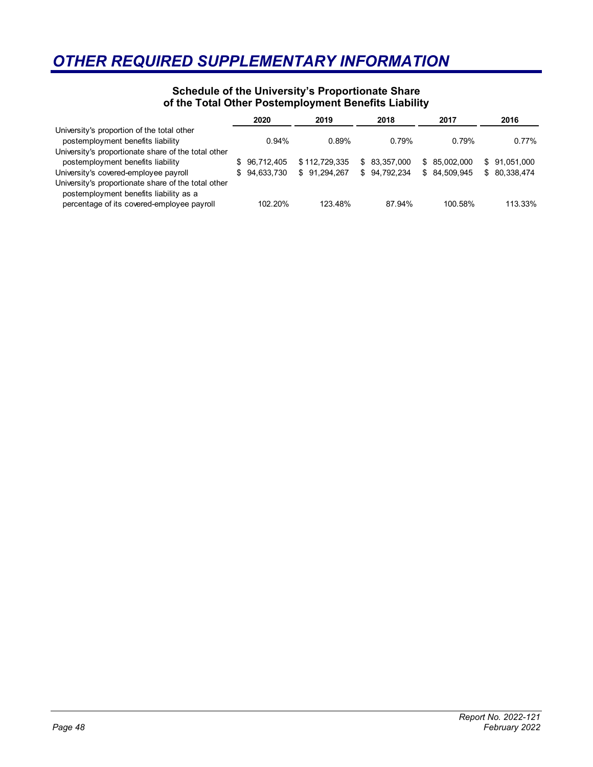## <span id="page-51-0"></span>*OTHER REQUIRED SUPPLEMENTARY INFORMATION*

#### **Schedule of the University's Proportionate Share of the Total Other Postemployment Benefits Liability**

|                                                                                              |     | 2020       | 2019          | 2018         | 2017          | 2016          |
|----------------------------------------------------------------------------------------------|-----|------------|---------------|--------------|---------------|---------------|
| University's proportion of the total other<br>postemployment benefits liability              |     | $0.94\%$   | 0.89%         | 0.79%        | 0.79%         | $0.77\%$      |
| University's proportionate share of the total other<br>postemployment benefits liability     | S   | 96,712,405 | \$112,729,335 | \$83.357.000 | \$ 85,002,000 | \$91.051.000  |
| University's covered-employee payroll<br>University's proportionate share of the total other | \$. | 94.633.730 | \$91.294.267  | \$94.792.234 | \$ 84,509,945 | \$ 80.338.474 |
| postemployment benefits liability as a<br>percentage of its covered-employee payroll         |     | 102.20%    | 123.48%       | 87.94%       | 100.58%       | 113.33%       |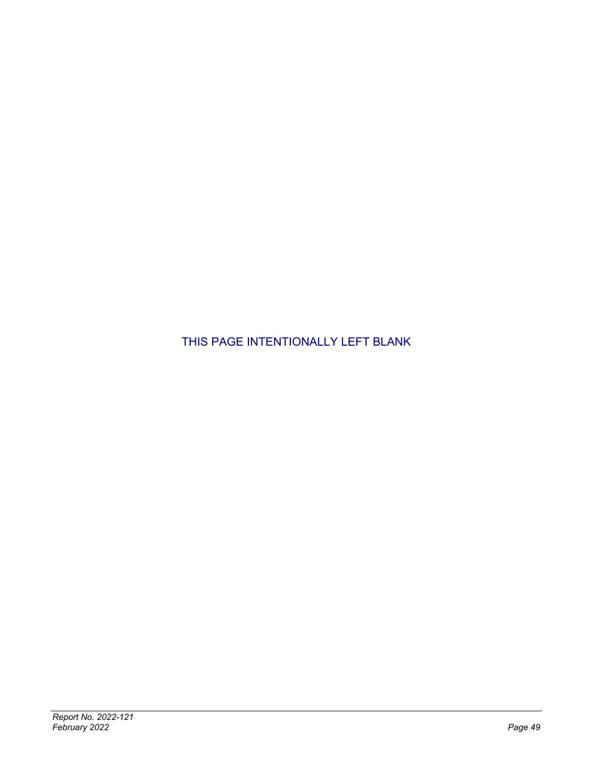THIS PAGE INTENTIONALLY LEFT BLANK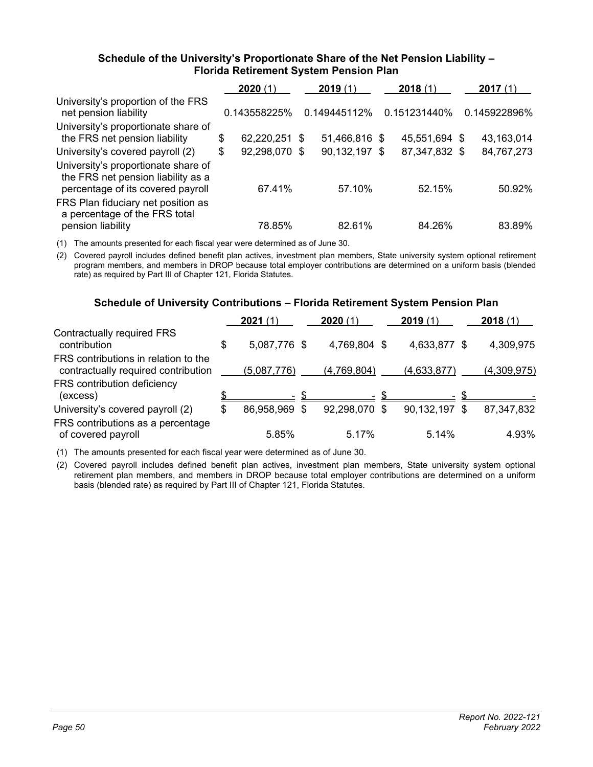#### **Schedule of the University's Proportionate Share of the Net Pension Liability – Florida Retirement System Pension Plan**

<span id="page-53-0"></span>

|                                                                                                                | 2020(1)          |      | 2019(1)       | 2018(1)       | 2017(1)      |
|----------------------------------------------------------------------------------------------------------------|------------------|------|---------------|---------------|--------------|
| University's proportion of the FRS<br>net pension liability<br>University's proportionate share of             | 0.143558225%     |      | 0.149445112%  | 0.151231440%  | 0.145922896% |
| the FRS net pension liability                                                                                  | \$<br>62,220,251 | - \$ | 51,466,816 \$ | 45,551,694 \$ | 43,163,014   |
| University's covered payroll (2)                                                                               | \$<br>92,298,070 | - \$ | 90,132,197 \$ | 87,347,832 \$ | 84,767,273   |
| University's proportionate share of<br>the FRS net pension liability as a<br>percentage of its covered payroll | 67.41%           |      | 57.10%        | 52.15%        | 50.92%       |
| FRS Plan fiduciary net position as<br>a percentage of the FRS total<br>pension liability                       | 78.85%           |      | 82.61%        | 84.26%        | 83.89%       |

(1) The amounts presented for each fiscal year were determined as of June 30.

(2) Covered payroll includes defined benefit plan actives, investment plan members, State university system optional retirement program members, and members in DROP because total employer contributions are determined on a uniform basis (blended rate) as required by Part III of Chapter 121, Florida Statutes.

#### **Schedule of University Contributions – Florida Retirement System Pension Plan**

|                                                                             | 2021(1)             | 2020(1)       | 2019(1)      | 2018(1)          |
|-----------------------------------------------------------------------------|---------------------|---------------|--------------|------------------|
| <b>Contractually required FRS</b><br>contribution                           | \$<br>5,087,776 \$  | 4,769,804 \$  | 4,633,877 \$ | 4,309,975        |
| FRS contributions in relation to the<br>contractually required contribution | (5,087,776)         | (4,769,804)   | (4,633,877)  | (4,309,975)      |
| FRS contribution deficiency<br>(excess)                                     | \$                  |               |              |                  |
| University's covered payroll (2)<br>FRS contributions as a percentage       | \$<br>86,958,969 \$ | 92,298,070 \$ | 90,132,197   | \$<br>87,347,832 |
| of covered payroll                                                          | 5.85%               | 5.17%         | 5.14%        | 4.93%            |

(1) The amounts presented for each fiscal year were determined as of June 30.

(2) Covered payroll includes defined benefit plan actives, investment plan members, State university system optional retirement plan members, and members in DROP because total employer contributions are determined on a uniform basis (blended rate) as required by Part III of Chapter 121, Florida Statutes.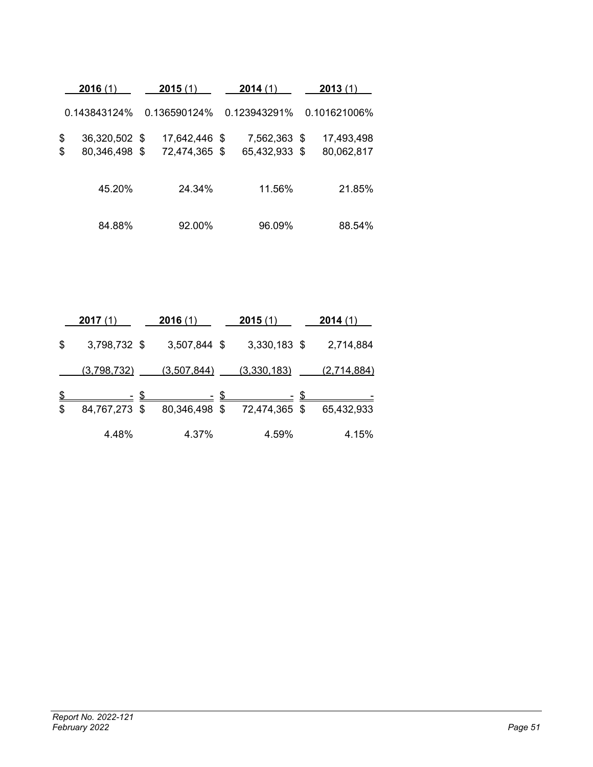| 2016(1)  |                             |      | 2015(1)                        | 2014(1)                       | 2013 (1 |                          |  |  |  |
|----------|-----------------------------|------|--------------------------------|-------------------------------|---------|--------------------------|--|--|--|
|          | 0.143843124%                |      | 0.136590124%                   | 0.123943291%                  |         | 0.101621006%             |  |  |  |
| \$<br>\$ | 36,320,502 \$<br>80,346,498 | - \$ | 17,642,446 \$<br>72,474,365 \$ | 7,562,363 \$<br>65,432,933 \$ |         | 17,493,498<br>80,062,817 |  |  |  |
|          | 45.20%                      |      | 24.34%                         | 11.56%                        |         | 21.85%                   |  |  |  |
|          | 84.88%                      |      | 92.00%                         | 96.09%                        |         | 88.54%                   |  |  |  |

| 2017(1)             | 2016(1)       | 2015(1)       | 2014(1)     |
|---------------------|---------------|---------------|-------------|
| \$<br>3,798,732 \$  | 3,507,844 \$  | 3,330,183 \$  | 2,714,884   |
| (3,798,732)         | (3,507,844)   | (3,330,183)   | (2,714,884) |
|                     |               |               |             |
| \$<br>84,767,273 \$ | 80,346,498 \$ | 72,474,365 \$ | 65,432,933  |
| 4.48%               | 4.37%         | 4.59%         | 4.15%       |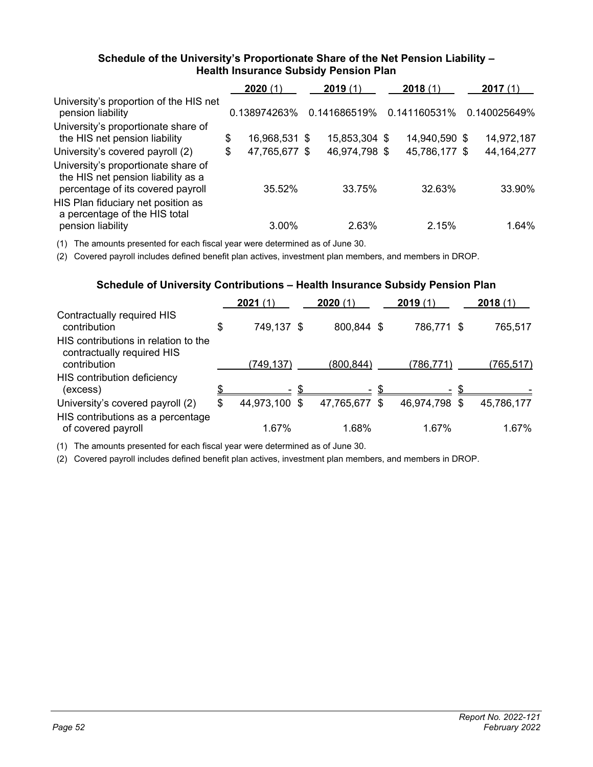#### **Schedule of the University's Proportionate Share of the Net Pension Liability – Health Insurance Subsidy Pension Plan**

<span id="page-55-0"></span>

|                                                                                                                | 2020 (1)            | 2019(1)       | 2018(1)       | 2017(1)      |
|----------------------------------------------------------------------------------------------------------------|---------------------|---------------|---------------|--------------|
| University's proportion of the HIS net<br>pension liability<br>University's proportionate share of             | 0.138974263%        | 0.141686519%  | 0.141160531%  | 0.140025649% |
| the HIS net pension liability                                                                                  | \$<br>16,968,531 \$ | 15,853,304 \$ | 14,940,590 \$ | 14,972,187   |
| University's covered payroll (2)                                                                               | \$<br>47,765,677 \$ | 46,974,798 \$ | 45,786,177 \$ | 44, 164, 277 |
| University's proportionate share of<br>the HIS net pension liability as a<br>percentage of its covered payroll | 35.52%              | 33.75%        | 32.63%        | 33.90%       |
| HIS Plan fiduciary net position as<br>a percentage of the HIS total<br>pension liability                       | $3.00\%$            | 2.63%         | 2.15%         | 1.64%        |

(1) The amounts presented for each fiscal year were determined as of June 30.

(2) Covered payroll includes defined benefit plan actives, investment plan members, and members in DROP.

#### **Schedule of University Contributions – Health Insurance Subsidy Pension Plan**

|                                                                    | 2021(1)          | 2020(1)             | 2019(1)       | 2018(1)    |
|--------------------------------------------------------------------|------------------|---------------------|---------------|------------|
| Contractually required HIS<br>contribution                         | \$<br>749,137 \$ | 800,844 \$          | 786,771 \$    | 765,517    |
| HIS contributions in relation to the<br>contractually required HIS |                  |                     |               |            |
| contribution                                                       | (749, 137)       | (800, 844)          | (786, 771)    | (765, 517) |
| HIS contribution deficiency                                        |                  |                     |               |            |
| (excess)                                                           |                  |                     |               |            |
| University's covered payroll (2)                                   | \$<br>44,973,100 | \$<br>47,765,677 \$ | 46,974,798 \$ | 45,786,177 |
| HIS contributions as a percentage<br>of covered payroll            | 1.67%            | 1.68%               | 1.67%         | 1.67%      |

(1) The amounts presented for each fiscal year were determined as of June 30.

(2) Covered payroll includes defined benefit plan actives, investment plan members, and members in DROP.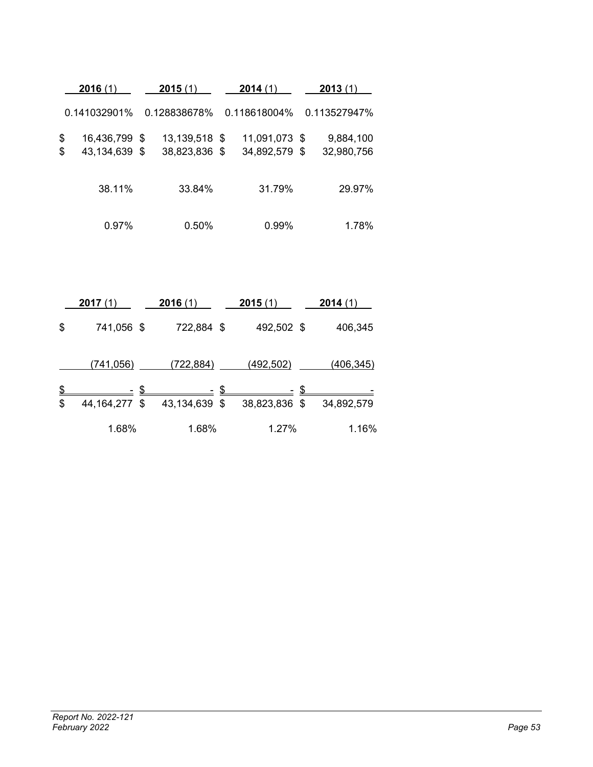| 2016(1) |               |      | 2015(1)       | 2014(1)       | 2013 (1 |              |  |  |  |
|---------|---------------|------|---------------|---------------|---------|--------------|--|--|--|
|         | 0.141032901%  |      | 0.128838678%  | 0.118618004%  |         | 0.113527947% |  |  |  |
| \$      | 16,436,799 \$ |      | 13,139,518 \$ | 11,091,073 \$ |         | 9,884,100    |  |  |  |
| \$      | 43,134,639    | - \$ | 38,823,836 \$ | 34,892,579 \$ |         | 32,980,756   |  |  |  |
|         | 38.11%        |      | 33.84%        | 31.79%        |         | 29.97%       |  |  |  |
|         | 0.97%         |      | 0.50%         | 0.99%         |         | 1.78%        |  |  |  |

| 2017(1)               | 2016(1)       |      | 2015(1)       | 2014(1)    |
|-----------------------|---------------|------|---------------|------------|
| \$<br>741,056 \$      | 722,884 \$    |      | 492,502 \$    | 406,345    |
| (741, 056)            | (722, 884)    |      | (492, 502)    | (406, 345) |
|                       |               | - \$ |               |            |
| \$<br>44, 164, 277 \$ | 43,134,639 \$ |      | 38,823,836 \$ | 34,892,579 |
| 1.68%                 | 1.68%         |      | 1.27%         | 1.16%      |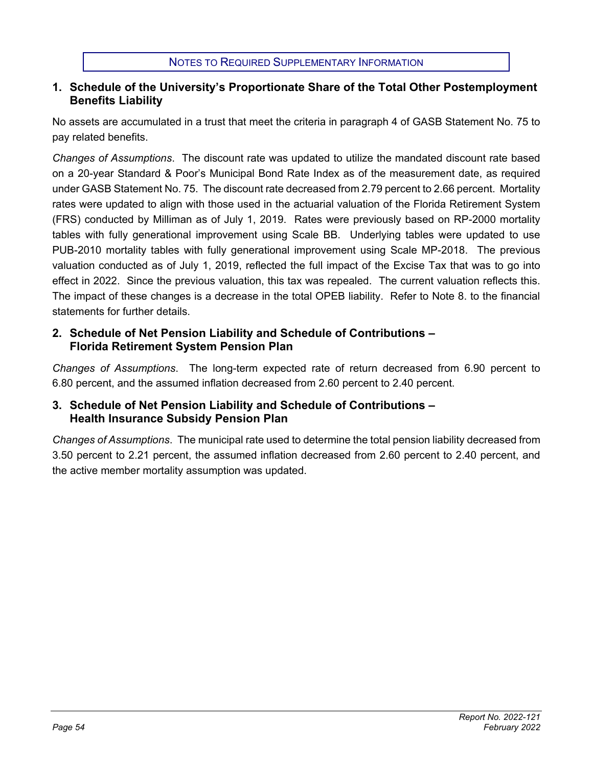## <span id="page-57-0"></span>**1. Schedule of the University's Proportionate Share of the Total Other Postemployment Benefits Liability**

No assets are accumulated in a trust that meet the criteria in paragraph 4 of GASB Statement No. 75 to pay related benefits.

*Changes of Assumptions*. The discount rate was updated to utilize the mandated discount rate based on a 20-year Standard & Poor's Municipal Bond Rate Index as of the measurement date, as required under GASB Statement No. 75. The discount rate decreased from 2.79 percent to 2.66 percent. Mortality rates were updated to align with those used in the actuarial valuation of the Florida Retirement System (FRS) conducted by Milliman as of July 1, 2019. Rates were previously based on RP-2000 mortality tables with fully generational improvement using Scale BB. Underlying tables were updated to use PUB-2010 mortality tables with fully generational improvement using Scale MP-2018. The previous valuation conducted as of July 1, 2019, reflected the full impact of the Excise Tax that was to go into effect in 2022. Since the previous valuation, this tax was repealed. The current valuation reflects this. The impact of these changes is a decrease in the total OPEB liability. Refer to Note 8. to the financial statements for further details.

## **2. Schedule of Net Pension Liability and Schedule of Contributions – Florida Retirement System Pension Plan**

*Changes of Assumptions*. The long-term expected rate of return decreased from 6.90 percent to 6.80 percent, and the assumed inflation decreased from 2.60 percent to 2.40 percent.

## **3. Schedule of Net Pension Liability and Schedule of Contributions – Health Insurance Subsidy Pension Plan**

*Changes of Assumptions*. The municipal rate used to determine the total pension liability decreased from 3.50 percent to 2.21 percent, the assumed inflation decreased from 2.60 percent to 2.40 percent, and the active member mortality assumption was updated.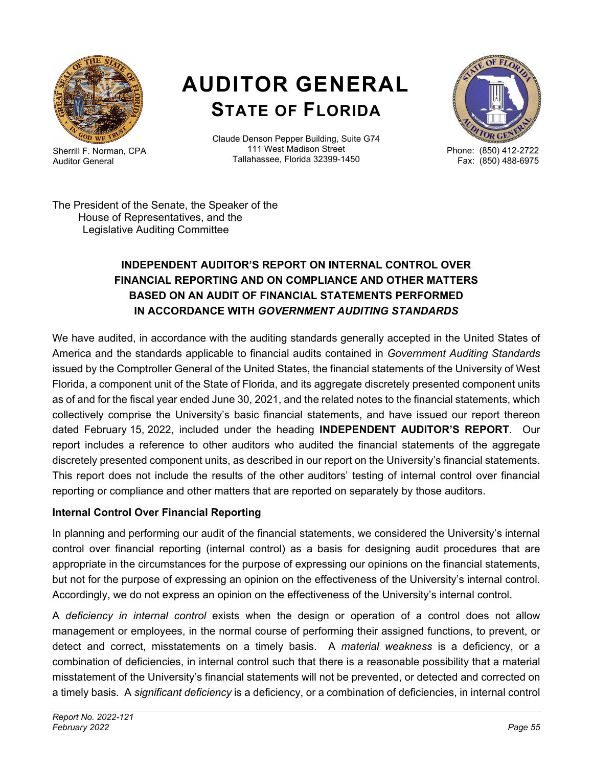<span id="page-58-0"></span>

Sherrill F. Norman, CPA Auditor General

# **AUDITOR GENERAL STATE OF FLORIDA**

Claude Denson Pepper Building, Suite G74 111 West Madison Street Tallahassee, Florida 32399-1450



Phone: (850) 412-2722 Fax: (850) 488-6975

The President of the Senate, the Speaker of the House of Representatives, and the Legislative Auditing Committee

## **INDEPENDENT AUDITOR'S REPORT ON INTERNAL CONTROL OVER FINANCIAL REPORTING AND ON COMPLIANCE AND OTHER MATTERS BASED ON AN AUDIT OF FINANCIAL STATEMENTS PERFORMED IN ACCORDANCE WITH** *GOVERNMENT AUDITING STANDARDS*

We have audited, in accordance with the auditing standards generally accepted in the United States of America and the standards applicable to financial audits contained in *Government Auditing Standards* issued by the Comptroller General of the United States, the financial statements of the University of West Florida, a component unit of the State of Florida, and its aggregate discretely presented component units as of and for the fiscal year ended June 30, 2021, and the related notes to the financial statements, which collectively comprise the University's basic financial statements, and have issued our report thereon dated February 15, 2022, included under the heading **INDEPENDENT AUDITOR'S REPORT**. Our report includes a reference to other auditors who audited the financial statements of the aggregate discretely presented component units, as described in our report on the University's financial statements. This report does not include the results of the other auditors' testing of internal control over financial reporting or compliance and other matters that are reported on separately by those auditors.

## **Internal Control Over Financial Reporting**

In planning and performing our audit of the financial statements, we considered the University's internal control over financial reporting (internal control) as a basis for designing audit procedures that are appropriate in the circumstances for the purpose of expressing our opinions on the financial statements, but not for the purpose of expressing an opinion on the effectiveness of the University's internal control. Accordingly, we do not express an opinion on the effectiveness of the University's internal control.

A *deficiency in internal control* exists when the design or operation of a control does not allow management or employees, in the normal course of performing their assigned functions, to prevent, or detect and correct, misstatements on a timely basis. A *material weakness* is a deficiency, or a combination of deficiencies, in internal control such that there is a reasonable possibility that a material misstatement of the University's financial statements will not be prevented, or detected and corrected on a timely basis. A *significant deficiency* is a deficiency, or a combination of deficiencies, in internal control